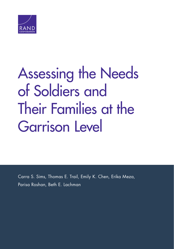

# [Assessing the Needs](https://www.rand.org/pubs/research_reports/RR2148.html)  of Soldiers and Their Families at the Garrison Level

Carra S. Sims, Thomas E. Trail, Emily K. Chen, Erika Meza, Parisa Roshan, Beth E. Lachman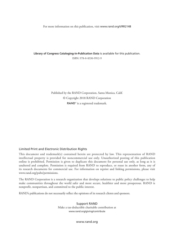For more information on this publication, visit [www.rand.org/t/RR2148](http://www.rand.org/t/RR2148)

**Library of Congress Cataloging-in-Publication Data** is available for this publication. ISBN: 978-0-8330-9912-9

> Published by the RAND Corporation, Santa Monica, Calif. © Copyright 2018 RAND Corporation RAND<sup>®</sup> is a registered trademark.

#### Limited Print and Electronic Distribution Rights

This document and trademark(s) contained herein are protected by law. This representation of RAND intellectual property is provided for noncommercial use only. Unauthorized posting of this publication online is prohibited. Permission is given to duplicate this document for personal use only, as long as it is unaltered and complete. Permission is required from RAND to reproduce, or reuse in another form, any of its research documents for commercial use. For information on reprint and linking permissions, please visit [www.rand.org/pubs/permissions.](http://www.rand.org/pubs/permissions)

The RAND Corporation is a research organization that develops solutions to public policy challenges to help make communities throughout the world safer and more secure, healthier and more prosperous. RAND is nonprofit, nonpartisan, and committed to the public interest.

RAND's publications do not necessarily reflect the opinions of its research clients and sponsors.

Support RAND Make a tax-deductible charitable contribution at [www.rand.org/giving/contribute](http://www.rand.org/giving/contribute)

[www.rand.org](http://www.rand.org)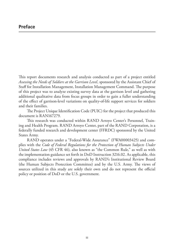This report documents research and analysis conducted as part of a project entitled *Assessing the Needs of Soldiers at the Garrison Level*, sponsored by the Assistant Chief of Staff for Installation Management, Installation Management Command. The purpose of this project was to analyze existing survey data at the garrison level and gathering additional qualitative data from focus groups in order to gain a fuller understanding of the effect of garrison-level variations on quality-of-life support services for soldiers and their families.

The Project Unique Identification Code (PUIC) for the project that produced this document is RAN167279.

This research was conducted within RAND Arroyo Center's Personnel, Training and Health Program. RAND Arroyo Center, part of the RAND Corporation, is a federally funded research and development center (FFRDC) sponsored by the United States Army.

RAND operates under a "Federal-Wide Assurance" (FWA00003425) and complies with the *Code of Federal Regulations for the Protection of Human Subjects Under United States Law* (45 CFR 46), also known as "the Common Rule," as well as with the implementation guidance set forth in DoD Instruction 3216.02. As applicable, this compliance includes reviews and approvals by RAND's Institutional Review Board (the Human Subjects Protection Committee) and by the U.S. Army. The views of sources utilized in this study are solely their own and do not represent the official policy or position of DoD or the U.S. government.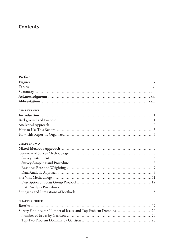# **Contents**

| <b>CHAPTER ONE</b>                                                                                             |  |
|----------------------------------------------------------------------------------------------------------------|--|
| [1] 이 사이 Apple Apple Apple Apple Apple Apple Apple Apple Apple Apple Apple Apple Apple Apple Apple Apple Apple |  |

#### **CHAPTER TWO**

#### **CHAPTER THREE**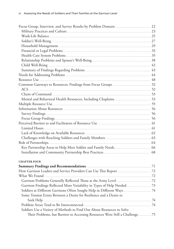| <b>CHAPTER FOUR</b>                                                          |  |
|------------------------------------------------------------------------------|--|
|                                                                              |  |
|                                                                              |  |
|                                                                              |  |
|                                                                              |  |
|                                                                              |  |
| Soldiers at Different Garrisons Often Sought Help in Different Ways74        |  |
| Some Tension Exists Between a Desire for Resilience and a Desire to          |  |
|                                                                              |  |
|                                                                              |  |
| Soldiers Use a Variety of Methods to Find Out About Resources to Solve       |  |
| Their Problems, but Barriers to Accessing Resources Were Still a Challenge75 |  |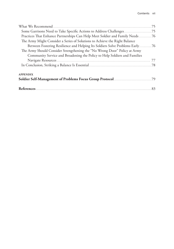| Practices That Enhance Partnerships Can Help Meet Soldier and Family Needs 76 |  |
|-------------------------------------------------------------------------------|--|
| The Army Might Consider a Series of Solutions to Achieve the Right Balance    |  |
| Between Fostering Resilience and Helping Its Soldiers Solve Problems Early76  |  |
| The Army Should Consider Strengthening the "No Wrong Door" Policy at Army     |  |
| Community Service and Broadening the Policy to Help Soldiers and Families     |  |
|                                                                               |  |
|                                                                               |  |
| <b>APPENDIX</b>                                                               |  |
|                                                                               |  |
|                                                                               |  |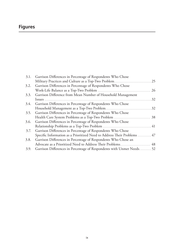# **Figures**

|      | 3.1. Garrison Differences in Percentage of Respondents Who Chose         |    |
|------|--------------------------------------------------------------------------|----|
|      |                                                                          |    |
|      | 3.2. Garrison Differences in Percentage of Respondents Who Chose         |    |
|      |                                                                          | 26 |
| 3.3. | Garrison Difference from Mean Number of Household Management             |    |
|      |                                                                          | 32 |
| 3.4. | Garrison Differences in Percentage of Respondents Who Chose              |    |
|      |                                                                          | 32 |
| 3.5. | Garrison Differences in Percentage of Respondents Who Chose              |    |
|      |                                                                          |    |
| 3.6. | Garrison Differences in Percentage of Respondents Who Chose              |    |
|      |                                                                          |    |
| 3.7. | Garrison Differences in Percentage of Respondents Who Chose              |    |
|      | Specific Information as a Prioritized Need to Address Their Problems  47 |    |
| 3.8. | Garrison Differences in Percentage of Respondents Who Chose an           |    |
|      | Advocate as a Prioritized Need to Address Their Problems 48              |    |
| 3.9. | Garrison Differences in Percentage of Respondents with Unmet Needs52     |    |
|      |                                                                          |    |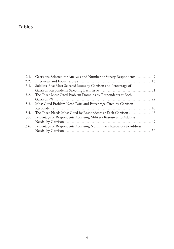# **Tables**

| 2.2. |                                                                           |  |
|------|---------------------------------------------------------------------------|--|
| 3.1. | Soldiers' Five Most Selected Issues by Garrison and Percentage of         |  |
|      |                                                                           |  |
| 3.2. | The Three Most Cited Problem Domains by Respondents at Each               |  |
|      |                                                                           |  |
| 3.3. | Most Cited Problem-Need Pairs and Percentage Cited by Garrison            |  |
|      |                                                                           |  |
| 3.4. | The Three Needs Most Cited by Respondents at Each Garrison  46            |  |
| 3.5. | Percentage of Respondents Accessing Military Resources to Address         |  |
|      |                                                                           |  |
|      | 3.6. Percentage of Respondents Accessing Nonmilitary Resources to Address |  |
|      |                                                                           |  |
|      |                                                                           |  |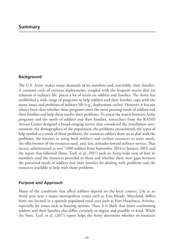# **Background**

The U.S. Army makes many demands of its members and, inevitably, their families. A constant cycle of overseas deployments, coupled with the frequent moves that are inherent in military life, places a lot of strain on soldiers and families. The Army has established a wide range of programs to help soldiers and their families cope with the many issues and problems of military life (e.g., deployment cycles). However, it has not always been clear whether these programs meet the most pressing needs of soldiers and their families and help them resolve their problems. To assess the match between Army programs and the needs of soldiers and their families, researchers from the RAND Arroyo Center designed a broad-ranging survey that considered the installation environment, the demographics of the population, the problems encountered, the types of help needed as a result of those problems, the resources soldiers draw on to deal with the problems, the barriers to using both military and civilian resources to meet needs, the effectiveness of the resources used, and, last, attitudes toward military service. That survey, administered to over 7,000 soldiers from September 2014 to January 2015, and the report that followed (Sims, Trail, et al., 2017) took an Army-wide view of how its members used the resources provided to them and whether there were gaps between the perceived needs of soldiers and their families for dealing with problems and the resources available to help with those problems.

# **Purpose and Approach**

Many of the conditions that affect soldiers depend on the local context. Life at an Army post near a major metropolitan center such as Fort Meade, Maryland, differs from one located in a sparsely populated rural area such as Fort Huachuca, Arizona, especially for issues such as housing options. Thus, it is likely that issues confronting soldiers and their families also differ, certainly in degree and possibly in kind. While the Sims, Trail, et al. (2017) report helps the Army determine whether its resources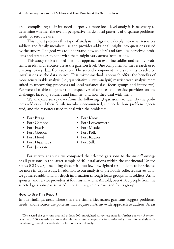are accomplishing their intended purpose, a more local-level analysis is necessary to determine whether the overall perspective masks local patterns of disparate problems, needs, or resource use.

This report presents this type of analysis: it digs more deeply into what resources soldiers and family members use and provides additional insight into questions raised by the survey. The goal was to understand how soldiers' and families' perceived problems and strategies to cope with them might vary across installations.

This study took a mixed-methods approach to examine soldier and family problems, needs, and resource use at the garrison level. One component of the research used existing survey data from soldiers. The second component used site visits to selected installations as the data source. This mixed-methods approach offers the benefits of more generalizable analysis (i.e., quantitative survey analysis) married with analysis more suited to uncovering processes and local variance (i.e., focus groups and interviews). We were also able to gather the perspectives of spouses and service providers on the challenges faced by soldiers and families, and how they deal with them.

We analyzed survey data from the following 13 garrisons<sup>1</sup> to identify the problems soldiers and their family members encountered, the needs those problems generated, and the resources used to deal with the problems:

- Fort Bragg Fort Knox
- 
- 
- Fort Gordon Fort Polk
- 
- Fort Huachuca Fort Sill.
- Fort Jackson
- 
- Fort Campbell Fort Leavenworth
- Fort Eustis Fort Meade
	-
- Fort Hood Fort Rucker
	-

For survey analyses, we compared the selected garrisons to the *overall average* of all garrisons in the larger sample of 40 installations within the continental United States (CONUS), including those with too few unweighted respondents to be selected for more in-depth study. In addition to our analysis of previously collected survey data, we gathered additional in-depth information through focus groups with soldiers, Army spouses, and service providers at four installations. All told, over 4,500 people from the selected garrisons participated in our survey, interviews, and focus groups.

#### **How to Use This Report**

In our findings, areas where there are similarities across garrisons suggest problems, needs, and resource use patterns that require an Army-wide approach to address. Areas

<sup>&</sup>lt;sup>1</sup> We selected the garrisons that had at least 200 unweighted survey responses for further analysis. A respondent size of 200 was estimated to be the minimum number to provide for a variety of garrisons for analysis while maintaining enough respondents to allow for statistical analysis.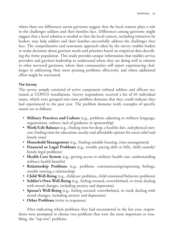where there are differences across garrisons suggest that the local context plays a role in the challenges soldiers and their families face. Differences among garrisons might suggest that a local solution is needed or that the local context, including initiatives by leaders, may help soldiers and their families successfully address the challenges they face. The comprehensive and systematic approach taken by the survey enables leaders to make decisions about garrison needs and priorities based on empirical data describing the Army population. This study provides unique information that enables service providers and garrison leadership to understand where they are doing well in relation to other surveyed garrisons, where their communities still report experiencing challenges in addressing their most pressing problems effectively, and where additional effort might be warranted.

#### **The Survey**

The survey sample consisted of active component enlisted soldiers and officers stationed at CONUS installations. Survey respondents received a list of 83 individual issues, which were grouped into nine problem domains that they could indicate they had experienced in the past year. The problem domains (with examples of specific issues) are as follows:

- **Military Practices and Culture** (e.g., problems adjusting to military language, organization, culture; lack of guidance or sponsorship)
- **Work/Life Balance** (e.g., finding time for sleep, a healthy diet, and physical exercise; finding time for education; nearby and affordable options for stress relief and family time)
- **Household Management** (e.g., finding suitable housing, time management)
- **Financial or Legal Problems** (e.g., trouble paying debt or bills, child custody/ family legal problems)
- **Health Care System** (e.g., getting access to military health care, understanding military health benefits)
- **Relationship Problems** (e.g., problems communicating/expressing feelings, trouble starting a relationship)
- **Child Well-Being** (e.g., childcare problems, child emotional/behavior problems)
- **Soldier's Own Well-Being** (e.g., feeling stressed, overwhelmed, or tired; dealing with mood changes, including anxiety and depression)
- **Spouse's Well-Being** (e.g., feeling stressed, overwhelmed, or tired; dealing with mood changes, including anxiety and depression)
- **Other Problems** (write in responses).

After indicating which problems they had encountered in the last year, respondents were prompted to choose two problems that were the most important or troubling, the "top-two" problems.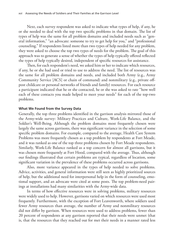Next, each survey respondent was asked to indicate what types of help, if any, he or she needed to deal with the top two specific problems in that domain. The list of types of help was the same for all problem domains and included needs such as "general information," "an advocate: someone to try to get help for you," and "professional counseling." If respondents listed more than two types of help needed for any problem, they were asked to choose the top two types of needs for the problem. The goal of this approach was to generate a sense of whether the types of help typically offered reflected the types of help typically desired, independent of specific resources for assistance.

Then, for each respondent's need, we asked him or her to indicate which resources, if any, he or she had used or tried to use to address the need. The list of resources was the same for all problem domains and needs, and included both Army (e.g., Army Community Service [ACS] or chain of command) and nonmilitary (e.g., private offpost childcare or personal networks of friends and family) resources. For each resource a participant indicated that he or she contacted, he or she was asked to rate "how well each of these contacts you made helped to meet your needs" for each of the top-two problems.

#### **What We Found from the Survey Data**

Generally, the top three problems identified in the garrison analysis mirrored those of the Army-wide survey: Military Practices and Culture, Work-Life Balance, and the Soldier's Well-Being. Although the problem domains most frequently chosen were largely the same across garrisons, there was significant variance in the selection of some specific problem domains. For example, compared to the average, Health Care System Problems was more frequently chosen as a top problem by respondents at Fort Meade, and it was ranked as one of the top three problems chosen by Fort Meade respondents. Similarly, Work-Life Balance ranked as a top concern for almost all garrisons, but it was chosen more frequently at Fort Hood, compared with the average. Thus, although our findings illustrated that certain problems are typical, regardless of location, some significant variation in the prevalence of these problems occurred across garrisons.

Also, more variance appeared in the types of help needed to solve problems. Advice, activities, and general information were still seen as highly prioritized sources of help, but the additional need for interpersonal help in the form of counseling, emotional support, and an advocate were cited at some posts. The top problem-need pairings at installations had many similarities with the Army-wide data.

In terms of how effective resources were in solving problems, military resources were widely used to help. However, garrisons varied on which resources were used most frequently. Furthermore, with the exception of Fort Leavenworth, where soldiers used fewer Army resources than average, the number of Army and nonmilitary resources did not differ by garrison. When resources were used to address problems, fewer than 20 percent of respondents at any garrison reported that their needs were unmet (that is, that the resources that they reached out for met their needs in a manner rated less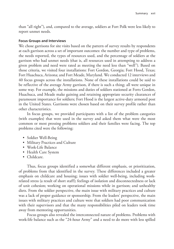than "all right"), and, compared to the average, soldiers at Fort Polk were less likely to report unmet needs.

#### **Focus Groups and Interviews**

We chose garrisons for site visits based on the pattern of survey results by respondents at each garrison across a set of important outcomes: the number and type of problems, the needs reported, the types of resources used, and the percentage of soldiers at the garrison who had unmet needs (that is, all resources used in attempting to address a given problem and need were rated as meeting the need less than "well"). Based on those criteria, we visited four installations: Fort Gordon, Georgia; Fort Hood, Texas; Fort Huachuca, Arizona; and Fort Meade, Maryland. We conducted 12 interviews and 40 focus groups across the installations. None of these installations could be said to be reflective of the average Army garrison, if there is such a thing; all were unique in some way. For example, the missions and duties of soldiers stationed at Forts Gordon, Huachuca, and Meade make gaining and retaining appropriate security clearances of paramount importance for soldiers; Fort Hood is the largest active-duty armored post in the United States. Garrisons were chosen based on their survey profile rather than other characteristics.

In focus groups, we provided participants with a list of the problem categories (with examples) that were used in the survey and asked them what were the most common or most pressing problems soldiers and their families were facing. The top problems cited were the following:

- Soldier Well-Being
- Military Practices and Culture
- Work-Life Balance
- Health Care System
- Childcare.

Thus, focus groups identified a somewhat different emphasis, or prioritization, of problems from that identified in the survey. These differences included a greater emphasis on childcare and housing; issues with soldier well-being, including workrelated stress (a result of short staff); feelings of isolation and disconnectedness or lack of unit cohesion; working on operational missions while in garrison; and unhealthy diets. From the soldier perspective, the main issue with military practices and culture was a lack of proper guidance or sponsorship. From the leaders' perspective, the main issues with military practices and culture were that soldiers had poor communication with their supervisors and that the many responsibilities piled on leaders took time away from mentoring opportunities.

Focus groups also revealed the interconnected nature of problems. Problems with work-life balance such as the "24-hour Army" and a need to do more with less spilled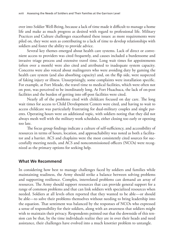over into Soldier Well-Being, because a lack of time made it difficult to manage a home life and make as much progress as desired with regard to professional life. Military Practices and Culture challenges exacerbated these issues: as more requirements were piled on, they were seen as contributing to a lack of time to develop relationships with soldiers and foster the ability to provide advice.

Several key themes emerged about health care systems. Lack of direct or convenient access to providers was cited frequently, and causes included a burdensome and invasive triage process and extensive travel time. Long wait times for appointments (often over a month) were also cited and attributed to inadequate system capacity. Concerns were also voiced about malingerers who were avoiding duty by gaming the health care system (and also absorbing capacity) and, on the flip side, were suspected of faking injury or illness. Unsurprisingly, some complaints were installation specific. For example, at Fort Meade, the travel time to medical facilities, which were often not on post, was perceived to be inordinately long. At Fort Huachuca, the lack of on-post facilities and the burden of getting into off-post facilities were cited.

Nearly all of the problems cited with childcare focused on day care. The long wait times for access to Child Development Centers were cited, and having to wait to access childcare was particularly frustrating for dual-military couples and single parents. Operating hours were an additional topic, with soldiers noting that they did not always mesh well with the military work schedules, either closing too early or opening too late.

The focus group findings indicate a culture of self-sufficiency, and accessibility of resources in terms of hours, location, and approachability was noted as both a facilitator and a barrier. ACS and chaplains were the most consistently cited sources for successfully meeting needs, and ACS and noncommissioned officers (NCOs) were recognized as the primary options for seeking help.

#### **What We Recommend**

In considering how best to manage challenges faced by soldiers and families while maintaining readiness, the Army should strike a balance between solving problems and supporting resilience. Complex, interrelated problems can demand an array of resources. The Army should support resources that can provide general support for a range of common problems and that can link soldiers with specialized resources when needed. Soldiers at all levels often reported that they wanted to be able—or should be able—to solve their problems themselves without needing to bring leadership into the equation. That sentiment was balanced by the responses of NCOs who expressed a sense of responsibility for their soldiers, along with an awareness that soldiers might wish to maintain their privacy. Respondents pointed out that the downside of this tension can be that, by the time individuals realize they are in over their heads and need assistance, their challenges have evolved into a much knottier problem to untangle.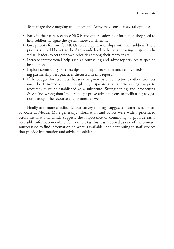To manage these ongoing challenges, the Army may consider several options:

- Early in their career, expose NCOs and other leaders to information they need to help soldiers navigate the system more consistently.
- Give priority for time for NCOs to develop relationships with their soldiers. These priorities should be set at the Army-wide level rather than leaving it up to individual leaders to set their own priorities among their many tasks.
- Increase interpersonal help such as counseling and advocacy services at specific installations.
- Explore community partnerships that help meet soldier and family needs, following partnership best practices discussed in this report.
- If the budgets for resources that serve as gateways or connectors to other resources must be trimmed or cut completely, stipulate that alternative gateways to resources must be established as a substitute. Strengthening and broadening ACS's "no wrong door" policy might prove advantageous to facilitating navigation through the resource environment as well.

Finally and more specifically, our survey findings suggest a greater need for an advocate at Meade. More generally, information and advice were widely prioritized across installations, which suggests the importance of continuing to provide easily accessible information online, for example (as this was reported as one of the primary sources used to find information on what is available), and continuing to staff services that provide information and advice to soldiers.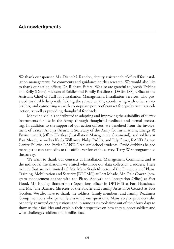We thank our sponsor, Ms. Diane M. Randon, deputy assistant chief of staff for installation management, for comments and guidance on this research. We would also like to thank our action officer, Dr. Richard Fafara. We also are grateful to Joseph Trebing and Kelly (Dorie) Hickson of Soldier and Family Readiness (DAIM-ISS), Office of the Assistant Chief of Staff for Installation Management, Installation Services, who provided invaluable help with fielding the survey emails, coordinating with other stakeholders, and connecting us with appropriate points of contact for qualitative data collection, as well as providing thoughtful feedback.

Many individuals contributed to adapting and improving the suitability of survey instruments for use in the Army, through thoughtful feedback and formal pretesting. In addition to the support of our action officers, we benefited from the involvement of Tracey Anbiya (Assistant Secretary of the Army for Installations, Energy & Environment), Jeffrey Hartless (Installation Management Command), and soldiers at Fort Meade, as well as Kayla Williams, Philip Padilla, and Lily Geyer, RAND Arroyo Center Fellows, and Pardee RAND Graduate School students. David Stebbins helped manage the constant edits to the offline version of the survey. Terry West programmed the survey.

We want to thank our contacts at Installation Management Command and at the individual installations we visited who made our data collection a success. These include (but are not limited to) Ms. Mary Staab (director of the Directorate of Plans, Training, Mobilization and Security [DPTMS]) at Fort Meade, Mr. Dale Cowan (program management analyst with the Plans, Analysis and Integration Office) at Fort Hood, Mr. Bradley Branderhorst (operations officer in DPTMS) at Fort Huachuca, and Ms. Jane Barnard (director of the Soldier and Family Assistance Center) at Fort Gordon. We also have to thank the soldiers, family members, and Family Readiness Group members who patiently answered our questions. Many service providers also patiently answered our questions and in some cases took time out of their busy days to show us their facilities and explain their perspective on how they support soldiers and what challenges soldiers and families face.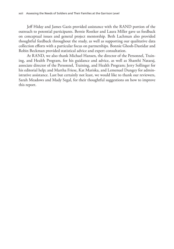Jeff Hiday and James Gazis provided assistance with the RAND portion of the outreach to potential participants. Bernie Rostker and Laura Miller gave us feedback on conceptual issues and general project mentorship. Beth Lachman also provided thoughtful feedback throughout the study, as well as supporting our qualitative data collection efforts with a particular focus on partnerships. Bonnie Ghosh-Dastidar and Robin Beckman provided statistical advice and expert consultation.

At RAND, we also thank Michael Hansen, the director of the Personnel, Training, and Health Program, for his guidance and advice, as well as Shanthi Nataraj, associate director of the Personnel, Training, and Health Program; Jerry Sollinger for his editorial help; and Martha Friese, Kat Mariska, and Lemenuel Dungey for administrative assistance. Last but certainly not least, we would like to thank our reviewers, Sarah Meadows and Mady Segal, for their thoughtful suggestions on how to improve this report.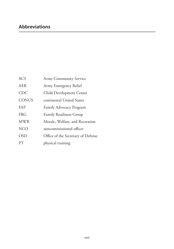| <b>ACS</b>   | <b>Army Community Service</b>      |
|--------------|------------------------------------|
| <b>AER</b>   | Army Emergency Relief              |
| <b>CDC</b>   | Child Development Center           |
| <b>CONUS</b> | continental United States          |
| <b>FAP</b>   | Family Advocacy Program            |
| <b>FRG</b>   | <b>Family Readiness Group</b>      |
| <b>MWR</b>   | Morale, Welfare, and Recreation    |
| <b>NCO</b>   | noncommissioned officer            |
| <b>OSD</b>   | Office of the Secretary of Defense |
| PT           | physical training                  |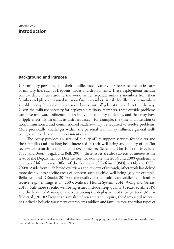#### **Background and Purpose**

U.S. military personnel and their families face a variety of stresses related to features of military life, such as frequent moves and deployments. These deployments include combat deployments around the world, which separate military members from their families and place additional stress on family members at risk. Ideally, service members are able to stay focused on the mission, but, as with all jobs, at times life gets in the way. Given the military necessity for deployable military members, these outside problems can have untoward influence on an individual's ability to deploy, and that may have a ripple effect within units, as unit resources—for example, the time and attention of noncommissioned and commissioned leaders—may be required to resolve problems. More prosaically, challenges within the personal realm may influence general wellbeing and morale and retention intentions.

The Army provides an array of quality-of-life support services for soldiers and their families and has long been interested in their well-being and quality of life (for reviews of research in this domain over time, see Segal and Harris, 1993; McClure, 1999; and Booth, Segal, and Bell, 2007); these issues are also subjects of interest at the level of the Department of Defense (see, for example, the 2004 and 2009 quadrennial quality of life reviews, Office of the Secretary of Defense [OSD], 2004; and OSD, 2009). Aside from such broad overviews and reviews of research, other work has delved more deeply into specific areas of concern such as child well-being (see, for example, Bello-Utu and DeSocio, 2015) or the quality of the health care soldiers and families receive (e.g., Jennings et al., 2005; Military Health System, 2014; Wong and Gerras, 2015). Still more specific well-being issues include sleep quality (Troxel et al., 2015) and the health of Army spouses experiencing the deployment of their partners (Mansfield et al., 2010).<sup>1</sup> Despite this wealth of research and inquiry, the Army until recently has lacked a holistic assessment of problems soldiers and families face and what types of

<sup>1</sup> For a more detailed review of the available literature on Army programs, and the problems and needs of soldiers and families, see Sims, Trail, et al., 2017.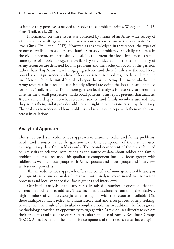assistance they perceive as needed to resolve those problems (Sims, Wong, et al., 2013; Sims, Trail, et al., 2017).

Information on these issues was collected by means of an Army-wide survey of 7,000 soldiers at 40 garrisons and was recently reported on at the aggregate Army level (Sims, Trail, et al., 2017). However, as acknowledged in that report, the types of resources available to soldiers and families to solve problems, especially resources in the civilian sector, are intrinsically local. To the extent that local influences can fuel some types of problems (e.g., the availability of childcare), and the large majority of Army resources are delivered locally, problems and their solutions occur at the garrison rather than "big Army" level. Engaging soldiers and their families at the local level provides a unique understanding of local variance in problems, needs, and resource use. Hence, while the initial high-level report helps the Army determine whether the Army resources in place and consistently offered are doing the job they are intended for (Sims, Trail, et al., 2017), a more garrison-level analysis is necessary to determine whether the overall perspective masks local patterns. This report presents that analysis. It delves more deeply into what resources soldiers and family members use and how they access them, and it provides additional insight into questions raised by the survey. The goal was to understand how problems and strategies to cope with them might vary across installations.

#### **Analytical Approach**

This study used a mixed-methods approach to examine soldier and family problems, needs, and resource use at the garrison level. One component of the research used existing survey data from soldiers only. The second component of the research relied on site visits to selected installations as the source of data about soldier and family problems and resource use. This qualitative component included focus groups with soldiers, as well as focus groups with Army spouses and focus groups and interviews with service providers.

This mixed-methods approach offers the benefits of more generalizable analysis (i.e., quantitative survey analysis), married with analysis more suited to uncovering processes and local variance (i.e., focus groups and interviews).

Our initial analysis of the survey results raised a number of questions that the current methods aim to address. These included questions surrounding the relatively high numbers of contacts sought when engaging with the resources available. Did these multiple contacts reflect an unsatisfactory trial-and-error process of help seeking, or were they the result of particularly complex problems? In addition, the focus group methodology provided an opportunity to engage with Army spouses directly to explore their problems and use of resources, particularly the use of Family Readiness Groups (FRGs). A final benefit of the qualitative component of this research was that engaging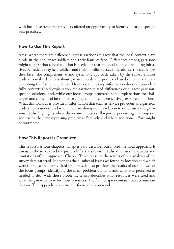with local-level resource providers offered an opportunity to identify location-specific best practices.

### **How to Use This Report**

Areas where there are differences across garrisons suggest that the local context plays a role in the challenges soldiers and their families face. Differences among garrisons might suggest that a local solution is needed or that the local context, including initiatives by leaders, may help soldiers and their families successfully address the challenges they face. The comprehensive and systematic approach taken by the survey enables leaders to make decisions about garrison needs and priorities based on empirical data describing the Army population. However, the survey information does not provide a fully contextualized explanation for garrison-related differences or suggest garrisonspecific solutions, and, while our focus groups generated some explanations for challenges and some local best practices, they did not comprehensively explore all options. What this work does provide is information that enables service providers and garrison leadership to understand where they are doing well in relation to other surveyed garrisons. It also highlights where their communities still report experiencing challenges in addressing their most pressing problems effectively and where additional effort might be warranted.

# **How This Report Is Organized**

This report has four chapters. Chapter Two describes our mixed-methods approach. It discusses the survey and the protocols for the site visit. It also discusses the caveats and limitations of our approach. Chapter Three presents the results of our analysis of the survey data gathered. It describes the number of issues we found by location and which were the most frequently cited problems. It also provides the results of our analysis of the focus groups, identifying the main problem domains and what was perceived as needed to deal with those problems. It also describes what resources were used and what the gateways were for those resources. The final chapter contains our recommendations. The Appendix contains our focus group protocol.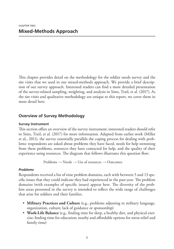This chapter provides detail on the methodology for the soldier needs survey and the site visits that we used in our mixed-methods approach. We provide a brief description of our survey approach. Interested readers can find a more detailed presentation of the survey-related sampling, weighting, and analysis in Sims, Trail, et al. (2017). As the site visits and qualitative methodology are unique to this report, we cover them in more detail here.

# **Overview of Survey Methodology**

#### **Survey Instrument**

This section offers an overview of the survey instrument; interested readers should refer to Sims, Trail, et al. (2017) for more information. Adapted from earlier work (Miller et al., 2011), the survey essentially parallels the coping process for dealing with problems: respondents are asked about problems they have faced, needs for help stemming from these problems, resources they have contacted for help, and the quality of their experience using resources. The diagram that follows illustrates this question flow:

Problems  $\rightarrow$  Needs  $\rightarrow$  Use of resources  $\rightarrow$  Outcomes

#### *Problems*

Respondents received a list of nine problem domains, each with between 5 and 13 specific issues that they could indicate they had experienced in the past year. The problem domains (with examples of specific issues) appear here. The diversity of the problem areas presented in the survey is intended to reflect the wide range of challenges that arise for soldiers and their families.

- **Military Practices and Culture** (e.g., problems adjusting to military language, organization, culture; lack of guidance or sponsorship)
- **Work-Life Balance** (e.g., finding time for sleep, a healthy diet, and physical exercise; finding time for education; nearby and affordable options for stress relief and family time)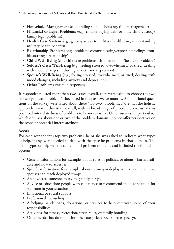- **Household Management** (e.g., finding suitable housing, time management)
- **Financial or Legal Problems** (e.g., trouble paying debt or bills, child custody/ family legal problems)
- **Health Care System** (e.g., getting access to military health care, understanding military health benefits)
- **Relationship Problems** (e.g., problems communicating/expressing feelings, trouble starting a relationship)
- **Child Well-Being** (e.g., childcare problems, child emotional/behavior problems)
- **Soldier's Own Well-Being** (e.g., feeling stressed, overwhelmed, or tired; dealing with mood changes, including anxiety and depression)
- **Spouse's Well-Being** (e.g., feeling stressed, overwhelmed, or tired; dealing with mood changes, including anxiety and depression)
- **Other Problems** (write in responses).

If respondents listed more than two issues overall, they were asked to choose the two "most significant problems" they faced in the past twelve months. All additional questions on the survey were asked about these "top two" problems. Note that the holistic approach taken in this study overall, with its broad range of problem domains, allows potential interrelatedness of problems to be more visible. Other surveys (in particular), which only ask about one or two of the problem domains, do not offer perspectives on the scope of potential interrelatedness.

#### *Needs*

For each respondent's top-two problems, he or she was asked to indicate what types of help, if any, were needed to deal with the specific problems in that domain. The list of types of help was the same for all problem domains and included the following options:

- General information: for example, about rules or policies, or about what is available and how to access it
- Specific information: for example, about training or deployment schedules or how spouses can reach deployed troops
- An advocate: someone to try to get help for you
- Advice or education: people with experience to recommend the best solution for someone in your situation
- Emotional or social support
- Professional counseling
- A helping hand: loans, donations, or services to help out with some of your responsibilities
- Activities: for fitness, recreation, stress relief, or family bonding
- Other needs that do not fit into the categories above (please specify).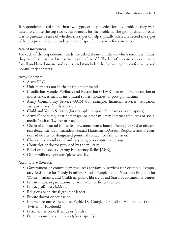If respondents listed more than two types of help needed for any problem, they were asked to choose the top two types of needs for the problem. The goal of this approach was to generate a sense of whether the types of help typically offered reflected the types of help typically desired, independent of specific resources for assistance.

## *Use of Resources*

For each of the respondents' needs, we asked them to indicate which resources, if any, they had "used or tried to use to meet [the] need." The list of resources was the same for all problem domains and needs, and it included the following options for Army and nonmilitary contacts:

# *Army Contacts*

- Army FRG
- Unit members not in the chain of command
- Installation Morale, Welfare, and Recreation (MWR) (for example, recreation or sports services such as intramural sports, libraries, or post gymnasium)
- Army Community Service (ACS) (for example, financial services, relocation assistance, and family services)
- Child and Youth Services (for example, on-post childcare or youth sports)
- Army OneSource, post homepage, or other military Internet resources or social media (such as Twitter or Facebook)
- Chain of command (squad leaders, noncommissioned officers [NCOs] or officers, rear detachment commanders, Sexual Harassment/Assault Response and Prevention advocates, or designated points of contact for family issues)
- Chaplain or members of military religious or spiritual group
- Counselor or doctor provided by the military
- Relief or aid society (Army Emergency Relief [AER])
- Other military contacts (please specify).

# *Nonmilitary Contacts*

- Government or community resources for family services (for example, Temporary Assistance for Needy Families, Special Supplemental Nutrition Program for Women, Infants, and Children, public library, Head Start, or community center)
- Private clubs, organizations, or recreation or fitness centers
- Private, off-post childcare
- Religious or spiritual group or leader
- Private doctor or counselor
- Internet resources (such as WebMD, Google, Craigslist, Wikipedia, Yahoo!, Twitter, or Facebook)
- Personal networks (friends or family)
- Other nonmilitary contacts (please specify).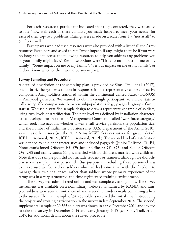For each resource a participant indicated that they contacted, they were asked to rate "how well each of these contacts you made helped to meet your needs" for each of their top-two problems. Ratings were made on a scale from 1 = "not at all" to  $5 =$  "very well."

Participants who had used resources were also provided with a list of all the Army resources listed here and asked to rate "what impact, if any, might there be if you were no longer able to access the following resources to help you address any problems you or your family might face." Response options were "Little to no impact on me or my family"; "Some impact on me or my family"; "Serious impact on me or my family"; or "I don't know whether there would be any impact."

#### **Survey Sampling and Procedure**

A detailed description of the sampling plan is provided by Sims, Trail, et al. (2017), but in brief, the goal was to obtain responses from a representative sample of active component Army soldiers stationed within the continental United States (CONUS) at Army-led garrisons. We wanted to obtain enough participants to enable statistically acceptable comparisons between subpopulations (e.g., paygrade groups, family status). We used a stratified sample design to draw a representative sample of soldiers, using two levels of stratification. The first level was defined by installation characteristics developed for Installation Management Command called "workforce category," which took into account whether it was a full-service garrison, the population size, and the number of multimission criteria met (U.S. Department of the Army, 2010), as well as other issues (see the 2012 Army MWR Services survey for greater detail; ICF International, 2012a; ICF International, 2012b). The second level of stratification was defined by soldier characteristics and included paygrade (Junior Enlisted: E1–E4; Noncommissioned Officers: E5–E9; Junior Officers: O1–O3; and Senior Officers: O4–O8) and family status (single, married with no children, married with children). Note that our sample pull did not include students or trainees, although we did otherwise oversample junior personnel. Our purpose in excluding these personnel was to make sure we focused on soldiers who had had some time with the freedom to manage their own challenges, rather than soldiers whose primary experience of the Army was in a very structured and time-regimented training environment.

The survey was administered online and was completely anonymous. The survey instrument was available on a nonmilitary website maintained by RAND, and sampled soldiers were sent an initial email and several reminder emails containing a link to the survey. The main sample of 34,250 soldiers received the initial email introducing the project and inviting participation in the survey in late September 2014. The second, supplemental sample of 29,565 soldiers was drawn in early December 2014 and invited to take the survey in December 2014 and early January 2015 (see Sims, Trail, et al., 2017, for additional details about the survey procedure).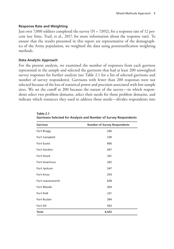#### **Response Rate and Weighting**

Just over 7,000 soldiers completed the survey  $(N = 7,092)$ , for a response rate of 12 percent (see Sims, Trail, et al., 2017, for more information about the response rate). To ensure that the results presented in this report are representative of the demographics of the Army population, we weighted the data using poststratification weighting methods.

#### **Data Analytic Approach**

For the present analysis, we examined the number of responses from each garrison represented in the sample and selected the garrisons that had at least 200 unweighted survey responses for further analysis (see Table 2.1 for a list of selected garrisons and number of survey respondents). Garrisons with fewer than 200 responses were not selected because of the loss of statistical power and precision associated with low sample sizes. We set the cutoff at 200 because the nature of the survey—in which respondents select two problem domains, select their needs for those problem domains, and indicate which resources they used to address those needs—divides respondents into

| Garrison           | <b>Number of Survey Respondents</b> |
|--------------------|-------------------------------------|
| Fort Bragg         | 246                                 |
| Fort Campbell      | 239                                 |
| <b>Fort Eustis</b> | 466                                 |
| Fort Gordon        | 447                                 |
| Fort Hood          | 241                                 |
| Fort Huachuca      | 202                                 |
| Fort Jackson       | 347                                 |
| <b>Fort Knox</b>   | 254                                 |
| Fort Leavenworth   | 658                                 |
| <b>Fort Meade</b>  | 264                                 |
| Fort Polk          | 231                                 |
| Fort Rucker        | 394                                 |
| Fort Sill          | 563                                 |
| <b>Total</b>       | 4,552                               |

**Table 2.1 Garrisons Selected for Analysis and Number of Survey Respondents**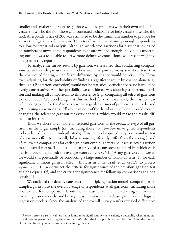smaller and smaller subgroups (e.g., those who had problems with their own well-being versus those who did not; those who contacted a chaplain for help versus those who did not). A respondent size of 200 was estimated to be the minimum number to provide for a variety of garrisons for analysis (13 in total) while maintaining enough respondents to allow for statistical analysis. Although we selected garrisons for further study based on numbers of unweighted respondents to ensure we had enough individuals underlying our analyses to be able to draw more definitive conclusions, we present weighted analyses in this report.

To analyze the survey results by garrison, we reasoned that conducting comparisons between each garrison and all others would require so many statistical tests that the chances of finding a significant difference by chance would be very likely. However, adjusting for the probability of finding a significant result by chance alone (e.g., through a Bonferroni correction) would not be statistically efficient because it would be overly conservative. Another possibility we considered was choosing a reference garrison and making all comparisons to this reference (e.g., comparing all selected garrisons to Fort Hood). We decided against this method for two reasons: (1) there is no clear reference garrison for the Army as a whole regarding issues of problems and needs; and (2) choosing a garrison that fell in the middle of the distribution of scores would require changing the reference garrison for every analysis, which would make the results difficult to interpret.

Thus, we chose to compare all selected garrisons to the *overall average* of all garrisons in the larger sample (i.e., including those with too few unweighted respondents to be selected for more in-depth study). This method required only one omnibus test of a garrison effect (i.e., overall, did garrisons significantly differ from the average), and 13 follow-up comparisons for each significant omnibus effect (i.e., each selected garrison to the overall mean). This method also provided a consistent standard by which each garrison could be judged: the average score across CONUS Army garrisons. However, we would still potentially be conducting a large number of follow-up tests (13 for each significant omnibus garrison effect). Thus, as in Sims, Trail, et al. (2017), to protect against type 1 errors<sup>1</sup> we set the criteria for significance of the omnibus garrison test at alpha equals .05, and the criteria for significance for follow-up comparisons at alpha equals .01.

We analyzed the data by constructing multiple regression models comparing each sampled garrison to the overall average of respondents at all garrisons, including those not selected for comparison. Continuous measures were analyzed using multivariate linear regression models, and binary measures were analyzed using multivariate logistic regression models. Since the analysis of the overall survey results revealed differences

 $1$  A type 1 error is a statistical test that is found to be significant by chance alone, a possibility when many statistical tests are performed using the same data. We minimized this possibility both by minimizing the number of tests and by using more stringent criteria for significance.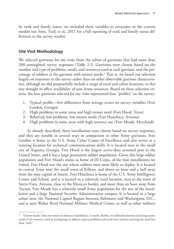by rank and family status, we included these variables as covariates in the current models (see Sims, Trail, et al., 2017, for a full reporting of rank and family status differences in the survey results).

## **Site Visit Methodology**

We selected garrisons for site visits from the subset of garrisons that had more than 200 unweighted survey responses (Table 2.1). Garrisons were chosen based on the number and type of problems, needs, and resources used at each garrison, and the percentage of soldiers at the garrison with unmet needs.2 That is, we based our selection largely on responses to the survey rather than on other observable garrison characteristics, although we did purposefully include a range of rural and urban locations, as this was thought to affect availability of non-Army resources. Based on these selection criteria, the four garrisons selected for site visits represented four "profiles" on the survey:

- 1. Typical profile—few differences from average scores on survey variables (Fort Gordon, Georgia)
- 2. High problems in some areas and high unmet need (Fort Hood, Texas)
- 3. Relatively low problems, low unmet needs (Fort Huachuca, Arizona)
- 4. High problems in some areas with high resource use (Fort Meade, Maryland).

As already described, these installations were chosen based on survey responses, and they are notable in several ways in comparison to other Army garrisons. Fort Gordon is home to the U.S. Army Cyber Center of Excellence and also serves as a training location for technical communications skills. It is located next to the small city of Augusta, Georgia. Fort Hood is the largest active-duty armored post in the United States, and it has a large permanent soldier population. Given this large soldier population and Fort Hood's status as home of III Corps, of the four installations we visited, Fort Hood was the one whose soldiers were most likely to deploy. It is located in central Texas near the small town of Killeen, and about an hour and a half away from the state capital of Austin. Fort Huachuca is home of the U.S. Army Intelligence Center and School, and it is located in a relatively rural location, next to the town of Sierra Vista, Arizona, close to the Mexican border, and more than an hour away from Tucson. Fort Meade has a relatively small Army population for the size of the installation and a large National Security Administration campus. It is located in a large urban area, the National Capitol Region between Baltimore and Washington, D.C., and is near Walter Reed National Military Medical Center, as well as other military

<sup>&</sup>lt;sup>2</sup> "Unmet needs" does not mean an absence of problems, or needs. Rather, we defined someone as having unmet needs if all resources used in attempting to address a given problem and need were rated as meeting the need less than "well."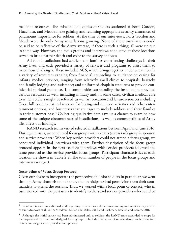medicine resources. The missions and duties of soldiers stationed at Forts Gordon, Huachuca, and Meade make gaining and retaining appropriate security clearances of paramount importance for soldiers. At the time of our interviews, Forts Gordon and Meade were the only Army installations growing. None of these installations could be said to be reflective of the Army average, if there is such a thing; all were unique in some way. However, the focus groups and interviews conducted at these locations served to bring further depth and color to the survey analyses.

All four installations had soldiers and families experiencing challenges in their Army lives, and each provided a variety of services and programs to assist them to meet those challenges. These included ACS, which brings together under one umbrella a variety of resources ranging from financial counseling to guidance on caring for infants; medical services, ranging from relatively small clinics to hospitals; barracks and family lodging and assistance; and uniformed chaplain resources to provide confidential spiritual guidance. The communities surrounding the installations provided various resources as well, including military and, in some cases, civilian medical care to which soldiers might be referred, as well as recreation and leisure resources including Texas hill country natural reserves for hiking and outdoor activities and other entertainment options, and businesses that are eager to include soldiers and their families in their customer base.3 Collecting qualitative data gave us a chance to examine how some of the unique circumstances of installations, as well as commonalities of Army life, affect our findings.

RAND research teams visited selected installations between April and June 2016. During site visits, we conducted focus groups with soldiers (across rank groups), spouses, and service providers.4 When key service providers could not attend a focus group, we conducted individual interviews with them. Further description of the focus group protocol appears in the next section; interviews with service providers followed the same protocol as the service provider focus groups. Participant characteristics at each location are shown in Table 2.2. The total number of people in the focus groups and interviews was 320.

#### **Description of Focus Group Protocol**

Given our desire to incorporate the perspective of junior soldiers in particular, we went through Army channels to make sure that participants had permission from their commanders to attend the sessions. Thus, we worked with a local point of contact, who in turn worked with the post units to identify soldiers and service providers who could be

 $3$  Readers interested in additional work regarding installations and their surrounding communities may wish to consult Meadows et al., 2013; Meadows, Miller, and Miles, 2014; and Lachman, Resetar, and Camm, 2016.

<sup>&</sup>lt;sup>4</sup> Although the initial survey had been administered only to soldiers, the RAND team expanded its scope for the in-person discussions and designed focus groups to include a broad set of stakeholders at each of the four installations (e.g., service providers and spouses).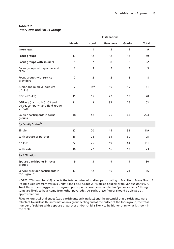#### **Table 2.2 Interviews and Focus Groups**

|                                                                                | <b>Installations</b> |                 |                |                |              |  |  |  |
|--------------------------------------------------------------------------------|----------------------|-----------------|----------------|----------------|--------------|--|--|--|
|                                                                                | <b>Meade</b>         | Hood            | Huachuca       | Gordon         | <b>Total</b> |  |  |  |
| <b>Interviews</b>                                                              | 1                    | $\mathbf{1}$    | 3              | 4              | 9            |  |  |  |
| <b>Focus groups</b>                                                            | 13                   | 12              | 12             | 12             | 49           |  |  |  |
| Focus groups with soldiers                                                     | 9                    | $\overline{7}$  | 8              | 8              | 32           |  |  |  |
| Focus groups with spouses and<br><b>FRGs</b>                                   | 2                    | 3               | $\overline{2}$ | $\overline{2}$ | 9            |  |  |  |
| Focus groups with service<br>providers                                         | 2                    | $\overline{2}$  | $\overline{2}$ | $\overline{2}$ | 8            |  |  |  |
| Junior and midlevel soldiers<br>$(E1-E5)$                                      | $\overline{2}$       | 14 <sup>a</sup> | 16             | 19             | 51           |  |  |  |
| $NCOs$ (E6-E9)                                                                 | 15                   | 15              | 22             | 18             | 70           |  |  |  |
| Officers (incl. both 01-03 and<br>04-05, company- and field-grade<br>officers) | 21                   | 19              | 37             | 26             | 103          |  |  |  |
| Soldier participants in focus<br>groups                                        | 38                   | 48              | 75             | 63             | 224          |  |  |  |
| By Family Status <sup>b</sup>                                                  |                      |                 |                |                |              |  |  |  |
| Single                                                                         | 22                   | 20              | 44             | 33             | 119          |  |  |  |
| With spouse or partner                                                         | 16                   | 28              | 31             | 30             | 105          |  |  |  |
| No kids                                                                        | 22                   | 26              | 59             | 44             | 151          |  |  |  |
| With kids                                                                      | 16                   | 22              | 16             | 19             | 73           |  |  |  |
| <b>By Affiliation</b>                                                          |                      |                 |                |                |              |  |  |  |
| Spouse participants in focus<br>groups                                         | 9                    | 3               | 9              | 9              | 30           |  |  |  |
| Service provider participants in<br>focus groups                               | 17                   | 12              | 16             | 21             | 66           |  |  |  |

NOTES: <sup>a</sup>This number (14) reflects the total number of soldiers participating in Fort Hood Focus Group 1 ("Single Soldiers from Various Units") and Focus Group 2 ("Married Soldiers from Various Units"). All 14 of these open-paygrade focus group participants have been counted as "junior soldiers," though some are likely to have come from other paygrades. As such, these figures should be viewed as approximations.

bDue to logistical challenges (e.g., participants arriving late) and the potential that participants were reluctant to disclose this information in a group setting and at the outset of the focus group, the total number of soldiers with a spouse or partner and/or child is likely to be higher than what is shown in the table.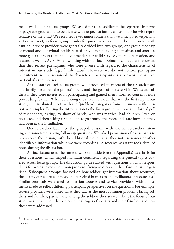made available for focus groups. We asked for these soldiers to be separated in terms of paygrade groups and to be diverse with respect to family status but otherwise representative of the unit.<sup>5</sup> We recruited fewer junior soldiers than we anticipated (especially at Fort Meade), so focus group results for junior soldiers should be interpreted with caution. Service providers were generally divided into two groups, one group made up of mental and behavioral health-related providers (including chaplains), and another, more general group that included providers for child services, morale, recreation, and leisure, as well as ACS. When working with our local points of contact, we requested that they recruit participants who were diverse with regard to the characteristics of interest in our study (e.g., family status). However, we did not control participant recruitment, so it is reasonable to characterize participants as a convenience sample, particularly the spouses.

At the start of each focus group, we introduced members of the research team and briefly described the project's focus and the goal of our site visit. We asked soldiers if they were interested in participating and gained their informed consent before proceeding further. When describing the survey research that was the first step in our study, we distributed sheets with the "problem" categories from the survey with illustrative examples. During the introduction to the focus group, we took an informal poll of respondents, asking, by show of hands, who was married, had children, lived on post, etc., and then asking respondents to go around the room and state how long they had been at the installation.

One researcher facilitated the group discussion, with another researcher listening and sometimes asking follow-up questions. We asked permission of participants to tape-record the session, with the additional request that they not use names or other identifiable information while we were recording. A research assistant took detailed notes during the discussion.

All facilitators used the same discussion guide (see the Appendix) as a basis for their questions, which helped maintain consistency regarding the general topics covered across focus groups. The discussion guide started with questions on what respondents felt were the most common problems facing soldiers and their families at the garrison. Subsequent prompts focused on how soldiers get information about resources, the quality of resources on post, and perceived barriers to and facilitators of resource use. Similar protocols were used to question spouses and service providers, with adjustments made to reflect differing participant perspectives on the questions. For example, service providers were asked what they saw as the most common problems facing soldiers and families, particularly among the soldiers they served. Thus, the focus of our study was squarely on the perceived challenges of soldiers and their families, and how those were addressed.

<sup>5</sup> Note that neither we nor, indeed, our local point of contact had any way to definitively ensure that this was the case.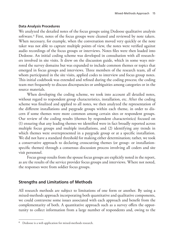### **Data Analysis Procedures**

We analyzed the detailed notes of the focus groups using Dedoose qualitative analysis software.<sup>6</sup> First, notes of the focus groups were cleaned and reviewed by note takers. When necessary, for example, when the conversation moved very quickly or the note taker was not able to capture multiple points of view, the notes were verified against audio recordings of the focus groups or interviews. Notes files were then loaded into Dedoose. An initial coding scheme was developed in consultation with all researchers involved in site visits. It drew on the discussion guide, which in some ways mirrored the survey domains but was expanded to include common themes or topics that emerged in focus groups and interviews. Three members of the research team, all of whom participated in the site visits, applied codes to interview and focus group notes. This initial codebook was extended and refined during the coding process; the coding team met frequently to discuss discrepancies or ambiguities among categories or in the source materials.

When developing the coding scheme, we took into account all detailed notes, without regard to respondent group characteristics, installation, etc. After the coding scheme was finalized and applied to all notes, we then analyzed the representation of the different installations and paygrade groups within each theme, in order to discern if some themes were more common among certain sites or respondent groups. Our review of the coding results (themes by respondent characteristics) focused on (1) ensuring that any leading themes we identified were in fact broadly reported across multiple focus groups and multiple installations, and (2) identifying any trends in which themes were overrepresented in a paygrade group or at a specific installation. We did not have a standard threshold for making either determination; rather, we took a conservative approach to declaring crosscutting themes (or group- or installationspecific themes) through a consensus discussion process involving all coders and site visit personnel.

Focus group results from the spouse focus groups are explicitly noted in the report, as are the results of the service provider focus groups and interviews. Where not noted, the responses were from soldier focus groups.

# **Strengths and Limitations of Methods**

All research methods are subject to limitations of one form or another. By using a mixed-methods approach incorporating both quantitative and qualitative components, we could contravene some issues associated with each approach and benefit from the complementarity of both. A quantitative approach such as a survey offers the opportunity to collect information from a large number of respondents and, owing to the

 $6$  Dedoose is a web application for mixed-methods research.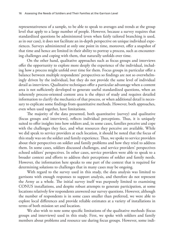representativeness of a sample, to be able to speak to averages and trends at the group level that apply to a large number of people. However, because a survey requires that standardized questions be administered (even when fairly tailored branching is used, as in our case), it does not facilitate an in-depth perspective on unique individual experiences. Surveys administered at only one point in time, moreover, offer a snapshot of that time and hence are limited in their ability to portray a process, such as encountering challenges and coping with them, that naturally unfolds over time.

On the other hand, qualitative approaches such as focus groups and interviews offer the opportunity to explore more deeply the experience of the individual, including how a process might unfold over time for them. Focus groups in particular offer a balance between multiple respondents' perspectives so findings are not so overwhelmingly driven by the individual, but they do not provide the same level of individual detail as interviews. Qualitative techniques offer a particular advantage when a content area is not sufficiently developed to generate useful standardized questions, when an inherently process-oriented content area is the object of study and requires detailed information to clarify the mechanics of that process, or when additional detail is necessary to explicate some findings from quantitative methods. However, both approaches, even when used together, have limitations.

The majority of the data presented, both quantitative (survey) and qualitative (focus groups and interviews), reflects individual perceptions. Thus, it is uniquely suited to offer insights into how soldiers and, in some cases, families perceive and cope with the challenges they face, and what resources they perceive are available. While we did speak to service providers at each location, it should be noted that the focus of this study was on the soldier and family experience. Thus, we spoke to service providers about their perspectives on soldier and family problems and how they tried to address them. In some cases, soldiers discussed challenges, and service providers' perspectives echoed soldiers' perspectives. In other cases, service providers were able to speak to a broader context and efforts to address their perceptions of soldier and family needs. However, the information here speaks to one part of the context that is required for determining solutions to challenges that in many cases may be ongoing.

With regard to the survey used in this study, the data analysis was limited to garrisons with enough responses to support analysis, and therefore do not represent the Army as a whole. The initial survey itself was purposely limited to examining CONUS installations, and despite robust attempts to generate participation, at some locations relatively few respondents answered our survey questions. However, although the number of respondents is in some cases smaller than preferred, we were able to explore local differences and provide reliable estimates at a variety of installations in terms of both mission set and location.

We also wish to note some specific limitations of the qualitative methods (focus groups and interviews) used in this study. First, we spoke with soldiers and family members about problems and resource use during focus groups. However, some indi-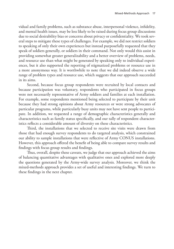vidual and family problems, such as substance abuse, interpersonal violence, infidelity, and mental health issues, may be less likely to be raised during focus group discussions due to social desirability bias or concerns about privacy or confidentiality. We took several steps to mitigate these types of challenges. For example, we did not restrict soldiers to speaking of only their own experiences but instead purposefully requested that they speak of soldiers generally, or soldiers in their command. Not only would this assist in providing somewhat greater generalizability and a better overview of problems, needs, and resource use than what might be generated by speaking only to individual experiences, but it also supported the reporting of stigmatized problems or resource use in a more anonymous way. It is worthwhile to note that we did indeed observe a wide range of problem types and resource use, which suggests that our approach succeeded in its aims.

Second, because focus group respondents were recruited by local contacts and because participation was voluntary, respondents who participated in focus groups were not necessarily representative of Army soldiers and families at each installation. For example, some respondents mentioned being selected to participate by their unit because they had strong opinions about Army resources or were strong advocates of particular programs, while particularly busy units may not have sent people to participate. In addition, we requested a range of demographic characteristics generally and characteristics such as family status specifically, and our tally of respondent characteristics reflects a considerable amount of diversity on these characteristics.

Third, the installations that we selected to receive site visits were drawn from those that had enough survey respondents to do targeted analysis, which constrained our ability to sample installations that were reflective of Army CONUS installations. However, this approach offered the benefit of being able to compare survey results and findings with focus group results and findings.

Thus, overall, despite these caveats, we judge that our approach achieved the aims of balancing quantitative advantages with qualitative ones and explored more deeply the questions generated by the Army-wide survey analysis. Moreover, we think the mixed-methods approach provides a set of useful and interesting findings. We turn to these findings in the next chapter.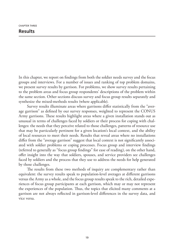In this chapter, we report on findings from both the soldier needs survey and the focus groups and interviews. For a number of issues and ranking of top problem domains, we present survey results by garrison. For problems, we show survey results pertaining to the problem areas and focus group respondents' descriptions of the problem within the same section. Other sections discuss survey and focus group results separately and synthesize the mixed-methods results (where applicable).

Survey results illuminate areas where garrisons differ statistically from the "average garrison" as defined by our survey responses, weighted to represent the CONUS Army garrisons. These results highlight areas where a given installation stands out as unusual in terms of challenges faced by soldiers or their process for coping with challenges: the needs that they perceive related to those challenges, patterns of resource use that may be particularly pertinent for a given location's local context, and the ability of local resources to meet their needs. Results that reveal areas where no installations differ from the "average garrison" suggest that local context is not significantly associated with soldier problems or coping processes. Focus group and interview findings (referred to generally as "focus group findings" for ease of reading), on the other hand, offer insight into the way that soldiers, spouses, and service providers see challenges faced by soldiers and the process that they use to address the needs for help generated by those challenges.

The results from these two methods of inquiry are complementary rather than equivalent: the survey results speak to population-level averages at different garrisons versus the Army as a whole, and the focus group results speak to the rich, detailed experiences of focus group participants at each garrison, which may or may not represent the experiences of the population. Thus, the topics that elicited many comments at a garrison are not always reflected in garrison-level differences in the survey data, and vice versa.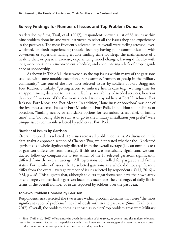# **Survey Findings for Number of Issues and Top Problem Domains**

As detailed by Sims, Trail, et al.  $(2017),$ <sup>1</sup> respondents viewed a list of 83 issues within nine problem domains and were instructed to select all the issues they had experienced in the past year. The most frequently selected issues overall were feeling stressed, overwhelmed, or tired; experiencing trouble sleeping; having poor communication with coworkers or superiors; having trouble finding time for sleep, the maintenance of a healthy diet, or physical exercise; experiencing mood changes; having difficulty with long work hours or an inconvenient schedule; and encountering a lack of proper guidance or sponsorship.

As shown in Table 3.1, these were also the top issues within many of the garrisons studied, with some notable exceptions. For example, "rumors or gossip in the military community" was one of the five most selected issues by soldiers at Fort Bragg and Fort Rucker. Similarly, "getting access to military health care (e.g., waiting time for an appointment, distance to treatment facility, availability of needed services, hours or days open)" was one of the five most selected issues by soldiers at Fort Huachuca, Fort Jackson, Fort Knox, and Fort Meade. In addition, "loneliness or boredom" was one of the five most selected issues at Fort Meade and Fort Polk. In addition to loneliness or boredom, "finding nearby or affordable options for recreation, stress relief, or family time" and "not being able to stay at or go to the military installation you prefer" were unique issues commonly selected by soldiers at Fort Polk.

## **Number of Issues by Garrison**

Overall, respondents selected 11.9 issues across all problem domains. As discussed in the data analytic approach section of Chapter Two, we first tested whether the 13 selected garrisons as a whole significantly differed from the overall average (i.e., an omnibus test of garrison differences from average). If this test was statistically significant, we conducted follow-up comparisons to test which of the 13 selected garrisons significantly differed from the overall average. All regressions controlled for paygrade and family status. For number of issues, the 13 selected garrisons as a whole did not significantly differ from the overall average number of issues selected by respondents, *F*(13, 7016) = 0.81,  $p = 0.65$ . This suggests that, although soldiers at garrisons each have their own array of challenges, no particular garrison location exacerbates the challenges of daily life in terms of the overall number of issues reported by soldiers over the past year.

# **Top-Two Problem Domains by Garrison**

Respondents next selected the two issues within problem domains that were "the most significant types of problems" they had dealt with in the past year (Sims, Trail, et al., 2017). Overall, the problem domains chosen as soldiers' top problem areas were Military

<sup>1</sup> Sims, Trail, et al. (2017) offers a more in-depth description of the survey, its genesis, and the analyses of overall results for the Army. Rather than repetitively cite it in each new section, we suggest the interested reader consult that document for details on specific items, methods, and approaches.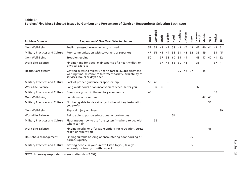| Table 3.1                                                                                                   |
|-------------------------------------------------------------------------------------------------------------|
| Soldiers' Five Most Selected Issues by Garrison and Percentage of Garrison Respondents Selecting Each Issue |

|                                       |                                                                                                                                                             | <b>Bragg</b> | Campbell | Eustis | Gordon | Hood | Huachuca | lackson | Knox | Leaven-<br>worth | Meade | Polk | Rucker |                |
|---------------------------------------|-------------------------------------------------------------------------------------------------------------------------------------------------------------|--------------|----------|--------|--------|------|----------|---------|------|------------------|-------|------|--------|----------------|
| <b>Problem Domain</b>                 | <b>Respondents' Five Most Selected Issues</b>                                                                                                               |              |          |        |        |      |          |         |      |                  |       |      |        | $\overline{5}$ |
| Own Well-Being                        | Feeling stressed, overwhelmed, or tired                                                                                                                     | 52           | 39       | 43     | 47     | 58   | 42       | 47      | 49   | 42               | 40    | 44   | 42     | -51            |
| <b>Military Practices and Culture</b> | Poor communication with coworkers or superiors                                                                                                              | 47           | 51       | 45     | 44     | 56   | 31       | 42      | 52   | 36               | 49    |      | 39     | -45            |
| Own Well-Being                        | Trouble sleeping                                                                                                                                            | 50           |          | 37     | 38     | 60   | 34       | 44      |      | 43               | 47    | 40   | 41     | -52            |
| Work-Life Balance                     | Finding time for sleep, maintenance of a healthy diet, or<br>physical exercise                                                                              |              |          | 37     | 41     | 52   | 30       | 48      |      | 38               |       |      | 37     | -41            |
| <b>Health Care System</b>             | Getting access to military health care (e.g., appointment<br>waiting time, distance to treatment facility, availability of<br>services, hours or days open) |              |          |        |        |      | 29       | 42      | 37   |                  | 45    |      |        |                |
| <b>Military Practices and Culture</b> | Lack of proper quidance or sponsorship                                                                                                                      | 53           | 40       |        | 36     |      |          |         |      |                  |       |      |        |                |
| Work-Life Balance                     | Long work hours or an inconvenient schedule for you                                                                                                         |              | 37       | 39     |        |      |          |         |      | 37               |       |      |        |                |
| <b>Military Practices and Culture</b> | Rumors or gossip in the military community                                                                                                                  | 43           |          |        |        |      |          |         |      |                  |       |      | 37     |                |
| Own Well-Being                        | Loneliness or boredom                                                                                                                                       |              |          |        |        |      |          |         |      |                  | 42    | 40   |        |                |
| <b>Military Practices and Culture</b> | Not being able to stay at or go to the military installation<br>you prefer                                                                                  |              |          |        |        |      |          |         |      |                  |       | 38   |        |                |
| Own Well-Being                        | Physical injury or illness                                                                                                                                  |              |          |        |        |      |          |         |      |                  |       |      |        | 39             |
| Work-Life Balance                     | Being able to pursue educational opportunities                                                                                                              |              |          |        |        | 51   |          |         |      |                  |       |      |        |                |
| <b>Military Practices and Culture</b> | Figuring out how to use "the system"—where to go, with<br>whom to talk                                                                                      |              | 35       |        |        |      |          |         |      |                  |       |      |        |                |
| <b>Work-Life Balance</b>              | Finding nearby or affordable options for recreation, stress<br>relief, or family time                                                                       |              |          |        |        |      |          |         |      |                  |       | 41   |        |                |
| Household Management                  | Finding suitable housing or encountering poor housing or<br>barracks quality                                                                                |              |          |        |        |      |          |         | 35   |                  |       |      |        |                |
| <b>Military Practices and Culture</b> | Getting people in your unit to listen to you, take you<br>seriously, or treat you with respect                                                              |              |          |        |        |      |          |         | 35   |                  |       |      |        |                |

NOTE: All survey respondents were soldiers (N = 7,092).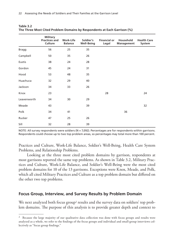|              | <b>Military</b><br><b>Practices and</b><br>Culture | <b>Work-Life</b><br><b>Balance</b> | Soldier's<br><b>Well-Being</b> | <b>Financial or</b><br>Legal | Household<br>Management | <b>Health Care</b><br>System |
|--------------|----------------------------------------------------|------------------------------------|--------------------------------|------------------------------|-------------------------|------------------------------|
| <b>Bragg</b> | 56                                                 | 25                                 | 35                             |                              |                         |                              |
| Campbell     | 50                                                 | 35                                 | 26                             |                              |                         |                              |
| Eustis       | 38                                                 | 24                                 | 28                             |                              |                         |                              |
| Gordon       | 45                                                 | 24                                 | 31                             |                              |                         |                              |
| Hood         | 53                                                 | 48                                 | 35                             |                              |                         |                              |
| Huachuca     | 32                                                 | 29                                 | 40                             |                              |                         |                              |
| Jackson      | 34                                                 | 33                                 | 26                             |                              |                         |                              |
| Knox         | 23                                                 |                                    |                                | 28                           |                         | 24                           |
| Leavenworth  | 34                                                 | 30                                 | 29                             |                              |                         |                              |
| Meade        | 43                                                 |                                    | 39                             |                              |                         | 32                           |
| Polk         | 34                                                 | 41                                 |                                |                              | 36                      |                              |
| Rucker       | 47                                                 | 25                                 | 26                             |                              |                         |                              |
| Sill         | 32                                                 | 28                                 | 39                             |                              |                         |                              |

| Table 3.2                                                                |  |
|--------------------------------------------------------------------------|--|
| The Three Most Cited Problem Domains by Respondents at Each Garrison (%) |  |

NOTE: All survey respondents were soldiers (N = 7,092). Percentages are for respondents within garrisons. Respondents could choose up to two top problem areas, so percentages may total more than 100 percent.

Practices and Culture, Work-Life Balance, Soldier's Well-Being, Health Care System Problems, and Relationship Problems.

Looking at the three most cited problem domains by garrison, respondents at most garrisons reported the same top problems. As shown in Table 3.2, Military Practices and Culture, Work-Life Balance, and Soldier's Well-Being were the most cited problem domains for 10 of the 13 garrisons. Exceptions were Knox, Meade, and Polk, which all cited Military Practices and Culture as a top problem domain but differed on the other two top problems.

# **Focus Group, Interview, and Survey Results by Problem Domain**

We next analyzed both focus group<sup>2</sup> results and the survey data on soldiers' top problem domains. The purpose of this analysis is to provide greater depth and context to

<sup>&</sup>lt;sup>2</sup> Because the large majority of our qualitative data collection was done with focus groups and results were analyzed as a whole, we refer to the findings of the focus groups and individual and small-group interviews collectively as "focus group findings."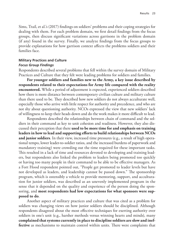Sims, Trail, et al.'s (2017) findings on soldiers' problems and their coping strategies for dealing with them. For each problem domain, we first detail findings from the focus groups, then discuss significant variations across garrisons in the problem domain (if any) found in the survey. Finally, we analyze findings from the focus groups to provide explanations for how garrison context affects the problems soldiers and their families face.

# **Military Practices and Culture**

#### *Focus Group Findings*

Respondents described several problems that fell within the survey domain of Military Practices and Culture that they felt were leading problems for soldiers and families.

**For younger soldiers and families new to the Army, a key issue described by respondents related to their expectations for Army life compared with the reality encountered.** While a period of adjustment is expected, experienced soldiers described how there is more distance between contemporary civilian culture and military culture than there used to be. They described how new soldiers do not always acculturate well, especially those who arrive with little respect for authority and precedence, and who are not shy about questioning authority. NCOs expressed the view that new soldiers' lack of willingness to keep their heads down and do the work makes it more difficult to lead.

Respondents described the relationships between chain of command and the soldiers in their command as key to unit cohesion and readiness. However, they also discussed their perception that there **used to be more time for and emphasis on training leaders in how to lead and supporting efforts to build relationships between NCOs and junior soldiers**. In their view, increased time pressures (e.g., a result of high operational tempo, lower leader-to-soldier ratios, and the increased burdens of paperwork and mandatory training) were crowding out the time required for these important tasks. This resulted in a lack of time and resources devoted to developing and training leaders, but respondents also linked the problem to leaders being promoted too quickly or having too many people in their command to be able to be effective managers. As a Fort Hood respondent pointed out, "People get promoted to leader levels but have not developed as leaders, and leadership cannot be passed down." The sponsorship program, which is ostensibly a vehicle to provide mentoring, support, and acculturation for junior soldiers, was described as an unevenly implemented program in the sense that it depended on the quality and experience of the person doing the sponsoring, and **most respondents had low expectations for what sponsors were supposed to do**.

Another aspect of military practices and culture that was cited as a problem for soldiers was changing views on how junior soldiers should be disciplined. Although respondents disagreed about the most effective techniques for exerting authority over soldiers in one's unit (e.g., harsher methods versus winning hearts and minds), many **complained that systems currently in place to discipline soldiers are slow and ineffective** as mechanisms to maintain control within units. There were complaints that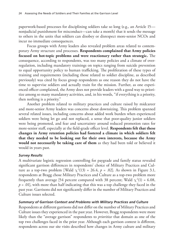paperwork-based processes for disciplining soldiers take so long (e.g., an Article 15 nonjudicial punishment for misconduct—can take a month) that it sends the message to others in the units that soldiers can disobey or disrespect more-senior NCOs and incur no immediate consequences.

Focus groups with Army leaders also revealed problem areas related to contemporary Army structure and processes. **Respondents complained that Army policies focused on hot-topic problems and were reactionary rather than strategic.** The consequence, according to respondents, was too many policies and a climate of overregulation, including mandatory trainings on topics ranging from suicide prevention to equal opportunity policy to human trafficking. The proliferation of these types of training and requirements (including those related to soldier discipline, as described previously) was cited by focus group respondents as one reason they do not have the time to supervise soldiers and actually train for the mission. Further, as one experienced officer complained, the Army does not provide leaders with a good way to prioritize among so many mandatory activities, and, in his words, "if everything is a priority, then nothing is a priority."

Another problem related to military practices and culture raised by midcareer and more-senior Army leaders was concerns about downsizing. This problem spanned several related issues, including concerns about added work burden when experienced soldiers were being let go and not replaced, a sense that poor-quality junior soldiers were being promoted, and fear and uncertainty around reduced promotion rates for more-senior staff, especially at the field-grade officer level. **Respondents felt that these changes in Army retention policies had fostered a climate in which soldiers felt that they needed to be looking out for their own interests, because the Army would not necessarily be taking care of them** as they had been told or believed it would in years past.

## *Survey Results*

A multivariate logistic regression controlling for paygrade and family status revealed significant garrison differences in respondents' choice of Military Practices and Culture as a top-two problem [Wald  $\chi^2(13) = 26.4$ ,  $p = .02$ ]. As shown in Figure 3.1, respondents at Bragg chose Military Practices and Culture as a top-two problem more frequently than average [54 percent compared with 38 percent; Wald  $\chi^2(1) = 6.08$ ,  $p = .01$ ], with more than half indicating that this was a top challenge they faced in the past year. Garrisons did not significantly differ in the number of Military Practices and Culture issues selected.

## *Summary of Garrison Context and Problems with Military Practices and Culture*

Respondents at different garrisons did not differ on the number of Military Practices and Culture issues they experienced in the past year. However, Bragg respondents were more likely than the "average garrison" respondents to *prioritize* that domain as one of the top two challenges faced in the prior year. Although each garrison context is different, respondents across our site visits described how changes in Army culture and military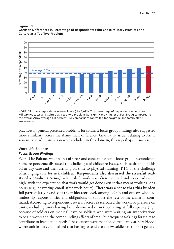



NOTE: All survey respondents were soldiers (N = 7,092). The percentage of respondents who chose Military Practices and Culture as a top-two problem was significantly higher at Fort Bragg compared to the overall Army average (38 percent). All comparisons controlled for paygrade and family status.

practices in general presented problems for soldiers; focus group findings also suggested more similarity across the Army than difference. Given that issues relating to Army systems and administration were included in this domain, this is perhaps unsurprising.

### **Work-Life Balance**

### *Focus Group Findings*

Work-Life Balance was an area of stress and concern for some focus group respondents. Some respondents discussed the challenges of childcare issues, such as dropping kids off at day care and then arriving on time to physical training (PT), or the challenge of arranging care for sick children. **Respondents also discussed the stressful reality of a "24-hour Army,"** where shift work was often required and workloads were high, with the expectation that work would get done even if that meant working long hours (e.g., answering email after work hours). **There was a sense that this burden fell particularly heavily at the midcareer level**, among NCOs and officers who had leadership responsibilities and obligations to support the rest of the chain of command. According to respondents, several factors exacerbated the workload pressure on units, including units having been downsized or not operating at full capacity (e.g., because of soldiers on medical leave or soldiers who were waiting on authorizations to begin work) and the compounding effects of small but frequent taskings for units to contribute to installation needs. These effects were mentioned frequently at Fort Hood, where unit leaders complained that having to send even a few soldiers to support general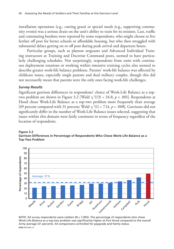installation operations (e.g., cutting grass) or special needs (e.g., supporting community events) was a serious drain on the unit's ability to train for its mission. Last, traffic and commuting burdens were reported by some respondents, who might choose to live farther off post for better schools or affordable housing, but who then struggled with substantial delays getting on or off post during peak arrival and departure hours.

Particular groups, such as platoon sergeants and Advanced Individual Training instructors at Training and Doctrine Command posts, seemed to have particularly challenging schedules. Not surprisingly, respondents from units with continuous deployment rotations or working within intensive training cycles also seemed to describe greater work-life balance problems. Parents' work-life balance was affected by childcare issues, especially single parents and dual military couples, though this did not necessarily mean that parents were the only ones facing work-life challenges.

### *Survey Results*

Significant garrison differences in respondents' choice of Work-Life Balance as a toptwo problem are shown in Figure 3.2 [Wald  $\chi^2(13) = 34.8$ ,  $p < .001$ ]. Respondents at Hood chose Work-Life Balance as a top-two problem more frequently than average [49 percent compared with 31 percent; Wald  $\chi^2(1) = 7.14$ ,  $p = .008$ ]. Garrisons did not significantly differ in the number of Work-Life Balance issues selected, suggesting that issues within this domain were fairly consistent in terms of frequency regardless of the location of respondents.





NOTE: All survey respondents were soldiers ( $N = 7,092$ ). The percentage of respondents who chose Work-Life Balance as a top-two problem was significantly higher at Fort Hood compared to the overall Army average (31 percent). All comparisons controlled for paygrade and family status.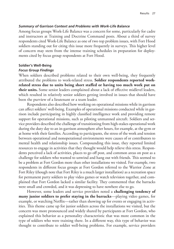#### *Summary of Garrison Context and Problems with Work-Life Balance*

Among focus groups Work-Life Balance was a concern for some, particularly for cadre and instructors at Training and Doctrine Command posts. About a third of survey respondents cited Work-Life Balance as one of two top problem issues, with Fort Hood soldiers standing out for citing this issue more frequently in surveys. This higher level of concern may stem from the intense training schedules in preparation for deployments cited by focus group respondents at Fort Hood.

### **Soldier's Well-Being** *Focus Group Findings*

When soldiers described problems related to their own well-being, they frequently attributed the problems to work-related stress. **Soldier respondents reported workrelated stress due to units being short staffed or having too much work put on their units.** Some senior leaders complained about a lack of effective midlevel leaders, which resulted in relatively senior soldiers getting involved in issues that should have been the purview of a lieutenant or a team leader.

Respondents also described how working on operational missions while in garrison can affect soldiers' well-being. Examples of operational missions conducted while in garrison include participating in highly classified intelligence work and providing remote support for operational missions, such as piloting unmanned aircraft. Soldiers and service providers described the challenge of transitioning from high-stakes operational work during the duty day to an in-garrison atmosphere after hours, for example, at the gym or at home with their families. According to participants, the stress of the work and tension between operational and nonoperational environments were causes of or contributors to mental health and relationship issues. Compounding this issue, they reported limited resources to engage in activities that they thought would help relieve this stress. Respondents perceived a lack of activities, places to go off post, and common areas on post as a challenge for soldiers who wanted to unwind and hang out with friends. This seemed to be a problem at Fort Gordon more than other installations we visited. For example, two respondents in different focus groups at Fort Gordon referred to the Warrior Zone at Fort Riley (though note that Fort Riley is a much larger installation) as a recreation space for permanent party soldiers to play video games or watch television together, and complained that Fort Gordon lacked a similar facility. They commented that the barracks were small and crowded, and it was depressing to have nowhere else to go.

However, some leaders and service providers noted a **challenging tendency of many junior soldiers to prefer staying in the barracks**—playing video games, for example, or watching Netflix—rather than showing up for events or engaging in activities. This theme came up for junior soldiers across the installations we visited, but the concern was more pronounced and widely shared by participants at Fort Gordon, who explained this behavior as a personality characteristic that was more common in the type of soldiers who were training there. In a different way, this type of behavior was thought to contribute to soldier well-being problems. For example, service providers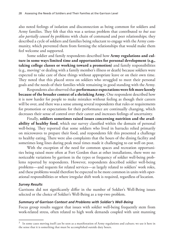also noted feelings of isolation and disconnection as being common for soldiers and Army families. They felt that this was a serious problem that contributed to *but was also partially caused by* problems with chain of command and peer relationships; they described a cycle of soldiers and families being reluctant to engage with the Army community, which prevented them from forming the relationships that would make them feel welcome and supported.

Some soldier and family respondents described how **Army regulations and culture in some ways limited time and opportunities for personal development (e.g., taking college classes or working toward a promotion)** and family responsibilities (e.g., moving3 or dealing with a family member's illness or death) because soldiers were expected to take care of these things without appropriate leave or on their own time. They noted that this placed stress on soldiers who struggled to meet their personal goals and the needs of their families while remaining in good standing with the Army.

Respondents also observed that **performance expectations were felt more keenly because of the broader context of a shrinking Army.** One respondent described how it is now harder for people to make mistakes without feeling as though their careers will be over, and there was a sense among several respondents that rules or requirements for promotion or expectations for their performance are continually changing, which decreases their sense of control over their career and increases feelings of uncertainty.

Finally, **soldiers sometimes raised issues concerning nutrition and the availability of healthy food**, which our survey classified within the domain of personal well-being. They reported that some soldiers who lived in barracks relied primarily on microwaves to prepare their food, and respondents felt this presented a challenge to healthy eating. There were also complaints that the hours of the dining facility and sometimes long lines during peak meal times made it challenging to eat well on post.

With the exception of the need for common spaces and recreation opportunities being raised more often at Fort Gordon than at other installations, there were no noticeable variations by garrison in the types or frequency of soldier well-being problems reported by respondents. However, respondents described soldier well-being problems—and requests for related services—as largely related to soldiers' work roles, and these problems would therefore be expected to be more common in units with operational responsibilities or where irregular shift work is required, regardless of location.

## *Survey Results*

Garrisons did not significantly differ in the number of Soldier's Well-Being issues selected or the choice of Soldier's Well-Being as a top-two problem.

### *Summary of Garrison Context and Problems with Soldier's Well-Being*

Focus group results suggest that issues with soldier well-being frequently stem from work-related stress, often related to high work demands coupled with unit manning

 $3$  In some cases moving itself can be seen as a manifestation of Army regulations and culture; we use it here in the sense that it is something that must be accomplished outside duty hours.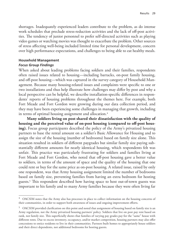shortages. Inadequately experienced leaders contribute to the problem, as do intense work schedules that preclude stress-reduction activities and the lack of off-post activities. The tendency of junior personnel to prefer self-directed activities such as playing video games or watching movies was thought to exacerbate the problem. Other sources of stress affecting well-being included limited time for personal development, concern over high performance expectations, and challenges to being able to eat healthy meals.

# **Household Management**

### *Focus Group Findings*

When asked about leading problems facing soldiers and their families, respondents often raised issues related to housing—including barracks, on-post family housing, and off-post housing—which was captured in the survey category of Household Management. Because many housing-related issues and complaints were specific to one or two installations and thus help illustrate how challenges may differ by post and why a local perspective can be helpful, we describe installation-specific differences in respondents' reports of housing problems throughout the themes here. For example, both Fort Meade and Fort Gordon were growing during our data collection period, and they may have been experiencing some challenges in managing that growth, including in terms of optimal housing assignment and allocation.<sup>4</sup>

**Many soldiers living on post shared their dissatisfaction with the quality of housing and the perceived value of on-post housing (compared to off-post housing).** Focus group participants described the policy of the Army's privatized housing partners to base the rental amount on a soldier's Basic Allowance for Housing and to assign the size of the housing (number of bedrooms) based on family size alone. This situation resulted in soldiers of different paygrades but similar family size paying substantially different amounts for nearly identical housing, which respondents felt was unfair. This practice was particularly frustrating for soldiers and families living at Fort Meade and Fort Gordon, who noted that off-post housing gave a better value to soldiers, in terms of the amount of space and the quality of the housing that one could rent or buy for the same price as on-post housing. A related issue, raised by only one respondent, was that Army housing assignment limited the number of bedrooms based on family size, preventing families from having an extra bedroom for hosting guests.5 This respondent described how having space to host out-of-town guests was important to his family and to many Army families because they were often living far

<sup>&</sup>lt;sup>4</sup> OACSIM notes that the Army also has processes in place to collect information on the housing concerns of their communities, in order to support both awareness of issues and ongoing improvement efforts.

<sup>5</sup> OACSIM provided clarification on this point and noted that assignment of housing based on family size is an Army regulation, not the Army privatized housing partners' policy. Soldiers that live on post pay rent based on rank, not family size. This superficially shows that families of varying pay grades pay for the "same" house with different rents. Due to excess inventory, occupancy, and/or market competition, housing partners may also offer concessions to entice residents to live in their communities. Partners built homes to appropriately house soldiers and their direct dependents, not additional bedrooms for hosting guests.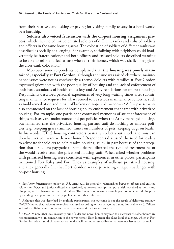from their relatives, and asking or paying for visiting family to stay in a hotel would be a hardship.

**Soldiers also voiced frustration with the on-post housing assignment process,** which they noted mixed enlisted soldiers of different ranks and enlisted soldiers and officers in the same housing areas. The colocation of soldiers of different ranks was described as socially challenging. For example, socializing with neighbors could inadvertently be fraternization,<sup>6</sup> and both officers and enlisted soldiers described wanting to be able to relax and feel at ease when at their homes, which was challenging given the cross-rank colocation.7

Moreover, some respondents complained that **the housing was poorly maintained, especially at Fort Gordon;** although the issue was raised elsewhere, maintenance issues were not as consistently a theme. Soldiers with families at Fort Gordon expressed grievances with the poor quality of housing and the lack of enforcement of both basic standards of health and safety and Army regulations for on-post housing. Respondents described personal experiences of very long waiting times after submitting maintenance requests for what seemed to be serious maintenance concerns, such as mold remediation and repair of broken or inoperable windows.8 A few participants also commented on the lack of housing policy enforcement that came with privatized housing. For example, one participant contrasted memories of strict enforcement of things such as yard maintenance and pet policies when the Army managed housing, but lamented that the privatized housing partner staff do nothing to enforce policies (e.g., keeping grass trimmed, limits on numbers of pets, keeping dogs on leash). In his words, "[The] housing contractors basically collect your check and you can do whatever you want with your home." Respondents discussed the need for leaders to advocate for soldiers to help resolve housing issues, in part because of the perception that a soldier's paygrade to some degree dictated the type of treatment he or she would receive from the privatized housing staff. When asked whether problems with privatized housing were consistent with experiences in other places, participants mentioned Fort Riley and Fort Knox as examples of well-run privatized housing, and they generally felt that Fort Gordon was experiencing unique challenges with on-post housing.

<sup>6</sup> See Army fraternization policy in U.S. Army (2014); generally, relationships between officers and enlisted soldiers, or NCOs and junior enlisted, are restricted, as are relationships that put at risk perceived authority and discipline, such as between trainer and trainee. The intent is to prevent adverse impacts on morale and discipline by avoiding perceptions of partiality, preference, or other unfairness.

 $7$  Although this was described by multiple participants, this outcome is not the result of deliberate strategy. OACSIM noted that residents are typically housed according to their categories (ranks, family size, etc.). Officers and enlisted living next door to each other are one-off situations and are rare.

<sup>8</sup> OACSIM notes that local inventory mix of older and newer homes may lead to a view that the older homes are not maintained well in comparison to the newer homes. Each location also faces local challenges, which at Fort Gordon include a humid climate that can make facilities more susceptible to maintenance issues such as mold.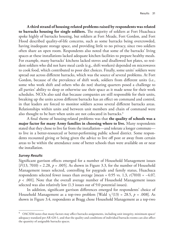**A third strand of housing-related problems raised by respondents was related to barracks housing for single soldiers.** The majority of soldiers at Fort Huachuca spoke highly of barracks housing, but soldiers at Fort Meade, Fort Gordon, and Fort Hood described quality-of-life concerns, such as some barracks being overcrowded, having inadequate storage space, and providing little to no privacy, since two soldiers often share an open room. Respondents also noted that some of the barracks' living spaces at these installations lacked adequate kitchen facilities to prepare healthy meals. For example, many barracks' kitchens lacked stoves and disallowed hot plates, so resident soldiers who did not have meal cards (e.g., shift workers) depended on microwaves to cook food, which contributed to poor diet choices. Finally, some units' soldiers were spread out across different barracks, which was the source of several problems. At Fort Gordon, because of the prevalence of shift work, soldiers from different units (i.e., some who work shift and others who do not) sharing quarters posed a challenge to all parties' ability to sleep or otherwise use their space as it made sense for their work schedules. NCOs also said that because companies are still responsible for their units, breaking up the units across different barracks has an effect on command and control, in that leaders are forced to monitor soldiers across several different barracks areas. Relationships within units and between unit members and chain of command were also thought to be hurt when units are not colocated in barracks.<sup>9</sup>

A final theme of housing-related problems was that **the quality of schools was a major factor for many Army families in choosing where to live.** Many respondents stated that they chose to live far from the installation—and tolerate a longer commute to live in a better-resourced or better-performing public school district. Some respondents recounted giving or being given the advice to live off post or away from certain areas to be within the attendance zone of better schools than were available on or near the installation.

### *Survey Results*

Significant garrison effects emerged for a number of Household Management issues [*F*(13, 7010) = 2.28, *p* = .005]. As shown in Figure 3.3, for the number of Household Management issues selected, controlling for paygrade and family status, Huachuca respondents selected fewer issues than average [mean = 0.95 vs. 1.3, *t*(7010) = −4.07, *p* < .001]. Note that the overall average number of Household Management issues selected was also relatively low (1.3 issues out of 9.0 potential issues).

In addition, significant garrison differences emerged for respondents' choice of Household Management as a top-two problem [Wald  $\chi^2(13) = 28.5$ ,  $p = .008$ ]. As shown in Figure 3.4, respondents at Bragg chose Household Management as a top-two

<sup>9</sup> OACSIM notes that many factors may affect barracks assignments, including unit integrity, minimum space/ adequacy standard per AR 420-1, and that the quality and conditions of individual barracks rooms can also affect the quantity of assignable barracks spaces.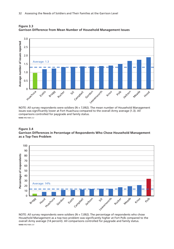

**Figure 3.3 Garrison Difference from Mean Number of Household Management Issues**

NOTE: All survey respondents were soldiers ( $N = 7,092$ ). The mean number of Household Management issues was significantly lower at Fort Huachuca compared to the overall Army average (1.3). All comparisons controlled for paygrade and family status. RAND RR2148A-3.3

#### **Figure 3.4 Garrison Differences in Percentage of Respondents Who Chose Household Management as a Top-Two Problem**



NOTE: All survey respondents were soldiers (N = 7,092). The percentage of respondents who chose Household Management as a top-two problem was significantly higher at Fort Polk compared to the overall Army average (14 percent). All comparisons controlled for paygrade and family status.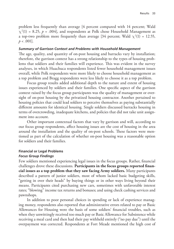problem less frequently than average [4 percent compared with 14 percent; Wald  $\chi^2(1)$  = 8.25, *p* = .004], and respondents at Polk chose Household Management as a top-two problem more frequently than average [34 percent; Wald  $\chi^2(1) = 12.55$ ,  $p < .001$ .

#### *Summary of Garrison Context and Problems with Household Management*

The age, quality, and quantity of on-post housing and barracks vary by installation; therefore, the garrison context has a strong relationship to the types of housing problems that soldiers and their families will experience. This was evident in the survey analyses, in which Huachuca respondents listed fewer household management issues overall, while Polk respondents were more likely to choose household management as a top problem and Bragg respondents were less likely to choose it as a top problem.

Focus group results added additional depth to the nature and extent of housing issues experienced by soldiers and their families. One specific aspect of the garrison context raised by the focus group participants was the quality of management or oversight of on-post housing by the privatized housing contractor. Another pertained to housing policies that could lead soldiers to perceive themselves as paying substantially different amounts for identical housing. Single soldiers discussed barracks housing in terms of overcrowding, inadequate kitchens, and policies that did not take unit assignment into account.

Other important contextual factors that vary by garrison and will, according to our focus group respondents, affect housing issues are the cost of housing in the area around the installation and the quality of on-post schools. These factors were mentioned as part of the calculation of whether on-post housing was a reasonable option for soldiers and their families.

# **Financial or Legal Problems**

### *Focus Group Findings*

Few soldiers mentioned experiencing legal issues in the focus groups. Rather, financial challenges drove these discussions. **Participants in the focus groups reported financial issues as a top problem that they saw facing Army soldiers.** Many participants described a pattern of junior soldiers, most of whom lacked basic budgeting skills, "getting in over their heads" by buying things or in other ways living beyond their means. Participants cited purchasing new cars, sometimes with unfavorable interest rates; "blowing" income tax returns and bonuses; and using check cashing services and pawnshops.

In addition to poor personal choices in spending or lack of experience managing money, respondents also reported that administrative errors related to pay or Basic Allowances for Housing were the basis of some soldiers' financial troubles, such as when they unwittingly received too much pay or Basic Allowance for Subsistence while receiving a meal card and then had their pay withheld entirely ("no pay due") until the overpayment was corrected. Respondents at Fort Meade mentioned the high cost of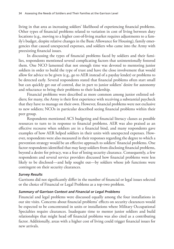living in that area as increasing soldiers' likelihood of experiencing financial problems. Other types of financial problems related to variation in cost of living between duty locations (e.g., moving to a higher cost-of-living market requires adjustments to a family's budget, despite relative changes in the Basic Allowance for Housing), family emergencies that caused unexpected expenses, and soldiers who came into the Army with preexisting financial issues.

In discussing the types of financial problems faced by soldiers and their families, respondents mentioned several complicating factors that unintentionally fostered them. One NCO lamented that not enough time was devoted to mentoring junior soldiers in order to build the type of trust and have the close involvement that would allow for advice to be given (e.g., go to AER instead of a payday lender) or problems to be detected early. Several respondents stated that financial problems often start small but can quickly get out of control, due in part to junior soldiers' desire for autonomy and reluctance to bring their problems to their leadership.

Financial problems were described as more common among junior enlisted soldiers; for many, the Army is their first experience with receiving a substantial paycheck that they have to manage on their own. However, financial problems were not exclusive to new soldiers; NCOs in particular described seeing financial problems within their peer group.

Respondents mentioned ACS budgeting and financial literacy classes as possible resources to turn to in response to financial problems. AER was also praised as an effective recourse when soldiers are in a financial bind, and many respondents gave examples of how AER helped soldiers in their units with unexpected expenses. However, respondents were also measured in their responses regarding the degree to which a prevention strategy would be an effective approach to soldiers' financial problems. One factor respondents identified that may keep soldiers from disclosing financial problems, beyond a desire for privacy, was a fear of losing security clearance. Consequently, a few respondents and several service providers discussed how financial problems were less likely to be disclosed—and help sought out—by soldiers whose job functions were contingent on their security clearances.

## *Survey Results*

Garrisons did not significantly differ in the number of financial or legal issues selected or the choice of Financial or Legal Problems as a top-two problem.

## *Summary of Garrison Context and Financial or Legal Problems*

Financial and legal problems were discussed equally among the four installations in our site visits. Concerns about financial problems' effects on security clearances would be expected to be concentrated in units or installations where Military Occupational Specialties require clearances. Inadequate time to mentor junior soldiers and build relationships that might head off financial problems was also cited as a contributing factor. Additionally, areas with a higher cost of living could trigger financial issues for new arrivals.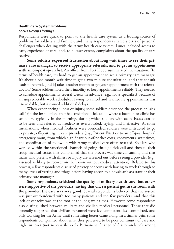# **Health Care System Problems** *Focus Group Findings*

Respondents were quick to point to the health care system as a leading source of problems for soldiers and families, and many respondents shared stories of personal challenges when dealing with the Army health care system. Issues included access to care, experience of care, and, to a lesser extent, complaints about the quality of care received.

**Some soldiers expressed frustration about long wait times to see their primary care manager, to receive appropriate referrals, and to get an appointment with an on-post specialist.** An officer from Fort Hood summarized the situation: "In terms of health care, it's hard to get an appointment to see a primary care manager. It's about a one month wait time to get a two-minute consultation, and that consult leads to referral, [and it] takes another month to get your appointment with the referral doctor." Some soldiers noted their inability to keep appointments reliably. They needed to schedule appointments several weeks in advance (e.g., for a specialist) because of an unpredictable work schedule. Having to cancel and reschedule appointments was unavoidable, but it caused additional delays.

When experiencing illness or injury, some soldiers described the process of "sick call" (in the installations that had traditional sick call—where a location or clinic has set hours, typically in the morning, during which soldiers with acute issues can go to be seen and referred as needed) as overcrowded, trying, and ineffective. At some installations, when medical facilities were overloaded, soldiers were instructed to go to private, off-post urgent care providers (e.g., Patient First) or to an off-post hospital emergency room, from which significant out-of-pocket costs, copayments, wait times, and coordination of follow-up with Army medical care often resulted. Soldiers who worked within the sanctioned channels of going through sick call and then to their troop medical center first complained that the process was time consuming and that many who present with illness or injury are screened out before seeing a provider (e.g., assessed as likely to recover on their own without medical attention). Related to this process, a few respondents discussed privacy concerns with having to work through so many levels of vetting and triage before having access to a physician's assistant or their primary care manager.

**Some respondents criticized the quality of military health care, but others were supportive of the providers, saying that once a patient got in the room with the provider, the care was very good.** Several respondents believed that the system was just overburdened with too many patients and too few providers, and that this lack of capacity was at the root of the long wait times. However, some respondents also distinguished between military and civilian medical personnel. Those that did generally suggested that civilian personnel were less competent, less committed, and only working for the Army until something better came along. In a similar vein, some respondents complained about what they perceived to be poor continuity of care and high turnover (not necessarily solely Permanent Change of Station–related) among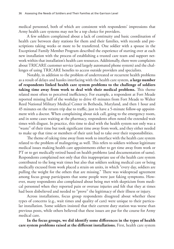medical personnel, both of which are consistent with respondents' impressions that Army health care systems may not be a top choice for providers.

A few soldiers complained about a lack of continuity and basic coordination of health care between duty stations for them and their families, with records and prescriptions taking weeks or more to be transferred. One soldier with a spouse in the Exceptional Family Member Program described the experience of starting over at each new installation with the process of establishing a trusted care team and support network within that installation's health care resources. Additionally, there were complaints about TRICARE customer service (and largely automated phone system) and the challenges of using TRICARE benefits to access outside providers and specialists.

Notably, in addition to the problem of undertreated or recurrent health problems as a result of delays and hassles interfacing with the health care system, **a large number of respondents linked health care system problems to the challenge of soldiers taking time away from work to deal with their medical problems.** This theme related most often to perceived inefficiency. For example, a respondent at Fort Meade reported missing half of the workday to drive 45 minutes from Fort Meade to Walter Reed National Military Medical Center in Bethesda, Maryland, and then 1 hour and 45 minutes on the return trip due to traffic, just to have a 5-minute follow-up appointment with a doctor. When complaining about sick call, going to the emergency room, and in some cases waiting at the pharmacy, respondents often noted the extended wait times with disgust. In practice, this time to deal with the health system not only was a "waste" of their time but took significant time away from work, and they either needed to make up that time or members of their unit had to take over their responsibilities.

The theme of taking time away from work to interface with the health care system related to the problem of malingering as well. This refers to soldiers without legitimate medical issues making health care appointments either to get time away from work or PT or to get medically retired based on health problems (and documentation of same). Respondents complained not only that this inappropriate use of the health care system contributed to the long wait times but also that soldiers seeking medical care or being medically excused from work placed a strain on units, in which "every day, soldiers are pulling the weight for the others that are missing." There was widespread agreement among focus group participants that some people were just faking symptoms. However, many respondents also complained about being met with skepticism from medical personnel when they reported pain or overuse injuries and felt that they at times had been disbelieved and needed to "prove" the legitimacy of their illness or injury.

Across installations, focus group respondents disagreed about whether these types of concerns (e.g., wait times and quality of care) were unique to their particular installation. Some soldiers insisted that their current duty station was worse than previous posts, while others believed that these issues are par for the course for Army medical care.

**In the focus groups, we did identify some differences in the types of health care system problems raised at the different installations.** First, health care system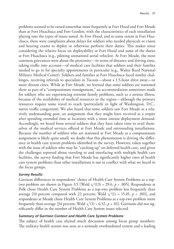problems seemed to be raised somewhat more frequently at Fort Hood and Fort Meade than at Fort Huachuca and Fort Gordon, with the characteristics of each installation playing into the types of issues noted. At Fort Hood, and to some extent at Fort Huachuca, there were complaints about delays for soldiers who needed physicals or vision and hearing exams to deploy or otherwise perform their duties. This makes sense considering the relative focus on deployability at Fort Hood and some of the duties at Fort Huachuca (e.g., piloting unmanned aerial vehicles). At Fort Meade, the most common grievances were about the proximity—in terms of distance and driving time, taking traffic into account—of medical care facilities that soldiers and their families needed to go to for specialty appointments in particular (e.g., Walter Reed National Military Medical Center). Soldiers and families at Fort Huachuca faced similar challenges, receiving referrals to specialists in Tucson—about a 1.5-hour drive away—or more distant cities. While at Fort Meade, we learned that some soldiers are stationed there as part of a "compassionate reassignment," an accommodation sometimes made for soldiers who are experiencing extreme family problems, such as a serious illness, because of the availability of medical resources in the region—although the primary resources require some travel to reach (particularly in light of Washington, D.C., metro traffic congestion). We also heard that some soldiers saw Fort Meade as a relatively undemanding post, an assignment that they might have received as a respite after spending extended time at locations with a more intense deployment demand. Accordingly, we heard from several soldiers that they have taken time to avail themselves of the medical services offered at Fort Meade and surrounding installations. Because the number of soldiers who are stationed at Fort Meade as a compassionate assignment is likely quite small, we doubt that this phenomenon is driving the difference in health care system problems identified in the survey. However, taken together with the issue of soldiers who may be "catching up" on deferred health care, and given the challenges reported about traveling to and interfacing with multiple health care facilities, the survey finding that Fort Meade has significantly higher rates of health care system problems than other installations is not in conflict with what we heard in the focus groups.

#### *Survey Results*

Garrison differences in respondents' choice of Health Care System Problems as a toptwo problem are shown in Figure 3.5 [Wald  $\chi^2(13)$  = 29.6,  $p$  = .005]. Respondents at Polk chose Health Care System Problems as a top-two problem less frequently than average [10 percent compared with 22 percent; Wald  $\chi^2(1) = 15.45$ ,  $p < .001$ ], and respondents at Meade chose Health Care System Problems as a top-two problem more frequently than average [34 percent; Wald  $\chi^2(1)$  = 6.52,  $p$  = .01]. Garrisons did not significantly differ in the number of Health Care System issues selected.

### *Summary of Garrison Context and Health Care System Problems*

The subject of health care elicited much discussion among focus group members. The military health system was seen as a seriously overburdened system and a leading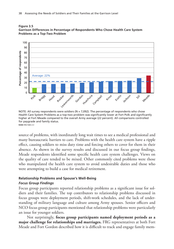



NOTE: All survey respondents were soldiers ( $N = 7,092$ ). The percentage of respondents who chose Health Care System Problems as a top-two problem was significantly lower at Fort Polk and significantly higher at Fort Meade compared to the overall Army average (22 percent). All comparisons controlled for paygrade and family status.

source of problems, with inordinately long wait times to see a medical professional and many bureaucratic barriers to care. Problems with the health care system have a ripple effect, causing soldiers to miss duty time and forcing others to cover for them in their absence. As shown in the survey results and discussed in our focus group findings, Meade respondents identified some specific health care system challenges. Views on the quality of care tended to be mixed. Other commonly cited problems were those who manipulated the health care system to avoid undesirable duties and those who were attempting to build a case for medical retirement.

## **Relationship Problems and Spouse's Well-Being** *Focus Group Findings*

Focus group participants reported relationship problems as a significant issue for soldiers and their families. The top contributors to relationship problems discussed in focus groups were deployment periods, shift-work schedules, and the lack of understanding of military language and culture among Army spouses. Senior officers and NCO focus group participants mentioned that relationship problems were particularly an issue for younger soldiers.

Not surprisingly, **focus group participants named deployment periods as a major challenge for relationships and marriages.** FRG representatives at both Fort Meade and Fort Gordon described how it is difficult to track and engage family mem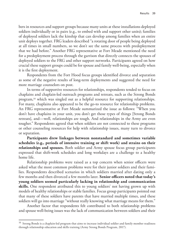bers in resources and support groups because many units at these installations deployed soldiers individually or in pairs (e.g., to embed with and support other units); families of deployed soldiers lack the kinship that can develop among families when an entire unit deploys together. FRG leaders described "a rotating door of people being deployed at all times in small numbers, so we don't see the same process with predeployment that we had before." Another FRG representative at Fort Meade mentioned the need for a predeployment process through the garrison that directly connects the spouses of deployed soldiers to the FRG and other support networks. Participants agreed on how crucial these support groups could be for spouse and family well-being, especially when it is the first deployment.

Respondents from the Fort Hood focus groups identified divorce and separation as some of the negative results of long-term deployments and suggested the need for more marriage counselors on post.

In terms of supportive resources for relationships, respondents tended to focus on chaplains and chaplain-led outreach programs and retreats, such as the Strong Bonds program,<sup>10</sup> which was singled out as a helpful resource for supporting relationships. For many, chaplains also appeared to be the go-to resource for relationship problems. An FRG representative at Fort Meade summarized the issue as follows: "When you don't have chaplains in your unit, you don't get those types of things [Strong Bonds retreats], and—well, relationships are tough. And relationships in the Army are even tougher." Respondents agreed that when soldiers are not connected to these programs or other counseling resources for help with relationship issues, many turn to divorce or separation.

**Participants drew linkages between nonstandard and sometimes variable schedules (e.g., periods of intensive training or shift work) and strains on their relationships and spouses.** Both soldier and Army spouse focus group participants expressed that shift-work schedules and long workdays are a challenge to a healthy home life.

Relationship problems were raised as a top concern when senior officers were asked what the most common problems were for their junior soldiers and their families. Respondents described scenarios in which soldiers married after dating only a few months and then divorced a few months later. **Senior officers noted that today's young soldiers seemed particularly lacking in relationship and communication skills.** One respondent attributed this to young soldiers' not having grown up with models of healthy relationships or stable families. Focus group participants pointed out that many of these soldiers have parents that have married multiple times, and these soldiers will go into marriage "without really knowing what marriage means for them."

Another factor that respondents felt contributed to both relationship problems and spouse well-being issues was the lack of communication between soldiers and their

<sup>&</sup>lt;sup>10</sup> Strong Bonds is a chaplain-led program that aims to increase individual soldier and family member readiness through relationship education and skills training (Army Strong Bonds Program, 2017).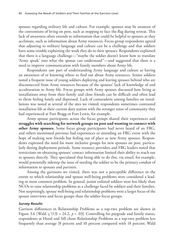spouses regarding military life and culture. For example, spouses may be unaware of the conventions of living on post, such as stopping to face the flag during retreat. This lack of awareness often extends to information that could be helpful to spouses as they acclimate, such as information about Army resources. Focus group respondents agreed that adjusting to military language and culture can be a challenge and that soldiers have some trouble explaining the work they do to their spouses. Respondents explained that there is a language challenge—"maybe the soldier doesn't know how to translate 'Army speak' into what the spouse can understand"—and suggested that there is a need to improve communication with family members about Army life.

Respondents saw part of understanding Army language and culture as having an awareness of or knowing where to find out about Army resources. Senior soldiers noted a frequent issue of young soldiers deploying and leaving spouses behind who are disconnected from Army resources because of the spouses' lack of knowledge of and acculturation to Army life. Focus groups with Army spouses discussed how living at installations away from their family and close friends can be difficult and often lead to them feeling lonely and depressed. Lack of camaraderie among families on installations was noted at several of the sites we visited; respondents sometimes contrasted installation life at their current duty station with the stronger sense of community they had experienced at Fort Bragg or Fort Lewis, for example.

Army spouse participants across the focus groups shared their experiences and **struggles with searching for network groups on post and wanting to connect with other Army spouses.** Some focus group participants had never heard of an FRG, and others mentioned previous bad experiences or attending an FRG event with the hope of making new friends but feeling out of place as new Army spouses. Respondents expressed the need for more inclusive groups for new spouses on post, particularly during deployment periods. Some resource providers and FRG leaders noted that restrictions on obtaining spouses' contact information limited their ability to reach out to spouses directly. They speculated that being able to do this, via email, for example, would potentially sidestep the issue of needing the soldier to be the primary conduit of information to spouses and partners.

Among the garrisons we visited, there was not a perceptible difference in the extent to which relationship and spouse well-being problems were considered a leading or most common problem. In general, junior enlisted soldiers were less likely than NCOs to raise relationship problems as a challenge faced by soldiers and their families. Not surprisingly, spouse well-being and relationship problems were a larger focus of the spouse interviews and focus groups than the soldier focus groups.

#### *Survey Results*

Garrison differences in Relationship Problems as a top-two problem are shown in Figure 3.6 [Wald  $\chi^2(13) = 24.2$ ,  $p = .03$ ]. Controlling for paygrade and family status, respondents at Hood and Sill chose Relationship Problems as a top-two problem less frequently than average [8 percent and 10 percent compared with 18 percent; Wald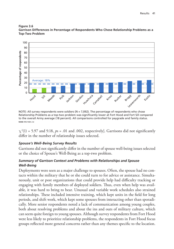



NOTE: All survey respondents were soldiers ( $N = 7,092$ ). The percentage of respondents who chose Relationship Problems as a top-two problem was significantly lower at Fort Hood and Fort Sill compared to the overall Army average (18 percent). All comparisons controlled for paygrade and family status.

 $\chi^2(1)$  = 5.97 and 9.18, *ps* = .01 and .002, respectively]. Garrisons did not significantly differ in the number of relationship issues selected.

# *Spouse's Well-Being Survey Results*

Garrisons did not significantly differ in the number of spouse well-being issues selected or the choice of Spouse's Well-Being as a top-two problem.

## *Summary of Garrison Context and Problems with Relationships and Spouse Well-Being*

Deployments were seen as a major challenge to spouses. Often, the spouse had no contacts within the military that he or she could turn to for advice or assistance. Simultaneously, unit or post organizations that could provide help had difficulty tracking or engaging with family members of deployed soldiers. Thus, even when help was available, it was hard to bring to bear. Unusual and variable work schedules also strained relationships. These included intensive training, which kept units in the field for long periods, and shift work, which kept some spouses from interacting other than sporadically. More senior respondents noted a lack of communication among young couples, both about resolving problems and about the ins and outs of military culture, which can seem quite foreign to young spouses. Although survey respondents from Fort Hood were less likely to prioritize relationship problems, the respondents in Fort Hood focus groups reflected more general concerns rather than any themes specific to the location.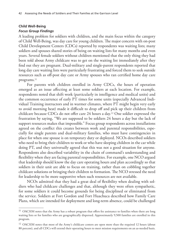# **Child Well-Being**

### *Focus Group Findings*

A leading problem for soldiers with children, and the main focus within the category of Child Well-Being, was day care for young children. The major concern with on-post Child Development Centers (CDCs) reported by respondents was waiting lists; many soldiers and spouses shared stories of being on waiting lists for many months and even years. Several female soldiers without children mentioned that the only thing they had been told about Army childcare was to get on the waiting list immediately after they find out they are pregnant. Dual-military and single-parent respondents reported that long day care waiting lists were particularly frustrating and forced them to seek outside resources such as off-post day care or Army spouses who ran certified home day care programs.<sup>11</sup>

For parents with children enrolled in Army CDCs, the hours of operation emerged as an issue affecting at least some soldiers at each location. For example, respondents noted that shift work (particularly in intelligence and medical units) and the common occurrence of early PT times for some units (especially Advanced Individual Training instructors and in warmer climates, where PT might begin very early to avoid morning heat) made it difficult to drop off and pick up their children from childcare because CDCs do not offer care 24 hours a day.12 One soldier expressed the frustration by saying, "We are supposed to be soldiers 24 hours a day but the lack of support resources makes that impossible." Focus group respondents across installations agreed on the conflict this creates between work and parental responsibilities, especially for single parents and dual-military families, who must have contingencies in place for when one spouse is on temporary duty or deployed. NCOs described soldiers who need to bring their children to work or who have sleeping children in the car while doing PT, and they universally agreed that this was not a good situation for anyone. Respondents also described variability in the chain of command's understanding and flexibility when they are facing parental responsibilities. For example, one NCO argued that leadership should know the day care operating hours and plan accordingly so that soldiers in their unit are able to focus on training, rather than on cobbling together childcare solutions or bringing their children to formation. The NCO stressed the need for leadership to be more supportive when such resources are not available.

NCOs admitted that they had a great deal of flexibility when dealing with soldiers who had childcare challenges and that, although they were often sympathetic, for some soldiers it could become grounds for being disciplined or eliminated from the service. Soldiers at Fort Gordon and Fort Huachuca described how Family Care Plans, which are intended for deployment and long-term absence, could be challenged

<sup>&</sup>lt;sup>11</sup> OACSIM notes that the Army has a robust program that offers fee assistance to families when there are long waiting lists or for families who are geographically dispersed. Approximately 9,500 families are enrolled in this program.

<sup>&</sup>lt;sup>12</sup> OACSIM notes that most of the Army's childcare centers are open more than the required 12 hours (about 80 percent), and all CDCs will extend their operating hours to meet mission requirements on an as-needed basis.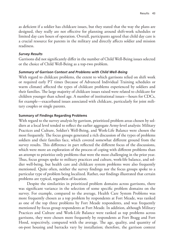as deficient if a soldier has childcare issues, but they stated that the way the plans are designed, they really are not effective for planning around shift-work schedules or limited day care hours of operation. Overall, participants agreed that child day care is a crucial resource for parents in the military and directly affects soldier and mission readiness.

### *Survey Results*

Garrisons did not significantly differ in the number of Child Well-Being issues selected or the choice of Child Well-Being as a top-two problem.

## *Summary of Garrison Context and Problems with Child Well-Being*

With regard to childcare problems, the extent to which garrisons relied on shift work or required early PT times (because of Advanced Individual Training schedules or warm climate) affected the types of childcare problems experienced by soldiers and their families. The large majority of childcare issues raised were related to childcare for children younger than school age. A number of institutional issues—hours for CDCs, for example—exacerbated issues associated with childcare, particularly for joint military couples or single parents.

## **Summary of Findings Regarding Problems**

With regard to the survey analysis by garrison, prioritized problem areas chosen by soldiers at a local level tended to reflect the earlier aggregate Army-level analysis: Military Practices and Culture, Soldier's Well-Being, and Work-Life Balance were chosen the most frequently. The focus groups generated a rich discussion of the types of problems soldiers and their families face, which covered somewhat different ground from the survey results. This difference in part reflected the different focus of the discussions, which were more an exploration of the process of coping with different problems than an attempt to prioritize only problems that were the most challenging in the prior year. Thus, focus groups spoke to military practices and culture, work-life balance, and soldier well-being, but health care and childcare system problems were also frequently mentioned. Quite often, neither the survey findings nor the focus groups spoke to a particular type of problem being localized. Rather, our findings illustrated that certain problems are typical, regardless of location.

Despite the similarities in prioritized problem domains across garrisons, there was significant variance in the selection of some specific problem domains on the survey. For example, compared to the average, Health Care System Problems was more frequently chosen as a top problem by respondents at Fort Meade, was ranked as one of the top three problems by Fort Meade respondents, and was frequently mentioned by focus group respondents at Fort Meade. In addition, although Military Practices and Culture and Work-Life Balance were ranked as top problems across garrisons, they were chosen more frequently by respondents at Fort Bragg and Fort Hood, respectively, compared with the average. The age, quality, and quantity of on-post housing and barracks vary by installation; therefore, the garrison context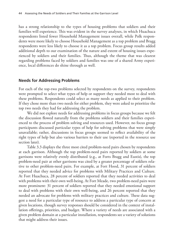has a strong relationship to the types of housing problems that soldiers and their families will experience. This was evident in the survey analyses, in which Huachuca respondents listed fewer Household Management issues overall, while Polk respondents were more likely to choose Household Management as a top problem and Bragg respondents were less likely to choose it as a top problem. Focus group results added additional depth to our examination of the nature and extent of housing issues experienced by soldiers and their families. Thus, although the theme that was clearest regarding problems faced by soldiers and families was one of a shared Army experience, local differences do shine through as well.

# **Needs for Addressing Problems**

For each of the top-two problems selected by respondents on the survey, respondents were prompted to select what types of help or support they needed most to deal with these problems. Respondents could select as many needs as applied to their problem. If they chose more than two needs for either problem, they were asked to prioritize the top two needs they had for addressing the problem.

We did not explore needs for addressing problems in focus groups because we felt the discussion flowed naturally from the problems soldiers and their families experienced to the process of problem solving and resources used. However, no focus group participants discussed particular types of help for solving problems that were simply unavailable; rather, discussions in focus groups seemed to reflect availability of the right types of help but also various barriers to their use (reported in the resource use section later).

Table 3.3 displays the three most cited problem-need pairs chosen by respondents at each garrison. Although the top problem-need pairs reported by soldiers at some garrisons were relatively evenly distributed (e.g., at Forts Bragg and Eustis), the top problem-need pair at other garrisons was cited by a greater percentage of soldiers relative to other problem-need pairs. For example, at Fort Hood, 31 percent of soldiers reported that they needed advice for problems with Military Practices and Culture. At Fort Huachuca, 28 percent of soldiers reported that they needed activities to deal with problems with their own well-being. At Fort Meade, two problem-need pairs were more prominent: 31 percent of soldiers reported that they needed emotional support to deal with problems with their own well-being, and 26 percent reported that they needed an advocate for problems with military practices and culture. These data suggest a need for a particular type of resource to address a particular type of concern at given locations, though survey responses should be considered in the context of installation offerings, priorities, and budget. Where a variety of needs are associated with a given problem domain at a particular installation, respondents see a variety of solutions that might address their issues.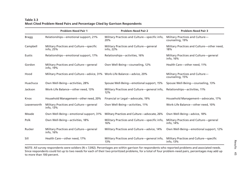#### **Table 3.3Most Cited Problem-Need Pairs and Percentage Cited by Garrison Respondents**

|             | <b>Problem-Need Pair 1</b>                                               | <b>Problem-Need Pair 2</b>                           | <b>Problem-Need Pair 3</b>                           |
|-------------|--------------------------------------------------------------------------|------------------------------------------------------|------------------------------------------------------|
| Bragg       | Relationships-emotional support, 21%                                     | Military Practices and Culture-specific info,<br>20% | Military Practices and Culture-<br>counseling, 19%   |
| Campbell    | Military Practices and Culture-specific<br>info, 25%                     | Military Practices and Culture-general<br>info, 22%  | Military Practices and Culture-other need,<br>18%    |
| Eustis      | Relationships—emotional support, 17%                                     | Relationships-activities, 16%                        | Military Practices and Culture-general<br>info, 16%  |
| Gordon      | Military Practices and Culture-general<br>info, 19%                      | Own Well-Being-counseling, 12%                       | Health Care-other need, 11%                          |
| Hood        | Military Practices and Culture—advice, 31% Work-Life Balance—advice, 20% |                                                      | Military Practices and Culture-<br>counseling, 15%   |
| Huachuca    | Own Well-Being-activities, 28%                                           | Spouse Well-Being—emotional support, 15%             | Spouse Well-Being-counseling, 13%                    |
| Jackson     | Work-Life Balance-other need, 13%                                        | Military Practices and Culture-general info,<br>12%  | Relationships-activities, 11%                        |
| Knox        | Household Management-other need, 20%                                     | Financial or Legal-advocate, 19%                     | Household Management-advocate, 17%                   |
| Leavenworth | Military Practices and Culture-general<br>info, 13%                      | Own Well-Being-activities, 11%                       | Work-Life Balance-other need, 10%                    |
| Meade       | Own Well-Being-emotional support, 31%                                    | Military Practices and Culture—advocate, 26%         | Own Well-Being-advice, 18%                           |
| Polk        | Own Well-Being-activities, 18%                                           | Military Practices and Culture-specific info,<br>16% | Military Practices and Culture-general<br>info, 14%  |
| Rucker      | Military Practices and Culture-general<br>info, 16%                      | Military Practices and Culture-advice, 14%           | Own Well-Being-emotional support, 12%                |
| Sill        | Health Care-other need, 17%                                              | Military Practices and Culture-general info,<br>13%  | Military Practices and Culture-specific<br>info, 13% |

NOTE: All survey respondents were soldiers (N = 7,092). Percentages are within garrison for respondents who reported problems and associated needs. Since respondents could list up to two needs for each of their two prioritized problems, for a total of four problem-need pairs, percentages may add up to more than 100 percent.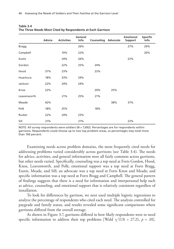|              | <b>Advice</b> | <b>Activities</b> | General<br>Info | <b>Counseling Advocate</b> |     | <b>Emotional</b><br><b>Support</b> | <b>Specific</b><br>Info |
|--------------|---------------|-------------------|-----------------|----------------------------|-----|------------------------------------|-------------------------|
| <b>Bragg</b> |               |                   | 26%             |                            |     | 27%                                | 29%                     |
| Campbell     |               | 19%               | 22%             |                            |     |                                    | 20%                     |
| Eustis       |               | 24%               | 26%             |                            |     | 22%                                |                         |
| Gordon       |               | 22%               | 25%             | 24%                        |     |                                    |                         |
| Hood         | 37%           | 23%               |                 | 22%                        |     |                                    |                         |
| Huachuca     | 18%           | 33%               | 24%             |                            |     |                                    |                         |
| Jackson      | 22%           | 24%               | 24%             |                            |     |                                    |                         |
| Knox         | 22%           |                   |                 | 20%                        | 25% |                                    |                         |
| Leavenworth  |               | 21%               | 25%             | 21%                        |     |                                    |                         |
| Meade        | 42%           |                   |                 |                            | 38% | 37%                                |                         |
| Polk         | 18%           | 25%               |                 | 18%                        |     |                                    |                         |
| Rucker       | 22%           | 24%               | 23%             |                            |     |                                    |                         |
| Sill         | 21%           |                   | 21%             |                            |     | 22%                                |                         |

| Table 3.4 |                                                            |  |
|-----------|------------------------------------------------------------|--|
|           | The Three Needs Most Cited by Respondents at Each Garrison |  |

NOTE: All survey respondents were soldiers (N = 7,092). Percentages are for respondents within garrisons. Respondents could choose up to two top problem areas, so percentages may total more than 100 percent.

Examining needs across problem domains, the most frequently cited needs for addressing problems varied considerably across garrisons (see Table 3.4). The needs for advice, activities, and general information were all fairly common across garrisons, but other needs varied. Specifically, counseling was a top need at Forts Gordon, Hood, Knox, Leavenworth, and Polk; emotional support was a top need at Forts Bragg, Eustis, Meade, and Sill; an advocate was a top need at Forts Knox and Meade; and specific information was a top need at Forts Bragg and Campbell. The general pattern of findings suggests that there is a need for information and interpersonal help such as advice, counseling, and emotional support that is relatively consistent regardless of installation.

To look for differences by garrison, we next used multiple logistic regressions to analyze the percentage of respondents who cited each need. The analysis controlled for paygrade and family status, and results revealed some significant comparisons where garrisons differed from the overall average.

As shown in Figure 3.7, garrisons differed in how likely respondents were to need specific information to address their top problems [Wald  $\chi^2(13) = 27.21$ ,  $p = .01$ ].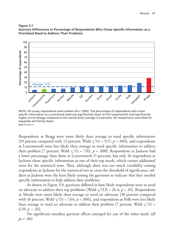



NOTE: All survey respondents were soldiers (N = 7,092). The percentage of respondents who chose specific information as a prioritized need was significantly lower at Fort Leavenworth and significantly higher at Fort Bragg compared to the overall Army average (12 percent). All comparisons controlled for paygrade and family status.

Respondents at Bragg were more likely than average to need specific information [29 percent compared with 12 percent; Wald  $\chi^2(1) = 9.17$ ,  $p = .003$ ], and respondents at Leavenworth were less likely than average to need specific information to address their problem [7 percent; Wald  $\chi^2(1) = 7.02$ ,  $p = .008$ ]. Respondents at Jackson had a lower percentage than those at Leavenworth (5 percent), but only 16 respondents at Jackson chose specific information as one of their top needs, which creates additional error for the statistical tests. Thus, although there was too much variability among respondents at Jackson for the statistical test to cross the threshold of significance, soldiers at Jackson were the least likely among the garrisons to indicate that they needed specific information to help address their problems.

As shown in Figure 3.8, garrisons differed in how likely respondents were to need an advocate to address their top problems [Wald  $\chi^2(13) = 26.4$ ,  $p = .01$ ]. Respondents at Meade were more likely than average to need an advocate [38 percent compared with 16 percent; Wald  $\chi^2(1)$  = 7.64,  $p = .006$ ], and respondents at Polk were less likely than average to need an advocate to address their problem [7 percent; Wald  $\chi^2(1)$  = 6.59,  $p = .01$ .

No significant omnibus garrison effects emerged for any of the other needs (all  $p_s > .06$ ).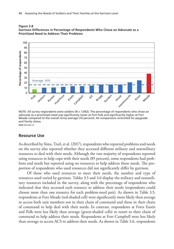

**Figure 3.8 Garrison Differences in Percentage of Respondents Who Chose an Advocate as a Prioritized Need to Address Their Problems**

NOTE: All survey respondents were soldiers (N = 7,092). The percentage of respondents who chose an advocate as a prioritized need was significantly lower at Fort Polk and significantly higher at Fort Meade compared to the overall Army average (16 percent). All comparisons controlled for paygrade and family status.

### **Resource Use**

As described by Sims, Trail, et al. (2017), respondents who reported problems and needs on the survey also reported whether they accessed different military and nonmilitary resources to deal with their needs. Although the vast majority of respondents reported using resources to help cope with their needs (85 percent), some respondents had problems and needs but reported using no resources to help address those needs. The proportion of respondents who used resources did not significantly differ by garrison.

Of those who used resources to meet their needs, the number and type of resources used varied by garrison. Tables 3.5 and 3.6 display the military and nonmilitary resources included in the survey, along with the percentage of respondents who indicated that they accessed each resource to address their needs (respondents could choose more than one resource for each problem-need pair). As shown in Table 3.5, respondents at Fort Meade (red-shaded cell) were significantly more likely than average to access both unit members not in their chain of command and those in their chain of command to help deal with their needs. In contrast, respondents at Forts Eustis and Polk were less likely than average (green-shaded cells) to resort to their chain of command to help address their needs. Respondents at Fort Campbell were less likely than average to access ACS to address their needs. As shown in Table 3.6, respondents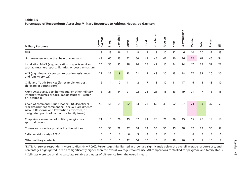#### **Table 3.5Percentage of Respondents Accessing Military Resources to Address Needs, by Garrison**

|                                                                                                                                                                                                       | Average<br>Army | <b>Bragg</b> | Campbell | Eustis | Gordon | Hood           | Huachuca | Jackson | Knox | Leavenworth | Meade |      | Rucker |    |  |
|-------------------------------------------------------------------------------------------------------------------------------------------------------------------------------------------------------|-----------------|--------------|----------|--------|--------|----------------|----------|---------|------|-------------|-------|------|--------|----|--|
| <b>Military Resource</b>                                                                                                                                                                              |                 |              |          |        |        |                |          |         |      |             |       | Polk |        |    |  |
| <b>FRG</b>                                                                                                                                                                                            | 13              | 13           | 16       | 11     | 8      | 17             | 9        | 10      | 12   | 6           | 10    | 20   | 12     | 13 |  |
| Unit members not in the chain of command                                                                                                                                                              | 49              | 60           | 53       | 42     | 50     | 43             | 45       | 42      | 50   | 36          | 72    | 61   | 46     | 54 |  |
| Installation MWR (e.g., recreation or sports services<br>such as intramural sports, libraries, or post gymnasium)                                                                                     | 24              | 35           | 15       | 28     | 24     | 25             | 42       | 15      | 24   | 24          | 17    | 39   | 32     | 22 |  |
| ACS (e.g., financial services, relocation assistance,<br>and family services)                                                                                                                         | 22              | 27           | 9        | 23     | 21     | 17             | 43       | 20      | 23   | 18          | 27    | 32   | 20     | 20 |  |
| Child and Youth Services (for example, on-post<br>childcare or youth sports)                                                                                                                          | 12              | 14           | 2        | 11     | 12     | $\overline{7}$ | 13       | 10      | 11   | 17          | 6     | 13   | 13     | 10 |  |
| Army OneSource, post homepage, or other military<br>Internet resources or social media (such as Twitter<br>or Facebook)                                                                               | 18              | 21           | 14       | 21     | 22     | 21             | 21       | 18      | 13   | 19          | 21    | 17   | 18     | 15 |  |
| Chain of command (squad leaders, NCOs/officers,<br>rear detachment commanders, Sexual Harassment/<br>Assault Response and Prevention advocates, or<br>designated points of contact for family issues) | 50              | 61           | 59       | 32     | 54     | 73             | 62       | 49      | 52   | 37          | 73    | 34   | 47     | 53 |  |
| Chaplain or members of military religious or<br>spiritual group                                                                                                                                       | 21              | 16           | 26       | 19     | 32     | 21             | 26       | 21      | 26   | 15          | 15    | 28   | 19     | 18 |  |
| Counselor or doctor provided by the military                                                                                                                                                          | 36              | 33           | 29       | 37     | 38     | 34             | 35       | 30      | 35   | 38          | 32    | 29   | 30     | 52 |  |
| Relief or aid society (AER) <sup>a</sup>                                                                                                                                                              | 5               | 6            | 7        | 6      | 3      | 3              | 4        | 15      | 2    | 1           | 6     | 8    | 4      | 6  |  |
| Other military contacts                                                                                                                                                                               | 13              | 5            | 5        | 12     | 14     | 10             | 13       | 18      | 10   | 20          | 9     | 7    | 16     | 9  |  |

NOTE: All survey respondents were soldiers (N = 7,092). Percentages highlighted in green are significantly below the overall average resource use, and percentages highlighted in red are significantly higher than the overall average resource use. All comparisons controlled for paygrade and family status.

<sup>a</sup> Cell sizes were too small to calculate reliable estimates of difference from the overall mean.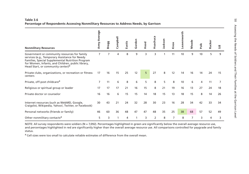|                                                                                                                                                                                                                                                          | erag<br>Army Av | <b>Bragg</b> | Campbell | Eustis | Gordon | Hood | Huachuca | ackson | Knox | orth<br>Leavenw | Meade | Polk | Rucker |    |
|----------------------------------------------------------------------------------------------------------------------------------------------------------------------------------------------------------------------------------------------------------|-----------------|--------------|----------|--------|--------|------|----------|--------|------|-----------------|-------|------|--------|----|
| <b>Nonmilitary Resources</b>                                                                                                                                                                                                                             |                 |              |          |        |        |      |          |        |      |                 |       |      |        |    |
| Government or community resources for family<br>services (e.g., Temporary Assistance for Needy<br>Families, Special Supplemental Nutrition Program<br>for Women, Infants, and Children, public library,<br>Head Start, or community center) <sup>a</sup> | $\overline{7}$  |              | 4        | 8      | 9      | 3    | 3        |        | 11   | 10              | 9     | 10   | 5      | 9  |
| Private clubs, organizations, or recreation or fitness<br>centers                                                                                                                                                                                        | 17              | 16           | 15       | 25     | 12     | 5    | 27       | 8      | 12   | 14              | 16    | 14   | 24     | 15 |
| Private, off-post childcare <sup>a</sup>                                                                                                                                                                                                                 | 7               | 11           | 6        | 8      | 6      | 5    | 8        | 5      | 8    | 10              | 6     | 4    | 11     | 7  |
| Religious or spiritual group or leader                                                                                                                                                                                                                   | 17              | 17           | 17       | 21     | 16     | 15   | 8        | 21     | 19   | 16              | 13    | 27   | 24     | 18 |
| Private doctor or counselor                                                                                                                                                                                                                              | 16              | 16           | 6        | 15     | 15     | 14   | 18       | 15     | 13   | 18              | 15    | 8    | 14     | 26 |
| Internet resources (such as WebMD, Google,<br>Craigslist, Wikipedia, Yahoo!, Twitter, or Facebook)                                                                                                                                                       | 30              | 43           | 21       | 24     | 32     | 28   | 30       | 23     | 16   | 28              | 34    | 42   | 33     | 34 |
| Personal networks (friends or family)                                                                                                                                                                                                                    | 46              | 60           | 36       | 48     | 47     | 47   | 48       | 35     | 25   | 38              | 68    | 57   | 52     | 49 |
| Other nonmilitary contacts <sup>a</sup>                                                                                                                                                                                                                  | 5               | 3            |          | 4      |        | 3    | 2        | 8      | 7    | 8               | 7     | 3    | 4      | 3  |

NOTE: All survey respondents were soldiers (N = 7,092). Percentages highlighted in green are significantly below the overall average resource use, and percentages highlighted in red are significantly higher than the overall average resource use. All comparisons controlled for paygrade and family status.

<sup>a</sup> Cell sizes were too small to calculate reliable estimates of difference from the overall mean.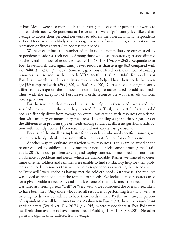at Fort Meade were also more likely than average to access their personal networks to address their needs. Respondents at Leavenworth were significantly less likely than average to access their personal networks to address their needs. Finally, respondents at Fort Hood were less likely than average to access "private clubs, organizations, or recreation or fitness centers" to address their needs.

We next examined the number of military and nonmilitary resources used by respondents to address their needs. Among those who used resources, garrisons differed on the overall number of resources used  $[F(13, 4801) = 1.74, p = .048]$ . Respondents at Fort Leavenworth used significantly fewer resources than average [6.3 compared with 7.6; *t*(4801) = −3.09, *p* = .002]. Similarly, garrisons differed on the number of *military* resources used to address their needs  $[F(13, 4801) = 1.76, p = .044]$ . Respondents at Fort Leavenworth used fewer military resources to help address their needs than average [3.9 compared with 4.9;  $t(4801) = -3.65$ ,  $p < .001$ ]. Garrisons did not significantly differ from average on the number of nonmilitary resources used to address needs. Thus, with the exception of Fort Leavenworth, resource use was relatively uniform across garrisons.

For the resources that respondents used to help with their needs, we asked how satisfied they were with the help they received (Sims, Trail, et al., 2017). Garrisons did not significantly differ from average on overall satisfaction with resources or satisfaction with military or nonmilitary resources. This finding suggests that, regardless of the differences in problem type or needs among soldiers at different garrisons, satisfaction with the help received from resources did not vary across garrisons.

Because of the smaller sample size for respondents who used specific resources, we could not reliably calculate garrison differences in satisfaction for each resource.

Another way to evaluate satisfaction with resources is to examine whether the resources used by soldiers actually met their needs or left some unmet (Sims, Trail, et al., 2017). In our problem-solving and coping context, unmet needs do not mean an absence of problems and needs, which are unavoidable. Rather, we wanted to determine whether soldiers and families were unable to find satisfactory help for their problems and needs. Resources that were rated by respondents as meeting their needs "well" or "very well" were coded as having met the soldier's needs. Otherwise, the resource was coded as *not* having met the respondent's needs. We looked across resources used for a given problem-need pair, and if at least one of them did meet the needs (that is, was rated as meeting needs "well" or "very well"), we considered the overall need likely to have been met. Only those who rated all resources as performing less than "well" at meeting needs were considered to have their needs unmet. By this measure, 11 percent of respondents overall had unmet needs. As shown in Figure 3.9, there was a significant garrison effect [Wald  $\chi^2(13) = 26.73$ ,  $p = .015$ ], where respondents at Fort Polk were less likely than average to have unmet needs [Wald  $\chi^2(1) = 11.38$ ,  $p < .001$ ]. No other garrisons significantly differed from average.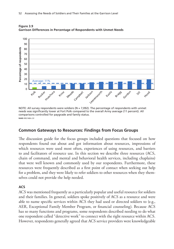

**Figure 3.9 Garrison Differences in Percentage of Respondents with Unmet Needs**

NOTE: All survey respondents were soldiers ( $N = 7,092$ ). The percentage of respondents with unmet needs was significantly lower at Fort Polk compared to the overall Army average (11 percent). All comparisons controlled for paygrade and family status.

#### **Common Gateways to Resources: Findings from Focus Groups**

The discussion guide for the focus groups included questions that focused on how respondents found out about and got information about resources, impressions of which resources were used most often, experiences of using resources, and barriers to and facilitators of resource use. In this section we describe three resources (ACS, chain of command, and mental and behavioral health services, including chaplains) that were well known and commonly used by our respondents. Furthermore, these resources were frequently described as a first point of contact when seeking out help for a problem, and they were likely to refer soldiers to other resources when they themselves could not provide the help needed.

#### **ACS**

ACS was mentioned frequently as a particularly popular and useful resource for soldiers and their families. In general, soldiers spoke positively of ACS as a resource and were able to name specific services within ACS they had used or directed soldiers to (e.g., AER, Exceptional Family Member Program, or financial counseling). Because ACS has so many functions and programs, some respondents described needing to do what one respondent called "detective work" to connect with the right resource within ACS. However, respondents generally agreed that ACS service providers were knowledgeable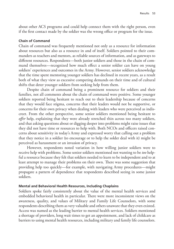about other ACS programs and could help connect them with the right person, even if the first contact made by the soldier was the wrong office or program for the issue.

#### **Chain of Command**

Chain of command was frequently mentioned not only as a resource for information about resources but also as a resource in and of itself. Soldiers pointed to their commanders as teachers and mentors, as reliable sources of information, and as gateways to different resources. Respondents—both junior soldiers and those in the chain of command themselves—recognized how much effect a senior soldier can have on young soldiers' experiences and outcomes in the Army. However, senior soldiers acknowledge that the time spent mentoring younger soldiers has declined in recent years, as a result both of what they view as excessive competing demands on their time and of cultural shifts that deter younger soldiers from seeking help from them.

Despite chain of command being a prominent resource for soldiers and their families, not all comments about the chain of command were positive. Some younger soldiers reported being hesitant to reach out to their leadership because of concerns that they would face stigma, concerns that their leaders would not be supportive, or concerns for their own privacy when dealing with leaders who were perceived as indiscreet. From the other perspective, some senior soldiers mentioned being hesitant to *offer* help, explaining that they were already stretched thin across too many soldiers, and that asking questions about or digging deeper into problems might raise issues that they did not have time or resources to help with. Both NCOs and officers raised concerns about sensitivity in today's Army and expressed worry that calling out a problem that they notice in a soldier (to encourage or to help the solder deal with it) might be perceived as harassment or an invasion of privacy.

However, respondents noted variation in how willing junior soldiers were to receive help with problems. Some senior soldiers mentioned not wanting to be *too* helpful a resource because they felt that soldiers needed to learn to be independent and to at least attempt to manage their problems on their own. There was some suggestion that providing help too quickly—for example, with navigating Army procedures—might propagate a pattern of dependence that respondents described seeing in some junior soldiers.

#### **Mental and Behavioral Health Resources, Including Chaplains**

Soldiers spoke fairly consistently about the value of the mental health services and embedded behavioral health in particular. There were more inconsistent views on the awareness, quality, and values of Military and Family Life Counselors, with some respondents describing them as very valuable and others unaware that they even existed. Access was named as the leading barrier to mental health services. Soldiers mentioned a shortage of providers, long wait times to get an appointment, and lack of childcare as barriers to using mental health resources, including military and family life counselors.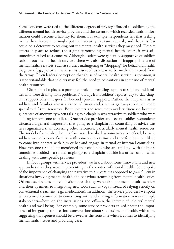Some concerns were tied to the different degrees of privacy afforded to soldiers by the different mental health service providers and the extent to which recorded health information could become a liability for them. For example, respondents felt that seeking mental health resources might put their security clearances at risk, and that this fear could be a deterrent to seeking out the mental health services they may need. Despite efforts in place to reduce the stigma surrounding mental health issues, it was still sometimes raised as a concern. Although leaders were generally supportive of soldiers seeking out mental health services, there was also discussion of inappropriate use of mental health services, such as soldiers malingering or "shopping" for behavioral health diagnoses (e.g., post-traumatic stress disorder) as a way to be medically retired from the Army. Given leaders' perception that abuse of mental health services is common, it is understandable that soldiers may feel the need to be cautious in their use of mental health resources.

Chaplains also played a prominent role in providing support to soldiers and families who were dealing with problems. Notably, from soldiers' reports, day-to-day chaplain support of a unit goes far beyond spiritual support. Rather, the chaplains assist soldiers and families across a range of issues and serve as gateways to other, more specialized Army resources. Both soldiers and resource providers discussed how the guarantee of anonymity when talking to a chaplain was attractive to soldiers who were looking for someone to talk to. One service provider and several soldier respondents discussed a general impression that going to a chaplain for counseling or advice was less stigmatized than accessing other resources, particularly mental health resources. The model of an embedded chaplain was described as sometimes beneficial, because soldiers would become familiar with someone over time and therefore be more likely to come into contact with him or her and engage in formal or informal counseling. However, one respondent mentioned that chaplains who are affiliated with units are sometimes avoided—a soldier might go to a chaplain outside his or her unit—when dealing with unit-specific problems.

In focus groups with service providers, we heard about some innovations and new approaches that they were implementing in the context of mental health. Some spoke of the importance of changing the narrative to *prevention* as opposed to *punishment* in situations involving mental health and behaviors stemming from mental health issues. Others described the more holistic approach they were taking to mental health services and their openness to integrating new tools such as yoga instead of relying strictly on conventional treatment (e.g., medications). In addition, the service providers we spoke with seemed committed to connecting with and sharing information across multiple stakeholders—both on the installations and off—in the interest of soldiers' mental health and well-being. For example, some service providers talked about the importance of integrating spouses into conversations about soldiers' mental health, with some suggesting that spouses should be viewed as the front line when it comes to identifying mental health issues and providing care.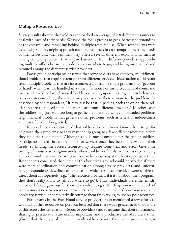#### **Multiple Resource Use**

Survey results showed that soldiers approached an average of 2.8 different resources to deal with each of their needs. We used the focus groups to get a better understanding of the dynamic and reasoning behind multiple resource use. When respondents were asked why soldiers might approach multiple resources in an attempt to meet the needs of themselves and their families, they offered several different explanations, such as having complex problems that required attention from different providers, approaching multiple offices because they do not know where to go, and being misdirected and rerouted among the different service providers.

Focus group participants observed that some soldiers have complex, multidimensional problems that require attention from different services. This situation could result from multiple problems that are interconnected or from a single problem that "gets out of hand" when it is not handled in a timely fashion. For instance, chain of command may send a soldier for behavioral health counseling upon noticing certain behaviors, but once in counseling, the soldier may realize that there is more to the problem. As described by one respondent, "It may just be that in peeling back the onion these soldiers realize they need more and more care from different providers." In other cases the soldiers may just wait too long to get help and end up with compounded problems (e.g., financial problems that generate other problems, such as letters of indebtedness and loss of credit, if neglected).

Respondents also mentioned that soldiers do not always know where to go for help with their problems, so they may end up going to a few different resources before they find the right match. Although this is most common for the junior soldiers, participants agreed that soldiers look for services once they become relevant to their needs, so finding the correct resource may require some trial and error. Given the timing of resource seeking—namely, when a soldier or family member is experiencing a problem—this trial-and-error process may be occurring at the least opportune time. Respondents concurred that some of this bouncing around could be avoided if there were more coordination and communication among service providers, and unfortunately respondents described experiences in which resource providers were unable to direct them appropriately (e.g., "The resource providers, if it is not about their program, they don't really know to tell you where to go"). Thus, individuals are either misdirected or left to figure out for themselves where to go. This fragmentation and lack of communication between service providers can prolong the soldiers' process in receiving necessary services or completely discourage them from trying to use on-post resources.

Participants in the Fort Hood service provider group mentioned a few efforts to work with other resources on post but believed that there was a greater need to do more of this across the installation. Resource providers tend to assume that their information sharing or presentations are useful, important, and a productive use of soldiers' time. (Given that their typical interaction with soldiers is with those who use resources, it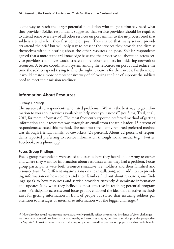is one way to reach the larger potential population who might ultimately need what they provide.) Soldier respondents suggested that service providers should be required to attend some overview of all other services on post similar to the in-process brief that soldiers attend when they first come on post. They shared that many service providers attend the brief but will only stay to present the services they provide and dismiss themselves without hearing about the other resources on post. Soldier respondents agreed that a more standard knowledge base and the proactive collaboration across service providers and offices would create a more robust and less intimidating network of resources. A better coordination system among the resources on post could reduce the time the soldiers spend trying to find the right resources for their needs. Furthermore, it would create a more comprehensive way of delivering the line of support the soldiers need to meet their mission readiness.

# **Information About Resources**

#### **Survey Findings**

The survey asked respondents who listed problems, "What is the best way to get information to you about services available to help meet your needs?" (see Sims, Trail, et al., 2017, for more information). The most frequently reported preferred method of getting information about resources was through an email from the unit leader: 43 percent of respondents selected this method. The next most frequently reported preferred method was through friends, family, or coworkers (24 percent). About 22 percent of respondents reported preferring to receive information through social media (e.g., Twitter, Facebook, or a phone app).

#### **Focus Group Findings**

Focus group respondents were asked to describe how they heard about Army resources and where they went for information about resources when they had a problem. Focus group participants were both resource *consumers* (i.e., soldiers and their families) and resource *providers* (different organizations on the installation), so in addition to providing information on how soldiers and their families find out about resources, our findings speak to how resources and service providers currently disseminate information and updates (e.g., what they believe is most effective in reaching potential program users). Participants across several focus groups endorsed the idea that effective methods exist for getting information in front of people but stated that ensuring soldiers pay attention to messages or internalize information was the bigger challenge.13

<sup>&</sup>lt;sup>13</sup> Note also that actual resource use may actually only partially reflect the reported incidence of given challenges we show here reported problems, associated needs, and resources sought, but from a service provider perspective, the "uptake" of provided resources naturally may only cover a small proportion of a population that could benefit.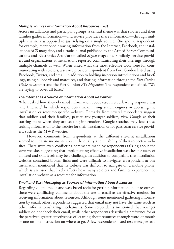#### *Multiple Sources of Information About Resources Exist*

Across installations and participant groups, a central theme was that soldiers and their families gather information—and service providers share information—through multiple channels as opposed to just relying on a single source. One spouse respondent, for example, mentioned drawing information from the Internet, Facebook, the installation's ACS magazine, and a trade journal published by the Armed Forces Communications and Electronics Association called *Signal* magazine. Similarly, service providers and organizations at installations reported communicating their offerings through multiple channels as well. When asked what the most effective tools were for communicating with soldiers, a service provider respondent from Fort Gordon listed using Facebook, Twitter, and email, in addition to holding in-person introductions and briefings, using billboards and marquees, and sharing information through the *Fort Gordon Globe* newspaper and the Fort Gordon *FYI Magazine*. The respondent explained, "We are trying to cover all bases."

#### *The Internet as a Source of Information About Resources*

When asked how they obtained information about resources, a leading response was "the Internet," by which respondents meant using search engines or accessing the installation or resource-specific websites. Remarks from several respondents suggest that soldiers and their families, particularly younger soldiers, view Google as their starting point when they are seeking information. Google searches may lead those seeking information to the website for their installation or for particular service providers, such as the MWR website.

However, comments from respondents at the different site-visit installations seemed to indicate inconsistencies in the quality and reliability of their respective websites. There were even conflicting comments made by respondents talking about the *same* website, suggesting that implementing effective installation websites for users of all need and skill levels may be a challenge. In addition to complaints that installation websites contained broken links and were difficult to navigate, a respondent at one installation mentioned that its website was difficult to navigate on a mobile phone, which is an issue that likely affects how many soldiers and families experience the installation website as a resource for information.

#### *Email and Text Messaging as Sources of Information About Resources*

Regarding digital media and web-based tools for getting information about resources, there were conflicting comments about the use of email as an effective method for receiving information about resources. Although some mentioned gathering information by email, other respondents suggested that email may not have the same reach as other information-sharing mechanisms. Some respondents mentioned that younger soldiers do not check their email, while other respondents described a preference for or the perceived greater effectiveness of learning about resources through word of mouth or one-on-one instruction on where to go. A few respondents listed text messages as a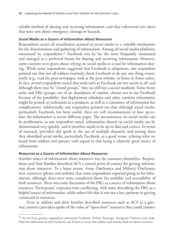reliable method of sharing and receiving information, and they referenced text alerts that were sent about emergency closings or hazards.

#### *Social Media as a Source of Information About Resources*

Respondents across all installations pointed to social media as a valuable mechanism for the dissemination and gathering of information. Among all social media platforms mentioned by respondents,<sup>14</sup> Facebook was by far the most frequently mentioned and emerged as a preferred forum for sharing and receiving information. However, some cautions were given about relying on social media as a tool for information sharing. While some respondents suggested that Facebook is ubiquitous, one respondent pointed out that not all soldiers routinely check Facebook or do any one thing consistently (e.g., read the post newspaper, look at the post website, or listen to Army radio). In fact, several respondents noted that tools such as Facebook are not secure at all, and although there may be "closed groups," they are still not a secure medium. Some Army units and FRG groups, out of an abundance of caution, choose not to use Facebook because of the possibility that deployment schedules and other sensitive information might be posted, so utilization as a producer, as well as a consumer, of information has complications. Additionally, one respondent pointed out that although social media, particularly Facebook, has been useful, there are still inconsistencies in how up-todate the information is across different pages. The inconsistency on social media can be problematic; as one respondent noted, information shared via social media can be disseminated very quickly, and it therefore needs to be up to date and correct. In terms of outreach, providers did speak to the use of multiple channels, and among these they identified social media, particularly Facebook, as a good venue, echoing what we heard from soldiers and spouses with regard to that being a relatively good source of information.

#### *Resources as a Source of Information About Resources*

Another source of information about resources was the resources themselves. Respondents and their families described ACS a central point of contact for getting information about resources. To a lesser extent, Army OneSource and Military OneSource were resources (phone and website) that some respondents reported going to for information, although there were some complaints about the usability and accessibility of both resources. There was some discussion of the FRG as a source of information about resources. Participants' responses were conflicting, with some describing the FRG as a helpful source of information, while others felt that it was not a key pathway to getting connected to resources.

Even as soldiers and their families described resources such as ACS as a gateway, resource providers spoke of the value of "open-door" resources that could connect

<sup>&</sup>lt;sup>14</sup> Across focus groups, respondents mentioned Facebook, Twitter, Periscope, Instagram, Pinterest, and Snap-Chat but elaborated on only Facebook and Twitter as a way that soldiers and families find out about resources.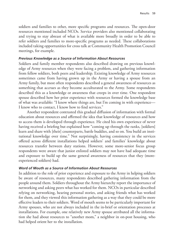soldiers and families to other, more specific programs and resources. The open-door resources mentioned included NCOs. Service providers also mentioned collaborating and trying to stay abreast of what is available more broadly in order to be able to refer soldiers and families to more-specific programs as needed. These collaborations included taking opportunities for cross talk at Community Health Promotion Council meetings, for example.

#### *Previous Knowledge as a Source of Information About Resources*

Soldiers and family member respondents also described drawing on previous knowledge of Army resources when they were facing a problem, and gathering information from fellow soldiers, both peers and leadership. Existing knowledge of Army resources sometimes came from having grown up in the Army or having a spouse from an Army family, but most often respondents described a general awareness of resources as something that accrues as they become acculturated to the Army. Some respondents described this as a knowledge or awareness that creeps in over time. One respondent spouse described how her prior experience with resources formed the knowledge base of what was available: "I know where things are, but I'm coming in with experience— I know who to contact, I know how to find services."

Another respondent contrasted this gradual diffusion of information with formal education about resources and affirmed the idea that knowledge of resources and how to access them is developed through experience. He cited his own experience of never having received a briefing but explained how "coming up through the ranks, [soldiers] learn and share with [their] counterparts, battle buddies, and so on. You build an institutional knowledge over time." Not surprisingly, having consistency in the services offered across different installations helped soldiers' and families' knowledge about resources transfer between duty stations. However, some more-senior focus group respondents were aware that junior enlisted soldiers may not have had adequate time and exposure to build up the same general awareness of resources that they (moreexperienced soldiers) had.

#### *Word of Mouth as a Source of Information About Resources*

In addition to the role of prior experience and exposure to the Army in helping soldiers be aware of resources, many respondents described gathering information from the people around them. Soldiers throughout the Army hierarchy report the importance of networking and asking peers what has worked for them. NCOs in particular described relying on networking, hearing personal stories, and asking friends what has worked for them, and they viewed this information gathering as a way that they could be more effective leaders to their soldiers. Word of mouth seems to be particularly important for Army spouses, who are not always included in the in-brief or orientation processes at installations. For example, one relatively new Army spouse attributed all the information she had about resources to "another mom," a neighbor in on-post housing, who had helped orient her to the installation.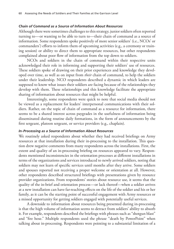#### *Chain of Command as a Source of Information About Resources*

Although there were sometimes challenges to this strategy, junior soldiers often reported turning to—or wanting to be able to turn to—their chain of command as a source of information. Some respondents spoke positively of more senior soldiers' (i.e., NCOs' or commanders') efforts to inform them of upcoming activities (e.g., a ceremony or training session) or ability to direct them to appropriate resources, but other respondents complained about poor flow of information from the top down to soldiers.

NCOs and soldiers in the chain of command within their respective units acknowledged their role in informing and supporting their soldiers' use of resources. These soldiers spoke of drawing on their prior experiences and knowledge they developed over time, as well as on input from *their* chain of command, to help the soldiers under their leadership. NCO respondents described a dynamic in which leaders are supposed to know what issues their soldiers are facing because of the relationships they develop with them. These relationships and this knowledge facilitate the appropriate sharing of information about resources that might be helpful.

Interestingly, some respondents were quick to note that social media should not be viewed as a replacement for leaders' interpersonal communications with their soldiers. Rather, on the topic of chain of command as a resource for information, there seems to be a shared interest across paygrades in the usefulness of information being disseminated during routine daily formations, in the form of announcements by the first sergeant, platoon sergeant, or service providers (e.g., chaplain).

#### *In-Processing as a Source of Information About Resources*

We routinely asked respondents about whether they had received briefings on Army resources at that installation during their in-processing to the installation. This question drew negative comments from many respondents across the installations. First, the extent and quality of an in-processing briefing on resources appeared to vary. Respondents mentioned inconsistencies in the orientation processes at different installations in terms of the organizations and services introduced to newly arrived soldiers, noting that soldiers may not learn of specific services until months after they arrive. Some soldiers and spouses reported not receiving a proper welcome or orientation at all. However, other respondents described structured briefings with presentations given by resource provider organizations. From respondents' stories about resource use, it seems that the quality of the in-brief and orientation process—or lack thereof—when a soldier arrives at a new installation can have far-reaching effects on the life of the soldier and his or her family, as it can be the starting point of successful engagement with Army resources or a missed opportunity for getting soldiers engaged with potentially useful services.

A downside to information about resources being presented during in-processing is that the high volume of information seems to detract from soldiers' ability to absorb it. For example, respondents described the briefings with phrases such as "shotgun blast" and "fire hose." Multiple respondents used the phrase "death by PowerPoint" when talking about in-processing. Respondents were pointing to a substantial limitation of a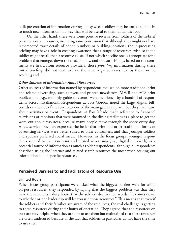bulk presentation of information during a busy week: soldiers may be unable to take in so much new information in a way that will be useful to them down the road.

On the other hand, there were some positive reviews from soldiers of the in-brief presentation on resources, including some concession that although they might not have remembered exact details of phone numbers or building locations, the in-processing briefing may have a role in creating awareness that a range of resources exist, so that a soldier might recall that *a* resource exists, if not which specific one is appropriate for a problem that emerges down the road. Finally, and not surprisingly, based on the comments we heard from resource providers, those *providing* information during these initial briefings did not seem to have the same negative views held by those on the *receiving* end.

#### *Other Sources of Information About Resources*

Other sources of information named by respondents focused on more traditional print and related advertising, such as flyers and printed newsletters. MWR and ACS print publications (e.g., monthly guide to events) were mentioned by a handful of respondents across installations. Respondents at Fort Gordon noted the large, digital billboards on the side of the road near one of the main gates as a place that they had heard about activities or events. Respondents at Fort Meade made reference to flat-panel televisions or monitors that were mounted in the dining facilities as a place to get the word out about resources, because many people move through the space every day. A few service providers expressed the belief that print and other traditional forms of advertising services were better suited to older consumers, and that younger soldiers and spouses preferred social media. However, in the focus groups, younger respondents seemed to mention print and related advertising (e.g., digital billboards) as a potential source of information as much as older respondents, although all respondents described using the Internet and related search resources the most when seeking out information about specific resources.

# **Perceived Barriers to and Facilitators of Resource Use**

#### **Limited Hours**

When focus group participants were asked what the biggest barriers were for using on-post resources, they responded by saying that the biggest problem was that they have the same exact duty hours that the soldiers do. In their words, "It comes down to whether or not leadership will let you use those resources." This means that even if the soldiers and their families are aware of the resources, the real challenge is getting to these resources during their hours of operation. They agreed that the resources on post are very helpful when they are able to use them but maintained that these resources are often underused because of the fact that soldiers in particular do not have the time to use them.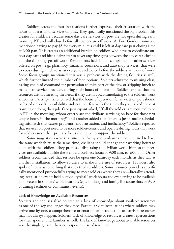Soldiers across the four installations further expressed their frustration with the hours of operation of services on post. They specifically mentioned the big problem this creates for childcare because some day care services on post are not open during early morning PT and will close before all soldiers are off work. At Fort Gordon, someone mentioned having to pay \$5 for every minute a child is left at day care past closing time at 6:00 p.m. This creates an additional burden on soldiers who have to coordinate onpost day care and hire a babysitter to cover any time gaps between the day care's closing and the time they get off work. Respondents had similar complaints for other services offered on post (e.g., pharmacy, financial counselors, and auto shop services) that were too busy during lunch to assist everyone and closed before the soldiers were out of work. Some focus groups mentioned this was a problem with the dining facilities as well, which further limited the number of food options. Soldiers admitted to missing class, asking chain of command for permission to miss part of the day, or skipping lunch to make it to service providers during their hours of operation. Soldiers argued that the resources are not meeting the needs if they are not accommodating to the soldiers' work schedules. Participants concurred that the hours of operation for services on post should be based on soldier availability and not interfere with the times they are asked to be at training or doing their job. One participant asked, "If all the soldiers are required to be in PT in the morning, whom exactly are the civilians servicing on base for those first couple hours in the morning?" and another added that "there is just a major scheduling mismatch that causes problems, and frustration, and inefficiency." Soldiers repeated that services on post need to be more soldier-centric and operate during hours that work for soldiers since their primary focus should be to support the soldier.

Some suggestions were that since the Army and civilians are not required to have the same work shifts at the same time, civilians should change their working hours to align with the soldiers. They proposed dispersing the civilian work shifts so that services are available outside the standard business hours of 9:00 a.m. to 5:00 p.m. Other soldiers recommended that services be open one Saturday each month, as they saw at another installation, to allow soldiers to make more use of resources. Providers also spoke of hours as something that they tried to address. Some resource providers specifically mentioned purposefully trying to meet soldiers where they are—literally: attending installation events held outside "typical" work hours and even trying to be available and present in soldiers' work locations (e.g., military and family life counselors or ACS at dining facilities or community events).

#### **Lack of Knowledge on Available Resources**

Soldiers and spouses alike pointed to a lack of knowledge about available resources as one of the key challenges they face. Particularly at installations where soldiers may arrive one by one, a comprehensive orientation or introduction to garrison resources may not always happen. Soldiers' lack of knowledge of resources creates repercussions for their spouses and families as well. The lack of knowledge about available resources was the single greatest barrier to spouses' use of resources.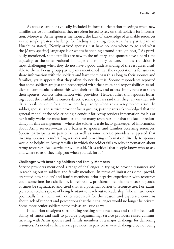As spouses are not typically included in formal orientation meetings when new families arrive at installations, they are often forced to rely on their soldiers for information. Moreover, Army spouses mentioned the lack of knowledge of available resources as the single greatest challenge for finding and using resources. As a participant in Huachuca stated, "Newly arrived spouses just have no idea where to go and what the [Army-specific] language is or what's happening around here [on post]." As previously mentioned, some families are new to the military, and spouses have a hard time adjusting to the organizational language and military culture, but the transition is most challenging when they do not have a good understanding of the resources available to them. Focus group participants mentioned that the expectation is for units to share information with the soldiers and have them pass this along to their spouses and families, yet it appears that they often do not do this. Spouse respondents reported that some soldiers are just too preoccupied with their roles and responsibilities as soldiers to communicate about this with their families, and others simply refuse to share their spouses' contact information with providers. Hence, rather than spouses learning about the available resources directly, some spouses said that they rely on their soldiers to ask someone for them where they can go when any given problem arises. In soldier, spouse, and service provider focus groups, participants acknowledged that the general model of the soldier being a conduit for Army services information for his or her family works for most families and for many resources, but that the lack of redundancy in this arrangement—where the soldier is a de facto gatekeeper of information about Army services—can be a barrier to spouses and families accessing resources. Spouse participants in particular, as well as some service providers, suggested that inviting spouses to in-briefing services and providing information directly to spouses would be helpful to Army families in which the soldier fails to relay information about Army resources. As a service provider said, "It is critical that people know who to ask and where to ask; they help you when you ask for it."

#### **Challenges with Reaching Soldiers and Family Members**

Service providers mentioned a range of challenges in trying to provide resources and in reaching out to soldiers and family members. In terms of limitations cited, providers stated how soldiers' and family members' prior negative experiences with resources could sometimes be a challenge. More broadly, providers noted that help-seeking could at times be stigmatized and cited that as a potential barrier to resource use. For example, some soldiers spoke of being hesitant to reach out to leadership (who in turn could potentially link them with other resources) for this reason and expressed concerns about lack of support and perceptions that their challenges would no longer be private. Some more-senior soldiers noted this as an issue as well.

In addition to stigma surrounding seeking some resources and the limited availability of funds and staff to provide programming, service providers raised communicating with Army spouses and family members as a major challenge for delivering resources. As noted earlier, service providers in particular were challenged by not being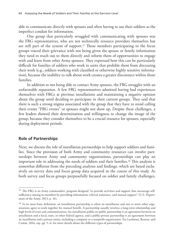able to communicate directly with spouses and often having to use their soldiers as the imperfect conduit for information.

One group that particularly struggled with communicating with spouses was the FRG representatives, who are not technically resource providers themselves but are still part of the system of support.15 Those members participating in the focus groups voiced their grievance with not being given the spouse or family information they need to reach out to them directly and inform them of opportunities to engage with and learn from other Army spouses. They expressed how this can be particularly difficult for families of soldiers who work in units that prohibit them from discussing their work (e.g., soldiers working with classified or otherwise highly sensitive information), because the inability to talk about work creates a greater disconnect within those families.

In addition to not being able to contact Army spouses, the FRG struggles with an unfavorable reputation. A few FRG representatives admitted having bad experiences themselves with FRGs at previous installations and maintaining a negative opinion about the group until deciding to participate in their current groups. They said that there is such a strong stigma associated with the group that they have to avoid calling their events "FRG events" or spouses might not show up. Despite these challenges, a few leaders showed their determination and willingness to change the image of the group, because they consider themselves to be a crucial resource for spouses, especially during deployment periods.

#### **Role of Partnerships**

Next, we discuss the role of installation partnerships to help support soldiers and families. Since the provision of both Army and community resources can involve partnerships between Army and community organizations, partnerships can play an important role in addressing the needs of soldiers and their families.16 This analysis is somewhat different from the preceding analyses and findings, which are based exclusively on survey data and focus group data acquired in the course of this study. As both survey and focus groups purposefully focused on soldier and family challenges,

<sup>&</sup>lt;sup>15</sup> The FRG is an Army commanders' program designed "to provide activities and support that encourage selfsufficiency among its members by providing information, referral assistance, and mutual support" (U.S. Department of the Army, 2013, p. 16).

<sup>&</sup>lt;sup>16</sup> In its most basic definition, an installation partnership is when an installation and one or more other organizations agree to work together for mutual benefit. A partnership usually involves a long-term relationship and high levels of trust and communication. An installation public-to-public partnership is an agreement between an installation and a local, state, or other federal agency, and a public-private partnership is an agreement between an installation and a private entity, including a company or a nonprofit organization. See Lachman, Resetar, and Camm, 2016, esp. pp. 5–6, for more details about the different types of partnerships.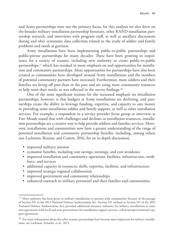and Army partnerships were not the primary focus, for this analysis we also drew on the broader military installation partnership literature, other RAND installation partnership research, and interviews with program staff, as well as ancillary discussions during and after systematic data collection related to the study of soldier and family problems and needs at garrison.

Army installations have been implementing public-to-public partnerships and public-private partnerships for many decades. These have been growing in importance for a variety of reasons, including new authority to create public-to-public partnerships,<sup>17</sup> which has resulted in more emphasis on and opportunities for installation and community partnerships. More opportunities for partnerships have also been created as communities have developed around Army installations and the numbers of potential community partners have increased. Furthermore, more soldiers and their families are living off post than in the past and are using more community resources to help meet their needs, as was reflected in the survey findings.18

One of the most significant reasons for the increased emphasis on installation partnerships, however, is that budgets at Army installations are declining, and partnerships create the ability to leverage funding, expertise, and capacity to save money in providing some installation soldier and family support, as well as other installation services. For example, a respondent in a service provider focus group or interview at Fort Meade stated that with challenges and declines in installation resources, installation partnerships are a creative way to help provide soldiers and families services. Moreover, installations and communities now have a greater understanding of the range of potential installation and community partnership benefits, including, among others (see Lachman, Resetar, and Camm, 2016, for an in-depth discussion),

- improved military mission
- economic benefits, including cost savings, earnings, and cost avoidance
- improved installation and community operations, facilities, infrastructure, workforce, and services
- additional capacity in resources, skills, expertise, facilities, and infrastructure
- improved strategic regional collaboration
- improved government and community relationships
- enhanced outreach to military personnel and their families and communities.

<sup>&</sup>lt;sup>17</sup> More authority has been given to military installations to partner with communities because of the passage of Section 331 in the 2013 National Defense Authorization Act. Section 331 (refined in Section 351 of the 2015 National Defense Authorization Act) provided additional statutory authority for military installations to enter into agreements with local and state governments for installation support services, called intergovernmental support agreements.

<sup>&</sup>lt;sup>18</sup> For more information about the other reasons partnerships have become more important for military installations, see Lachman, Schaefer, et al., 2013.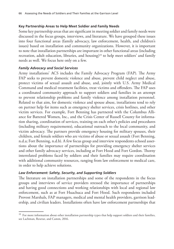### **Key Partnership Areas to Help Meet Soldier and Family Needs**

Some key partnership areas that are significant in meeting soldier and family needs were discussed in the focus groups, interviews, and literature. We have grouped these issues into four functional areas (family advocacy, law enforcement, health, and children's issues) based on installation and community organizations. However, it is important to note that installation partnerships are important in other functional areas (including recreation, adult education, libraries, and housing)<sup>19</sup> to help meet soldiers' and family needs as well. We focus here only on a few.

#### *Family Advocacy and Social Services*

Army installations' ACS includes the Family Advocacy Program (FAP). The Army FAP seeks to prevent domestic violence and abuse, prevent child neglect and abuse, protect victims of sexual assault and abuse, and, jointly with U.S. Army Medical Command and medical treatment facilities, treat victims and offenders. The FAP uses a coordinated community approach to support soldiers and families in an attempt to prevent relationship problems and family violence among installation personnel. Related to that aim, for domestic violence and spouse abuse, installations tend to rely on partner help for items such as emergency shelter services, crisis hotlines, and other victim services. For example, Fort Benning has partnered with the Columbus Alliance for Battered Women, Inc., and the Crisis Center of Russell County for information sharing, coordination of services, training on each other's policies and procedures (including military requirements), educational outreach to the local community, and victim advocacy. The partners provide emergency housing for military spouses, their children, and female soldiers who are victims of abuse or sexual assault (Fort Benning, n.d.a; Fort Benning, n.d.b). A few focus group and interview respondents echoed assertions about the importance of partnerships for providing emergency shelter services and other family advocacy services, including at Fort Hood and Fort Gordon. Thorny interrelated problems faced by soldiers and their families may require coordination with additional community resources, ranging from law enforcement to medical care, in order to help achieve solutions.

# *Law Enforcement: Safety, Security, and Supporting Soldiers*

The literature on installation partnerships and some of the respondents in the focus groups and interviews of service providers stressed the importance of partnerships and having good connections and working relationships with local and regional law enforcement, such as at Fort Huachuca and Fort Hood. Such respondents included Provost Marshals, FAP managers, medical and mental health providers, garrison leadership, and civilian leaders. Installations often have law enforcement partnerships that

<sup>&</sup>lt;sup>19</sup> For more information about other installation partnership types that help support soldiers and their families, see Lachman, Resetar, and Camm, 2016.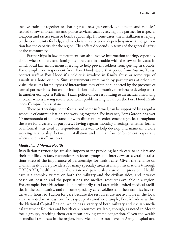involve training together or sharing resources (personnel, equipment, and vehicles) related to law enforcement and police services, such as relying on a partner for a special weapons and tactics team or bomb squad help. In some cases, the installation is relying on the community for help, and in others it is vice versa, depending on which organization has the capacity for the region. This offers dividends in terms of the general safety of the community.

Partnerships in law enforcement can also involve information sharing, especially about when soldiers and family members are in trouble with the law or in cases in which local law enforcement is trying to help prevent soldiers from getting in trouble. For example, one respondent from Fort Hood stated that police from Austin, Texas, contact staff at Fort Hood if a soldier is involved in family abuse or some type of assault at a hotel or club. Similar statements were made by participants at other site visits; these less formal types of interactions may often be supported by the presence of formal partnerships that enable installation and community members to develop trust. In another example, a Killeen, Texas, police officer responding to an incident involving a soldier who is having severe emotional problems might call on the Fort Hood Resiliency Campus for assistance.

These partnerships, some formal and some informal, can be supported by a regular schedule of communication and working together. For instance, Fort Gordon has over 50 memoranda of understanding with different law enforcement agencies throughout the state for a variety of purposes. Having regular monthly meetings, whether formal or informal, was cited by respondents as a way to help develop and maintain a close working relationship between installation and civilian law enforcement, especially when there is staff turnover.

#### *Medical and Mental Health*

Installation partnerships are also important for providing health care to soldiers and their families. In fact, respondents in focus groups and interviews at several installations stressed the importance of partnerships for health care. Given the reliance on civilian health care providers for many specialty areas at many installations (through TRICARE), health care collaboration and partnerships are quite prevalent. Health care is a complex system on both the military and the civilian sides, and it varies based on location and the populations and medical resources available in a region. For example, Fort Huachuca is in a primarily rural area with limited medical facilities in the community, and for some specialty care, soldiers and their families have to drive 1.5 hours to Tucson for care because the resources are not available in the local area, as noted in at least one focus group. As another example, Fort Meade is within the National Capital Region, which has a variety of both military and civilian medical treatment facilities and health care resources available, though, as noted in Meade focus groups, reaching them can mean braving traffic congestion. Given the wealth of medical resources in the region, Fort Meade does not have an Army hospital and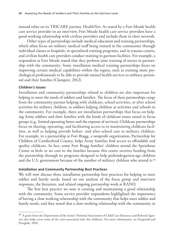instead relies on its TRICARE partner, HealthNet. As stated by a Fort Meade health care service provider in an interview, Fort Meade health care service providers have a good working relationship with civilian providers and include them in their network.

Other types of partnerships include medical education and training partnerships, which often focus on military medical staff being trained in the community through individual classes at hospitals, in specialized training programs, and in trauma centers, and civilian health care providers conduct training in garrison facilities. For example, a respondent at Fort Meade stated that they perform joint training of nurses in partnership with the community. Some installation medical training partnerships focus on improving certain medical capabilities within the region, such as training more psychological professionals to be able to provide mental health services to military personnel and their families (Clampett, 2012).

### *Children's Issues*

Installation and community partnerships related to children are also important for helping to meet the needs of soldiers and families. The focus of these partnerships range from the community partner helping with childcare, school activities, or after school activities for military children, to soldiers helping children at activities and schools in the community. For example, there are installation partnerships that focus on helping Army soldiers and their families with the kinds of childcare issues raised in focus groups (e.g., limited operating hours and the expense of services). Childcare partnerships focus on sharing, operating, and facilitating access to or maintaining childcare facilities, as well as helping provide before- and after-school care to military children. For example, in a partnership at Fort Bragg, a nonprofit organization, Partnership for Children of Cumberland County, helps Army families find access to affordable and quality childcare. In fact, some Fort Bragg families' children attend the Spainhour Center at little or no cost to the families because this center receives funding from the partnership through its programs designed to help prekindergarten-age children and the U.S. government because of the number of military children who attend it.20

#### **Installation and Community Partnership Best Practices**

We will now discuss three installation partnership best practices for helping to meet soldier and family needs, based on our analysis of the focus group and interview responses, the literature, and related ongoing partnership work at RAND.

The first best practice we note is creating and maintaining a good relationship with the community. Some service provider respondents highlighted the importance of having a close working relationship with the community that helps meet soldier and family needs, and they noted that a close working relationship with the community in

 $^{20}$  A grant from the Department of the Army's National Association of Child Care Resource and Referral Agencies also helps cover some of the costs associated with this childcare. For more information, see Fitzgerald and Paraglide, 2010.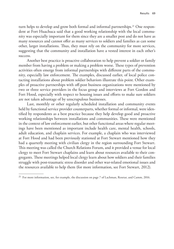turn helps to develop and grow both formal and informal partnerships.21 One respondent at Fort Huachuca said that a good working relationship with the local community was especially important for them since they are a smaller post and do not have as many resources and cannot offer as many services to soldiers and families as can some other, larger installations. Thus, they must rely on the community for more services, suggesting that the community and installation have a vested interest in each other's success.

Another best practice is proactive collaboration to help prevent a soldier or family member from having a problem or making a problem worse. These types of prevention activities often emerge from informal partnerships with different parts of the community, especially law enforcement. The examples, discussed earlier, of local police contacting installations about problem soldier behaviors illustrate this point. Other examples of proactive partnerships with off-post business organizations were mentioned by two or three service providers in the focus group and interviews at Fort Gordon and Fort Hood, especially with respect to housing issues and efforts to make sure soldiers are not taken advantage of by unscrupulous businesses.

Last, monthly or other regularly scheduled installation and community events held by functional service provider counterparts, whether formal or informal, were identified by respondents as a best practice because they help develop good and proactive working relationships between installations and communities. These were mentioned in the context of law enforcement earlier, but other functional areas where regular meetings have been mentioned as important include health care, mental health, schools, adult education, and chaplain services. For example, a chaplain who was interviewed at Fort Hood and had been previously stationed at Fort Stewart mentioned how they had a quarterly meeting with civilian clergy in the region surrounding Fort Stewart. This meeting was called the Church Relations Forum, and it provided a venue for local clergy to meet Fort Stewart chaplains and learn about resources available to their congregants. These meetings helped local clergy learn about how soldiers and their families struggle with post-traumatic stress disorder and other war-related emotional issues and the resources available to help them (for more information, see Fort Stewart, 2012).

<sup>&</sup>lt;sup>21</sup> For more information, see, for example, the discussion on page 7 of Lachman, Resetar, and Camm, 2016.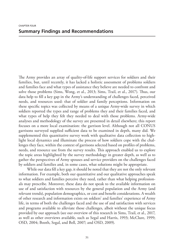The Army provides an array of quality-of-life support services for soldiers and their families, but, until recently, it has lacked a holistic assessment of problems soldiers and families face and what types of assistance they believe are needed to confront and solve those problems (Sims, Wong, et al., 2013; Sims, Trail, et al., 2017). Thus, our data help to fill a key gap in the Army's understanding of challenges faced, perceived needs, and resources used: that of soldier and family perceptions. Information on these specific topics was collected by means of a unique Army-wide survey in which soldiers reported the types and range of problems they and their families faced, and what types of help they felt they needed to deal with those problems. Army-wide analyses and methodology of the survey are presented in detail elsewhere; this report focuses on a more local examination: the garrison level. Although not all CONUS garrisons surveyed supplied sufficient data to be examined in depth, many did. We supplemented this quantitative survey work with qualitative data collection to highlight local dynamics and illuminate the process of how soldiers cope with the challenges they face, within the context of garrisons selected based on profiles of problems, needs, and resource use from the survey results. This approach enabled us to explore the topic areas highlighted by the survey methodology in greater depth, as well as to gather the perspectives of Army spouses and service providers on the challenges faced by soldiers and families and, in some cases, what solutions might be appropriate.

While our data fill a key gap, it should be noted that they are not the only relevant information. For example, both our quantitative and our qualitative approaches speak to what soldiers and families perceive they need, rather than what helping professionals may prescribe. Moreover, these data do not speak to the available information on use of and satisfaction with resources by the general population and the Army (and relevant trends), population demographics, or cost and benefit considerations. A wealth of other research and information exists on soldiers' and families' experience of Army life, in terms of both the challenges faced and the use of and satisfaction with services and programs available to alleviate those challenges, albeit without the unique focus provided by our approach (see our overview of this research in Sims, Trail, et al., 2017, as well as other overviews available, such as Segal and Harris, 1993; McClure, 1999; OSD, 2004; Booth, Segal, and Bell, 2007; and OSD, 2009).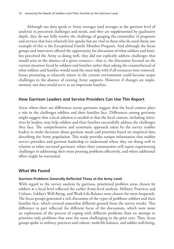Although our data speak to Army averages (and averages at the garrison level of analysis) in perceived challenges and needs, and they are supplemented by qualitative depth, they do not fully resolve the challenge of gauging the essentiality of programs and services that have relatively low uptake but are vital to those who do need them; one example of this is the Exceptional Family Member Program. And although the focus groups and interviews offered the opportunity for discussion of what soldiers and families perceived the Army as doing well, they did not explicitly address challenges that would arise in the absence of a given resource—that is, the discussion focused on the current situation faced by soldiers and families rather than asking the counterfactual of what soldiers and families would need the most help with if all resources were removed. Issues presenting as relatively minor in the current environment could become major challenges in the absence of existing Army supports. However, if changes are implemented, our data would serve as an important baseline.

# **How Garrison Leaders and Service Providers Can Use This Report**

Areas where there are differences across garrisons suggest that the local context plays a role in the challenges soldiers and their families face. Differences among garrisons might suggest that a local solution is needed or that the local context, including initiatives by leaders, may help soldiers and their families successfully address the challenges they face. The comprehensive and systematic approach taken by the survey enables leaders to make decisions about garrison needs and priorities based on empirical data describing the Army population. This study provides unique information that enables service providers and garrison leadership to understand where they are doing well in relation to other surveyed garrisons, where their communities still report experiencing challenges in addressing their most pressing problems effectively, and where additional effort might be warranted.

# **What We Found**

# **Garrison Problems Generally Reflected Those at the Army Level**

With regard to the survey analysis by garrison, prioritized problem areas chosen by soldiers at a local level reflected the earlier Army-level analysis: Military Practices and Culture, Soldier's Well-Being, and Work-Life Balance were chosen the most frequently. The focus groups generated a rich discussion of the types of problems soldiers and their families face, which covered somewhat different ground from the survey results. This difference in part reflected the different focus of the discussions, which were more an exploration of the process of coping with different problems than an attempt to prioritize only problems that were the most challenging in the prior year. Thus, focus groups spoke to military practices and culture, work-life balance, and soldier well-being,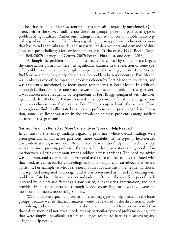but health care and childcare system problems were also frequently mentioned. Quite often, neither the survey findings nor the focus groups spoke to a particular type of problem being localized. Rather, our findings illustrated that certain problems are typical, regardless of location. The finding regarding pressing problems echoes other work that has found that military life, and in particular deployments and demands of duty days, can pose challenges for servicemembers (e.g., Sticha et al., 1999; Booth, Segal, and Bell, 2007; Karney and Crown, 2007; Posard, Hultquist, and Segal, 2013).

Although the problem domains most frequently chosen by soldiers were largely the same across garrisons, there was significant variance in the selection of some specific problem domains. For example, compared to the average, Health Care System Problems was more frequently chosen as a top problem by respondents at Fort Meade, was ranked as one of the top three problems chosen by Fort Meade respondents, and was frequently mentioned by focus group respondents at Fort Meade. In addition, although Military Practices and Culture was ranked as a top problem across garrisons, it was chosen more frequently by respondents at Fort Bragg, compared with the average. Similarly, Work-Life Balance ranked as a top concern for almost all garrisons, but it was chosen more frequently at Fort Hood, compared with the average. Thus, although our findings illustrated that certain problems are typical, regardless of location, some significant variation in the prevalence of these problems among soldiers occurred across garrisons.

#### **Garrison Findings Reflected More Variability in Types of Help Needed**

In contrast to the survey findings regarding problems, where overall findings were often generally similar across garrisons, more variability in the types of help needed was evident at the garrison level. When asked what kinds of help they needed to cope with their most pressing problems, the needs for advice, activities, and general information were all fairly common among soldiers across garrisons. The need for advice was common, and a desire for interpersonal assistance can be seen as associated with that need, as can needs for counseling, emotional support, or an advocate at several garrisons. For example, at Meade the need for an advocate was more frequently chosen as a top need compared to average, and it was often cited as a need for dealing with problems related to military practices and culture. Overall, the specific types of needs reported by soldiers at different garrisons varied, but activities, information, and help provided by an actual person—through advice, counseling, or advocacy—were the most common needs reported by soldiers.

We did not seek specific information regarding types of help needed in the focus groups, because we felt that information would be revealed in the discussion of problem solving and resource use, which we did pursue in depth. However, we noted that those discussions did not reveal needs for any particular types of problem-solving help that were simply unavailable; rather, challenges related to barriers to accessing and using the help needed.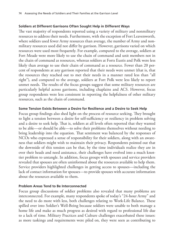#### **Soldiers at Different Garrisons Often Sought Help in Different Ways**

The vast majority of respondents reported using a variety of military and nonmilitary resources to address their needs. Furthermore, with the exception of Fort Leavenworth, where soldiers used fewer Army resources than average, the number of Army and nonmilitary resources used did not differ by garrison. However, garrisons varied on which resources were used most frequently. For example, compared to the average, soldiers at Fort Meade were more likely to use the chain of command and unit members not in the chain of command as resources, whereas soldiers at Forts Eustis and Polk were less likely than average to use their chain of command as a resource. Fewer than 20 percent of respondents at any garrison reported that their needs were unmet (that is, that the resources they reached out to met their needs in a manner rated less than "all right"), and compared to the average, soldiers at Fort Polk were less likely to report unmet needs. The results of the focus groups suggest that some military resources are particularly helpful across garrisons, including chaplains and ACS. However, focus group respondents were less consistent in reporting the helpfulness of other military resources, such as the chain of command.

### **Some Tension Exists Between a Desire for Resilience and a Desire to Seek Help**

Focus group findings also shed light on the process of resource seeking. They brought to light a tension between a desire for self-sufficiency or resiliency in problem solving and a desire to seek help. That is, soldiers at all levels often reported that they wanted to be able—or should be able—to solve their problems themselves without needing to bring leadership into the equation. That sentiment was balanced by the responses of NCOs who expressed a sense of responsibility for their soldiers, along with an awareness that soldiers might wish to maintain their privacy. Respondents pointed out that the downside of this tension can be that, by the time individuals realize they are in over their heads and need assistance, their challenges have evolved into a much knottier problem to untangle. In addition, focus groups with spouses and service providers revealed that spouses are often uninformed about the resources available to help them. Service providers highlighted challenges in getting access to spouses—including the lack of contact information for spouses—to provide spouses with accurate information about the resources available to them.

# **Problem Areas Tend to Be Interconnected**

Focus group discussions of soldier problems also revealed that many problems are interconnected. For example, many respondents spoke of today's "24-hour Army" and the need to do more with less, both challenges relating to Work-Life Balance. These spilled over into Soldier's Well-Being because soldiers were unable to both manage a home life and make as much progress as desired with regard to professional life due to a lack of time. Military Practices and Culture challenges exacerbated these issues: as more taskings and requirements were piled on, they were seen as contributing to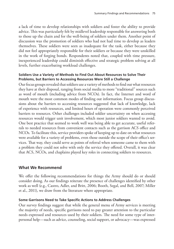a lack of time to develop relationships with soldiers and foster the ability to provide advice. This was particularly felt by midlevel leadership responsible for answering both to those up the chain and for the well-being of soldiers under them. Another point of discussion was the promotion of soldiers who had not had time to develop as leaders themselves. These soldiers were seen as inadequate for the task, either because they did not feel appropriately responsible for their soldiers or because they were unskilled in the work of forging bonds. Respondents noted that, coupled with time pressure, inexperienced leadership could diminish effective and strategic problem solving at all levels, further exacerbating workload challenges.

## **Soldiers Use a Variety of Methods to Find Out About Resources to Solve Their Problems, but Barriers to Accessing Resources Were Still a Challenge**

Our focus groups revealed that soldiers use a variety of methods to find out what resources they have at their disposal, ranging from social media to more "traditional" sources such as word of mouth (including advice from NCOs). In fact, the Internet and word of mouth were the most common modes of finding out information. Focus group discussions about the barriers to accessing resources suggested that lack of knowledge, lack of experience with resources, and limited hours of operation were commonly perceived barriers to resources. Other challenges included soldier uncertainty on when accessing resources would trigger unit involvement, which most junior soldiers wanted to avoid. One best practice that seemed to work well was being able to get accurate, useful referrals to needed resources from convenient contacts such as the garrison ACS office and NCOs. To facilitate this, service providers spoke of keeping up to date on what resources were available for a variety of problems, even those outside the scope of their office's services. That way, they could serve as points of referral when someone came to them with a problem they could not solve with only the service they offered. Overall, it was clear that ACS, NCOs, and chaplains played key roles in connecting soldiers to resources.

# **What We Recommend**

We offer the following recommendations for things the Army should do or should consider doing. As our findings reiterate the presence of challenges identified by other work as well (e.g., Castro, Adler, and Britt, 2006; Booth, Segal, and Bell, 2007; Miller et al., 2011), we draw from the literature where appropriate.

# **Some Garrisons Need to Take Specific Actions to Address Challenges**

Our survey findings suggest that while the general menu of Army services is meeting the majority of needs, specific garrisons need to pay greater attention to the particular needs expressed and resources used by their soldiers. The need for some type of interpersonal help—such as advice, counseling, social support, or advocacy—was expressed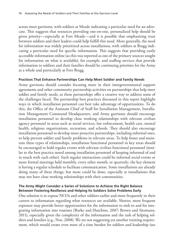across most garrisons, with soldiers at Meade indicating a particular need for an advocate. This suggests that resources providing one-on-one, personalized help should be given priority—especially at Fort Meade—and it is possible that emphasizing trust between soldiers and their leaders could help fulfill this need. More generally, the need for information was widely prioritized across installations, with soldiers at Bragg indicating a particular need for specific information. This suggests that providing easily accessible information online (as this was reported as one of the primary sources sought for information on what is available), for example, and staffing services that provide information to soldiers and their families should be continuing priorities for the Army as a whole and particularly at Fort Bragg.

#### **Practices That Enhance Partnerships Can Help Meet Soldier and Family Needs**

Army garrisons should consider focusing more in their intergovernmental support agreements and other community partnership activities on partnerships that help meet soldier and family needs, as these partnerships offer a creative way to address some of the challenges faced. The partnership best practices discussed in this report highlight ways in which installation personnel can best take advantage of opportunities. To do this, the Office of the Assistant Chief of Staff for Installation Management, Installation Management Command Headquarters, and Army garrisons should encourage installation personnel to develop close working relationships with relevant civilian agency personnel in areas such as social services, law enforcement, health care, mental health, religious organizations, recreation, and schools. They should also encourage installation personnel to develop more proactive partnerships, including informal ones, to help prevent soldier and family problems in relevant areas. To help foster and maintain these types of relationships, installation functional personnel in key areas should be encouraged to hold regular events with relevant civilian functional personnel (similar to the best practice noted among installation personnel of keeping informed of and in touch with each other). Such regular interactions could be informal social events or more formal meetings held monthly, every other month, or quarterly; the key element is having a regular schedule to facilitate communication. Some installations are already doing many of these things, but more could be done, especially at installations that may not have close working relationships with their communities.

### **The Army Might Consider a Series of Solutions to Achieve the Right Balance Between Fostering Resilience and Helping Its Soldiers Solve Problems Early**

One solution is to expose NCOs and other soldiers earlier and more frequently in their careers to information regarding what resources are available. Shorter, more frequent exposure may provide better opportunities for the information to sink in and for integrating information into routines (Burke and Hutchins, 2007; Brown and Sitzmann, 2011), especially given the complexity of the information and the task of helping soldiers and families (e.g., Noe, 2008). We are not suggesting yet another training requirement, which would create even more of a time burden for soldiers and leadership (see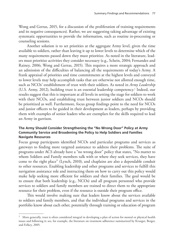Wong and Gerras, 2015, for a discussion of the proliferation of training requirements and its negative consequences). Rather, we are suggesting taking advantage of existing systematic opportunities to provide the information, such as routine in-processing or counseling sessions.

Another solution is to set priorities at the aggregate Army level, given the time available to soldiers, rather than leaving it up to lower levels to determine which of the many requirements passed down they must prioritize. As noted in the literature, leaders must prioritize activities they consider necessary (e.g., Schein, 2004; Fernandez and Rainey, 2006; Wong and Gerras, 2015). This requires a more strategic approach and an admission of the difficulties of balancing all the requirements of today's Army. A frank appraisal of priorities and time commitments at the highest levels and conveyed to lower levels may help accomplish tasks that are otherwise not allotted enough time, such as NCOs' establishment of trust with their soldiers. As noted in *Army Leadership* (U.S. Army, 2012), building trust is an essential leadership competency.1 Indeed, our results suggest that this is important at all levels in setting the stage for soldiers to work with their NCOs, and establishing trust between junior soldiers and NCOs should be prioritized as well. Furthermore, focus group findings point to the need for NCOs and junior officers to be guided in their development as leaders, perhaps by providing them with examples of senior leaders who are exemplars for the skills required to lead an Army in garrison.

### **The Army Should Consider Strengthening the "No Wrong Door" Policy at Army Community Service and Broadening the Policy to Help Soldiers and Families Navigate Resources**

Focus group participants identified NCOs and particular programs and services as gateways to finding more targeted assistance to address their problems. The suite of programs under ACS already have a "no wrong door" policy that states, "No matter to whom Soldiers and Family members talk with or where they seek services, they have come to the right place" (Lynch, 2010), and chaplains are also a dependable conduit to other resources. Enabling leadership and other programs and services to fulfill this navigation assistance role and instructing them on how to carry out this policy would make help seeking more efficient for soldiers and their families. The goal would be to ensure that both leadership (e.g., NCOs) and all program personnel who provide services to soldiers and family members are trained to direct them to the appropriate resource for their problem, even if the resource is outside their program office.

This would involve making sure that leaders know about the services available to soldiers and family members, and that the individual programs and services in the portfolio know about each other, potentially through training or education of program

 $1$  More generally, trust is often considered integral in developing a plan of action for mental or physical health issues and following it; see, for example, the literature on treatment adherence summarized by Krueger, Berger, and Felkey, 2005.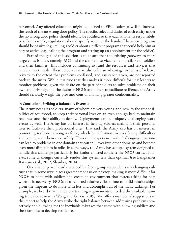personnel. Any offered education might be opened to FRG leaders as well to increase the reach of the no wrong door policy. The specific roles and duties of each entity under the no wrong door policy should ideally be codified so that each knows its responsibilities. For example, regulations should specify whether the hand-off between programs should be passive (e.g., telling a soldier about a different program that could help him or her) or active (e.g., calling the program and setting up an appointment for the soldier).

Part of the goal of this solution is to ensure that the existing gateways to more targeted assistance, namely, ACS and the chaplain service, remain available to soldiers and their families. This includes continuing to fund the resources and services that reliably meet needs. These resources may also offer an advantage in terms of relative privacy to the extent that problems confessed, and assistance given, are not reported back to the units. While it is true that this makes it more difficult for unit leaders to monitor problems, given the desire on the part of soldiers to solve problems on their own and privately, and the desire of NCOs and others to facilitate resilience, the Army should seriously weigh the pros and cons of allowing greater confidentiality.

#### **In Conclusion, Striking a Balance Is Essential**

The Army needs its soldiers, many of whom are very young and new to the responsibilities of adulthood, to keep their personal lives on an even enough keel to maintain readiness and their ability to deploy. Deployments can be uniquely challenging work events as well. The Army has an interest in helping soldiers maintain their personal lives to facilitate their professional ones. That said, the Army also has an interest in promoting resilience among its force, which by definition involves facing difficulties and coping with them successfully. However, inexperience with challenging situations can lead to problems in one domain that can spill over into other domains and become even more difficult to handle. In some ways, the Army has set up a system designed to handle this challenge particularly for junior enlisted soldiers: the NCO corps. However, some challenges currently render this system less than optimal (see Langkamer Ratwani et al., 2012; Shanker, 2014).

One challenge we heard described by focus group respondents is a changing culture that in some ways places greater emphasis on privacy, making it more difficult for NCOs to bond with soldiers and create an environment that fosters asking for help when it is necessary. NCOs also reported relatively little time to build relationships, given the impetus to do more with less and accomplish all of the many taskings. For example, we heard that mandatory training requirements exceeded the available training time (see review in Wong and Gerras, 2015). We offer a number of suggestions in this report to help the Army strike the right balance between addressing problems proactively and allowing for the inevitable mistakes that come with allowing soldiers and their families to develop resilience.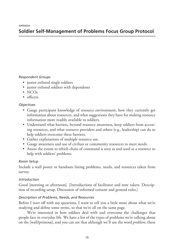# **Soldier Self-Management of Problems Focus Group Protocol**

### *Respondent Groups*

- junior enlisted single soldiers
- junior enlisted soldiers with dependents
- NCO<sub>s</sub>
- officers.

# *Objectives*

- Gauge participant knowledge of resource environment, how they currently get information about resources, and what suggestions they have for making resource information more readily available to soldiers.
- Understand what barriers, beyond resource awareness, keep soldiers from accessing resources, and what resource providers and others (e.g., leadership) can do to help soldiers overcome these barriers.
- Gather explanations of multiple resource use.
- Gauge awareness and use of civilian or community resources to meet needs.
- Assess the extent to which chain of command is seen as and used as a resource to help with soldiers' problems.

#### *Room Setup*

Include a wall poster or handouts listing problems, needs, and resources taken from survey.

# *Introduction*

Good [morning or afternoon]. [Introductions of facilitator and note takers. Description of recording setup. Discussion of informed consent and ground rules.]

# *Description of Problems, Needs, and Resources*

Before I start off with my questions, I want to tell you a little more about what we're studying and define some terms, so that we're all on the same page.

We're interested in how soldiers deal with and overcome the challenges that people face in everyday life. We have a list of the types of problems we're talking about on the [wall/printout], and you can see that although we'll use the word *problem*, these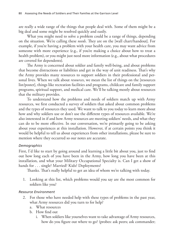are really a wide range of the things that people deal with. Some of them might be a big deal and some might be resolved quickly and easily.

What you might need to solve a problem could be a range of things, depending on the situation. We're calling these *needs*. They are on the [wall chart/handout]. For example, if you're having a problem with your health care, you may want advice from someone with more experience (e.g., if you're making a choice about how to treat a health problem), or you might just need more information (e.g., about what procedures are covered for dependents).

The Army is concerned about soldier and family well-being, and about problems that become distractions or liabilities and get in the way of unit readiness. That's why the Army provides many resources to support soldiers in their professional and personal lives. When we talk about *resources*, we mean the list of things on the [resources list/poster], things like recreation facilities and programs, childcare and family support programs, spiritual support, and medical care. We'll be talking mostly about resources that the military provides.

To understand how the problems and needs of soldiers match up with Army resources, we first conducted a survey of soldiers that asked about common problems and the types of resources they used. We want to talk to you today to learn more about how and why soldiers use or don't use the different types of resources available. We're also interested in if and how Army resources are meeting soldiers' needs, and what they can do to be more effective. In our conversation, we're primarily going to be asking about your experiences at this installation. However, if at certain points you think it would be helpful to tell us about experiences from other installations, please be sure to mention where they occurred so our notes are accurate.

# *Demographics*

First, I'd like to start by going around and learning a little bit about you, just to find out how long each of you have been in the Army, how long you have been at this installation, and what your Military Occupational Specialty is. Can I get a show of hands for . . . single? Married? Kids? Deployments?

Thanks. That's really helpful to get an idea of whom we're talking with today.

1. Looking at this list, which problems would you say are the most common for soldiers like you?

# *Resource Environment*

- 2. For those who have needed help with these types of problems in the past year, what Army resources did you turn to for help?
	- a. What resources
	- b. How find out
		- i. When soldiers like yourselves want to take advantage of Army resources, how do you figure out where to go? (probes: ask peers; ask commander;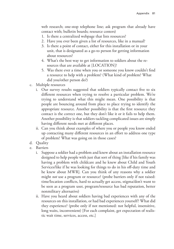web research; one-stop telephone line; ask program that already have contact with; bulletin boards; resource centers)

- 1. Is there a centralized webpage that lists resources?
- 2. Have you ever been given a list of resources, like in a manual?
- 3. Is there a point of contact, either for this installation or in your unit, that is designated as a go-to person for getting information about resources?
- 4. What's the best way to get information to soldiers about the resources that are available at [LOCATION]?
- 5. Was there ever a time when you or someone you know couldn't find a resource to help with a problem? (What kind of problem? What did you/other person do?)
- c. Multiple resources
	- i. Our survey results suggested that soldiers typically contact five to six different resources when trying to resolve a particular problem. We're trying to understand what this might mean. One possibility is that people are bouncing around from place to place trying to identify the appropriate resource. Another possibility is that the first resource they contact is the correct one, but they don't like it or it fails to help them. Another possibility is that soldiers tackling complicated issues are simply having different needs met at different places.
	- ii. Can you think about examples of where you or people you know ended up contacting many different resources in an effort to address one type of problem? What was going on in those cases?
- d. Quality
- e. Barriers
	- i. Suppose a soldier had a problem and knew about an installation resource designed to help people with just that sort of thing [like if his family was having a problem with childcare and he knew about Child and Youth Services/like if he was looking for things to do in his off-duty time and he knew about MWR]. Can you think of any reasons why a soldier might *not* use a program or resource? (probe barriers only if not raised: time/location conflicts, hard to actually get access, stigma/don't want to be seen as a program user, program/resource has bad reputation, better nonmilitary alternative)
	- ii. Have you heard about soldiers having bad experiences with any of the resources on this installation, or had bad experiences yourself? What did they experience? (probe only if not mentioned: not helpful, insensitive, long waits, inconvenient) [For each complaint, get expectation of realistic wait time, services, access, etc.]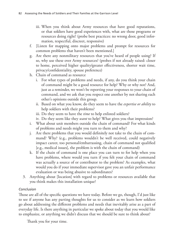- iii. When you think about Army resources that have good reputations, or that soldiers have good experiences with, what are those programs or resources doing right? (probe best practices: no wrong door, good information, respectful, discreet, responsive)
- f. [Listen for mapping onto major problems and prompt for resources for common problems that haven't been mentioned.]
- g. Are there any nonmilitary resources that you've heard of people using? If so, why use these over Army resources? (probes if not already raised: closer to home, perceived higher quality/greater effectiveness, shorter wait time, privacy/confidentiality, spouse preference)
- h. Chain of command as resource
	- i. For what types of problems and needs, if any, do you think your chain of command might be a good resource for help? Why or why not? And, just as a reminder, we won't be reporting your responses to your chain of command, and we ask that you respect one another by not sharing each other's opinions outside this group.
	- ii. Based on what you know, do they seem to have the *expertise or ability* to help soldiers with their problems?
	- iii. Do they seem to have the *time* to help enlisted soldiers?
	- iv. Do they seem like they *want* to help? What gives you that impression?
- i. What about unit members outside the chain of command? For what kinds of problems and needs might you turn to them and why?
- j. Are there problems that you would definitely not take to the chain of command? Why? (e.g., problems wouldn't be well received, could negatively impact career, too personal/embarrassing, chain of command not qualified [e.g., medical issues], the problem is with the chain of command)
- k. If the chain of command is one place you can turn to for help when you have problems, where would you turn if you felt your chain of command was actually a source of or contributor to the problem? As examples, what would you do if your immediate supervisor gave you an unfair performance evaluation or was being abusive to subordinates?
- 3. Anything about [location] with regard to problems or resources available that you think makes this installation unique?

# *Conclusion*

Those are all of the specific questions we have today. Before we go, though, I'd just like to see if anyone has any parting thoughts for us to consider as we learn how soldiers go about addressing the different problems and needs that inevitably arise as a part of everyday life. Is there anything in particular we spoke about today that you would like to emphasize, or anything we didn't discuss that we should be sure to think about?

Thank you for your time.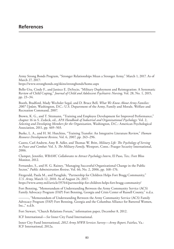Army Strong Bonds Program, "Stronger Relationships Mean a Stronger Army," March 1, 2017. As of March 27, 2017:

<https://www.strongbonds.org/skins/strongbonds/home.aspx>

Bello-Utu, Cindy F., and Janiece E. DeSocio, "Military Deployment and Reintegration: A Systematic Review of Child Coping," *Journal of Child and Adolescent Psychiatric Nursing*, Vol. 28, No. 1, 2015, pp. 23–34.

Booth, Bradford, Mady Wechsler Segal, and D. Bruce Bell, *What We Know About Army Families: 2007 Update*, Washington, D.C.: U.S. Department of the Army, Family and Morale, Welfare and Recreation Command, 2007.

Brown, K. G., and T. Sitzmann, "Training and Employee Development for Improved Performance," chapter 16 in S. Zedeck, ed., *APA Handbook of Industrial and Organizational Psychology*: Vol. 2, *Selecting and Developing Members for the Organization*, Washington, D.C.: American Psychological Association, 2011, pp. 469–503.

Burke, L. A., and H. M. Hutchins, "Training Transfer: An Integrative Literature Review," *Human Resource Development Review*, Vol. 6, 2007, pp. 263–296.

Castro, Carl Andrew, Amy B. Adler, and Thomas W. Britt, *Military Life: The Psychology of Serving in Peace and Combat*: Vol. 3, *The Military Family*, Westport, Conn.: Praeger Security International, 2006.

Clampet, Jennifer, *WBAMC Collaborates to Attract Psychology Intern*, El Paso, Tex.: Fort Bliss Monitor, 2012.

Fernandez, S., and H. G. Rainey, "Managing Successful Organizational Change in the Public Sector," *Public Administration Review*, Vol. 66, No. 2, 2006, pp. 168–176.

Fitzgerald, Paula M., and Paraglide, "Partnership for Children Helps Fort Bragg Community," *U.S. Army*, March 12, 2010. As of August 24, 2017: <https://www.army.mil/article/35764/partnership-for-children-helps-fort-bragg-community/>

Fort Benning, "Memorandum of Understanding Between the Army Community Service (ACS) Family Advocacy Program (FAP) Fort Benning, Georgia and Crisis Center of Russell County," n.d.a.

———, "Memorandum of Understanding Between the Army Community Service (ACS) Family Advocacy Program (FAP) Fort Benning, Georgia and the Columbus Alliance for Battered Women, Inc.," n.d.b.

Fort Stewart, "Church Relations Forum," information paper, December 8, 2012.

ICF International—*See* Inner City Fund International.

Inner City Fund International, *2012 Army MWR Services Survey—Army Report*, Fairfax, Va.: ICF International, 2012a.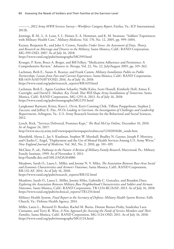———, *2012 Army MWR Services Survey—Workforce Category Report*, Fairfax, Va.: ICF International, 2012b.

Jennings, B. M., L. A. Loan, S. L. Heiner, E. A. Hemman, and K. M. Swanson, "Soldiers' Experiences with Military Health Care," *Military Medicine*, Vol. 170, No. 12, 2005, pp. 999–1004.

Karney, Benjamin R., and John S. Crown, *Families Under Stress: An Assessment of Data, Theory, and Research on Marriage and Divorce in the Military*, Santa Monica, Calif.: RAND Corporation, MG-599-OSD, 2007. As of July 16, 2018: <https://www.rand.org/pubs/monographs/MG599.html>

Krueger, P. Kem, Bruce A. Berger, and Bill Felkey, "Medication Adherence and Persistence: A Comprehensive Review," *Advances in Therapy*, Vol. 22, No. 22, July/August 2005, pp. 319–362.

Lachman, Beth E., Susan A. Resetar, and Frank Camm, *Military Installation Public-to-Public Partnerships: Lessons from Past and Current Experiences*, Santa Monica, Calif.: RAND Corporation, RR-1419-A/AF/NAVY/OSD, 2016. As of July 16, 2018: [https://www.rand.org/pubs/research\\_reports/RR1419.html](https://www.rand.org/pubs/research_reports/RR1419.html)

Lachman, Beth E., Agnes Gereben Schaefer, Nidhi Kalra, Scott Hassell, Kimberly Hall, Aimee E. Curtright, and David E. Mosher, *Key Trends That Will Shape Army Installations of Tomorrow*, Santa Monica, Calif.: RAND Corporation, MG-1255-A, 2013. As of July 16, 2018: <https://www.rand.org/pubs/monographs/MG1255.html>

Langkamer Ratwani, Krista, Kara L. Orvis, Kerri Conning Chik, Tiffany Poeppelman, Stephen J. Zaccaro, and Jeffrey E. Fite, *NCOs Leading in Garrison: An Investigation of Challenges and Leadership Requirements*, Arlington, Va.: U.S. Army Research Institute for the Behavioral and Social Sciences, 2012.

Lynch, Rick, "Services Delivered, Promises Kept," *The Real McCoy Online*, December 10, 2010. As of August 24, 2017:

[http://www.mccoy.army.mil/vnewspaper/newspaper/realmccoy/12102010/d6\\_sends.htm](http://www.mccoy.army.mil/vnewspaper/newspaper/realmccoy/12102010/d6_sends.htm)

Mansfield, Alyssa J., Jay S. Kaufman, Stephen W. Marshall, Bradley N. Gaynes, Joseph P. Morrisey, and Charles C. Engel, "Deployment and the Use of Mental Health Services Among U.S. Army Wives," *New England Journal of Medicine*, Vol. 362, No. 2, 2010, pp. 101–109.

McClure, P., ed., *Pathways to the Future: A Review of Military Family Research*, Marywood, Pa.: Military Family Institute, 1999. As of November 3, 2011: <http://handle.dtic.mil/100.2/ADA364886>

Meadows, Sarah O., Laura L. Miller, and Jeremy N. V. Miles, *The Association Between Base-Area Social and Economic Characteristics and Airmen's Outcomes*, Santa Monica, Calif.: RAND Corporation, RR-132-AF, 2014. As of July 16, 2018:

[https://www.rand.org/pubs/research\\_reports/RR132.html](https://www.rand.org/pubs/research_reports/RR132.html)

Meadows, Sarah O., Laura L. Miller, Jeremy Miles, Gabriella C. Gonzalez, and Brandon Dues, *Exploring the Association Between Military Base Neighborhood Characteristics and Soldier and Airman Outcomes*, Santa Monica, Calif.: RAND Corporation, TR-1234-RC/A/AF, 2013. As of July 16, 2018: [https://www.rand.org/pubs/technical\\_reports/TR1234.html](https://www.rand.org/pubs/technical_reports/TR1234.html)

Military Health System, *Final Report to the Secretary of Defense: Military Health System Review*, Falls Church, Va.: Defense Health Agency, 2014.

Miller, Laura L., Bernard D. Rostker, Rachel M. Burns, Dionne Barnes-Proby, Sandraluz Lara-Cinisomo, and Terry R. West, *A New Approach for Assessing the Needs of Service Members and Their Families*, Santa Monica, Calif.: RAND Corporation, MG-1124-OSD, 2011. As of July 16, 2018: <https://www.rand.org/pubs/monographs/MG1124.html>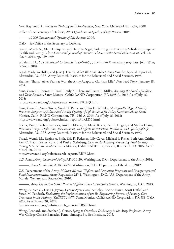Noe, Raymond A., *Employee Training and Development*, New York: McGraw-Hill Irwin, 2008.

Office of the Secretary of Defense, *2004 Quadrennial Quality of Life Review*, 2004.

———, *2009 Quadrennial Quality of Life Review*, 2009.

OSD—*See* Office of the Secretary of Defense.

Posard, Marek N., Marc Hultquist, and David R. Segal, "Adjusting the Duty Day Schedule to Improve Health and Family Life in Garrison," *Journal of Human Behavior in the Social Enviornment*, Vol. 23, No. 6, 2013, pp. 789–799.

Schein, E. H., *Organizational Culture and Leadership*, 3rd ed., San Francisco: Jossey-Bass, John Wiley & Sons, 2004.

Segal, Mady Wechsler, and Jesse J. Harris, *What We Know About Army Families*, Special Report 21, Alexandria, Va.: U.S. Army Research Institute for the Behavioral and Social Sciences, 1993.

Shanker, Thom, "After Years at War, the Army Adapts to Garrison Life," *New York Times*, January 18, 2014.

Sims, Carra S., Thomas E. Trail, Emily K. Chen, and Laura L. Miller, *Assessing the Needs of Soldiers and Their Families*, Santa Monica, Calif.: RAND Corporation, RR-1893-A, 2017. As of July 16, 2018:

[https://www.rand.org/pubs/research\\_reports/RR1893.html](https://www.rand.org/pubs/research_reports/RR1893.html)

Sims, Carra S., Anny Wong, Sarah H. Bana, and John D. Winkler, *Strategically Aligned Family Research: Supporting Soldier and Family Quality of Life Research for Policy Decisionmaking*, Santa Monica, Calif.: RAND Corporation, TR-1256-A, 2013. As of July 16, 2018: [https://www.rand.org/pubs/technical\\_reports/TR1256.html](https://www.rand.org/pubs/technical_reports/TR1256.html)

Sticha, Paul J., Robert Sadacca, Ani S. DiFazio, C. Mazie Knerr, Paul F. Hogan, and Marisa Diana, *Personnel Tempo: Definition, Measurement, and Effects on Retention, Readiness, and Quality of Life*, Alexandria, Va.: U.S. Army Research Institute for the Behavioral and Social Sciences, 1999.

Troxel, Wendy M., Regina A. Shih, Eric R. Pedersen, Lily Geyer, Michael P. Fisher, Beth Ann Griffin, Ann C. Haas, Jeremy Kurz, and Paul S. Steinberg, *Sleep in the Military: Promoting Healthy Sleep Among U.S. Servicemembers*, Santa Monica, Calif.: RAND Corporation, RR-739-OSD, 2015. As of March 20, 2017:

[http://www.rand.org/pubs/research\\_reports/RR739.html](http://www.rand.org/pubs/research_reports/RR739.html)

U.S. Army, *Army Command Policy*, AR 600-20, Washington, D.C.: Department of the Army, 2014.

———, *Army Leadership*, ADRP 6-22, Washington, D.C.: Department of the Army, 2012.

U.S. Department of the Army, *Military Morale, Welfare, and Recreation Programs and Nonappropriated Fund Instrumentalities*, Army Regulation 215-1, Washington, D.C.: U.S. Department of the Army, Morale, Welfare, and Recreation, 2010.

———, *Army Regulation 608-1 Personal Affairs: Army Community Service*, Washington, D.C., 2013.

Wong, Eunice C., Lisa H. Jaycox, Lynsay Ayer, Caroline Epley, Racine Harris, Scott Naftel, and Susan M. Paddock, *Evaluating the Implementation of the Re-Engineering Systems of Primary Care Treatment in the Military (RESPECT-Mil)*, Santa Monica, Calif.: RAND Corporation, RR-588-OSD, 2015. As of March 20, 2017:

[http://www.rand.org/pubs/research\\_reports/RR588.html](http://www.rand.org/pubs/research_reports/RR588.html)

Wong, Leonard, and Stephen J. Gerras, *Lying to Ourselves: Dishonesty in the Army Profession*, Army War College Carlisle Barracks, Penn.: Strategic Studies Institute, 2015.